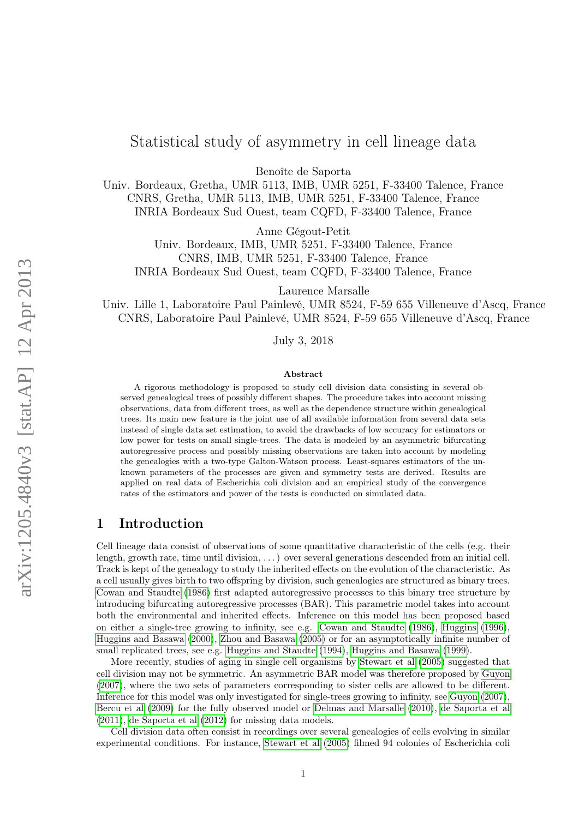# Statistical study of asymmetry in cell lineage data

Benoîte de Saporta

Univ. Bordeaux, Gretha, UMR 5113, IMB, UMR 5251, F-33400 Talence, France CNRS, Gretha, UMR 5113, IMB, UMR 5251, F-33400 Talence, France INRIA Bordeaux Sud Ouest, team CQFD, F-33400 Talence, France

Anne Gégout-Petit

Univ. Bordeaux, IMB, UMR 5251, F-33400 Talence, France CNRS, IMB, UMR 5251, F-33400 Talence, France INRIA Bordeaux Sud Ouest, team CQFD, F-33400 Talence, France

Laurence Marsalle

Univ. Lille 1, Laboratoire Paul Painlevé, UMR 8524, F-59 655 Villeneuve d'Ascq, France CNRS, Laboratoire Paul Painlevé, UMR 8524, F-59 655 Villeneuve d'Ascq, France

July 3, 2018

#### Abstract

A rigorous methodology is proposed to study cell division data consisting in several observed genealogical trees of possibly different shapes. The procedure takes into account missing observations, data from different trees, as well as the dependence structure within genealogical trees. Its main new feature is the joint use of all available information from several data sets instead of single data set estimation, to avoid the drawbacks of low accuracy for estimators or low power for tests on small single-trees. The data is modeled by an asymmetric bifurcating autoregressive process and possibly missing observations are taken into account by modeling the genealogies with a two-type Galton-Watson process. Least-squares estimators of the unknown parameters of the processes are given and symmetry tests are derived. Results are applied on real data of Escherichia coli division and an empirical study of the convergence rates of the estimators and power of the tests is conducted on simulated data.

# 1 Introduction

Cell lineage data consist of observations of some quantitative characteristic of the cells (e.g. their length, growth rate, time until division, . . . ) over several generations descended from an initial cell. Track is kept of the genealogy to study the inherited effects on the evolution of the characteristic. As a cell usually gives birth to two offspring by division, such genealogies are structured as binary trees. [Cowan and Staudte](#page-29-0) [\(1986\)](#page-29-0) first adapted autoregressive processes to this binary tree structure by introducing bifurcating autoregressive processes (BAR). This parametric model takes into account both the environmental and inherited effects. Inference on this model has been proposed based on either a single-tree growing to infinity, see e.g. [Cowan and Staudte](#page-29-0) [\(1986\)](#page-29-0), [Huggins](#page-29-1) [\(1996\)](#page-29-1), [Huggins and Basawa](#page-30-0) [\(2000\)](#page-30-0), [Zhou and Basawa](#page-30-1) [\(2005\)](#page-30-1) or for an asymptotically infinite number of small replicated trees, see e.g. [Huggins and Staudte](#page-30-2) [\(1994\)](#page-30-2), [Huggins and Basawa](#page-29-2) [\(1999\)](#page-29-2).

More recently, studies of aging in single cell organisms by [Stewart et al](#page-30-3) [\(2005\)](#page-30-3) suggested that cell division may not be symmetric. An asymmetric BAR model was therefore proposed by [Guyon](#page-29-3) [\(2007\)](#page-29-3), where the two sets of parameters corresponding to sister cells are allowed to be different. Inference for this model was only investigated for single-trees growing to infinity, see [Guyon](#page-29-3) [\(2007\)](#page-29-3), [Bercu et al](#page-29-4) [\(2009\)](#page-29-4) for the fully observed model or [Delmas and Marsalle](#page-29-5) [\(2010\)](#page-29-5), [de Saporta et al](#page-30-4) [\(2011\)](#page-30-4), [de Saporta et al](#page-30-5) [\(2012\)](#page-30-5) for missing data models.

Cell division data often consist in recordings over several genealogies of cells evolving in similar experimental conditions. For instance, [Stewart et al](#page-30-3) [\(2005\)](#page-30-3) filmed 94 colonies of Escherichia coli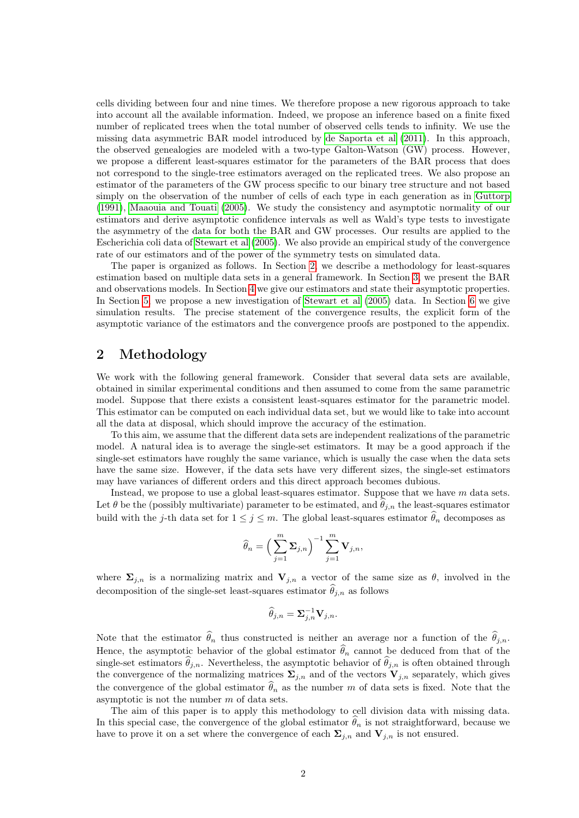cells dividing between four and nine times. We therefore propose a new rigorous approach to take into account all the available information. Indeed, we propose an inference based on a finite fixed number of replicated trees when the total number of observed cells tends to infinity. We use the missing data asymmetric BAR model introduced by [de Saporta et al](#page-30-4) [\(2011\)](#page-30-4). In this approach, the observed genealogies are modeled with a two-type Galton-Watson (GW) process. However, we propose a different least-squares estimator for the parameters of the BAR process that does not correspond to the single-tree estimators averaged on the replicated trees. We also propose an estimator of the parameters of the GW process specific to our binary tree structure and not based simply on the observation of the number of cells of each type in each generation as in [Guttorp](#page-29-6) [\(1991\)](#page-29-6), [Maaouia and Touati](#page-30-6) [\(2005\)](#page-30-6). We study the consistency and asymptotic normality of our estimators and derive asymptotic confidence intervals as well as Wald's type tests to investigate the asymmetry of the data for both the BAR and GW processes. Our results are applied to the Escherichia coli data of [Stewart et al](#page-30-3) [\(2005\)](#page-30-3). We also provide an empirical study of the convergence rate of our estimators and of the power of the symmetry tests on simulated data.

The paper is organized as follows. In Section [2,](#page-1-0) we describe a methodology for least-squares estimation based on multiple data sets in a general framework. In Section [3,](#page-2-0) we present the BAR and observations models. In Section [4](#page-2-1) we give our estimators and state their asymptotic properties. In Section [5,](#page-5-0) we propose a new investigation of [Stewart et al](#page-30-3) [\(2005\)](#page-30-3) data. In Section [6](#page-7-0) we give simulation results. The precise statement of the convergence results, the explicit form of the asymptotic variance of the estimators and the convergence proofs are postponed to the appendix.

# <span id="page-1-0"></span>2 Methodology

We work with the following general framework. Consider that several data sets are available, obtained in similar experimental conditions and then assumed to come from the same parametric model. Suppose that there exists a consistent least-squares estimator for the parametric model. This estimator can be computed on each individual data set, but we would like to take into account all the data at disposal, which should improve the accuracy of the estimation.

To this aim, we assume that the different data sets are independent realizations of the parametric model. A natural idea is to average the single-set estimators. It may be a good approach if the single-set estimators have roughly the same variance, which is usually the case when the data sets have the same size. However, if the data sets have very different sizes, the single-set estimators may have variances of different orders and this direct approach becomes dubious.

Instead, we propose to use a global least-squares estimator. Suppose that we have m data sets. Let  $\theta$  be the (possibly multivariate) parameter to be estimated, and  $\theta_{j,n}$  the least-squares estimator build with the j-th data set for  $1 \leq j \leq m$ . The global least-squares estimator  $\theta_n$  decomposes as

$$
\widehat{\theta}_n = \Big(\sum_{j=1}^m \mathbf{\Sigma}_{j,n}\Big)^{-1} \sum_{j=1}^m \mathbf{V}_{j,n},
$$

where  $\Sigma_{j,n}$  is a normalizing matrix and  $V_{j,n}$  a vector of the same size as  $\theta$ , involved in the decomposition of the single-set least-squares estimator  $\hat{\theta}_{j,n}$  as follows

$$
\widehat{\theta}_{j,n} = \mathbf{\Sigma}_{j,n}^{-1} \mathbf{V}_{j,n}.
$$

Note that the estimator  $\hat{\theta}_n$  thus constructed is neither an average nor a function of the  $\hat{\theta}_{j,n}$ . Hence, the asymptotic behavior of the global estimator  $\hat{\theta}_n$  cannot be deduced from that of the single-set estimators  $\hat{\theta}_{j,n}$ . Nevertheless, the asymptotic behavior of  $\hat{\theta}_{j,n}$  is often obtained through the convergence of the normalizing matrices  $\Sigma_{j,n}$  and of the vectors  $V_{j,n}$  separately, which gives the convergence of the global estimator  $\widehat{\theta}_n$  as the number m of data sets is fixed. Note that the asymptotic is not the number  $m$  of data sets.

The aim of this paper is to apply this methodology to cell division data with missing data. In this special case, the convergence of the global estimator  $\theta_n$  is not straightforward, because we have to prove it on a set where the convergence of each  $\Sigma_{j,n}$  and  $V_{j,n}$  is not ensured.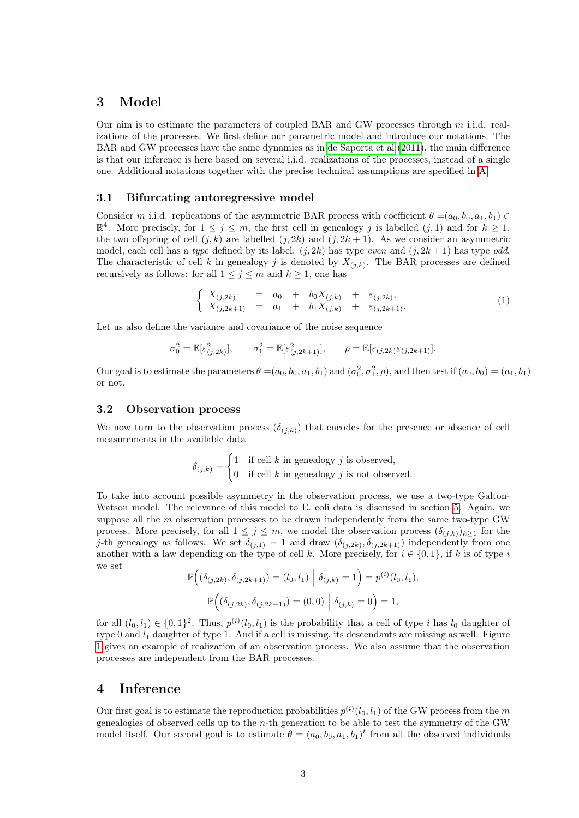# <span id="page-2-0"></span>3 Model

Our aim is to estimate the parameters of coupled BAR and GW processes through m i.i.d. realizations of the processes. We first define our parametric model and introduce our notations. The BAR and GW processes have the same dynamics as in [de Saporta et al](#page-30-4) [\(2011\)](#page-30-4), the main difference is that our inference is here based on several i.i.d. realizations of the processes, instead of a single one. Additional notations together with the precise technical assumptions are specified in [A.](#page-11-0)

#### 3.1 Bifurcating autoregressive model

Consider m i.i.d. replications of the asymmetric BAR process with coefficient  $\theta = (a_0, b_0, a_1, b_1) \in$  $\mathbb{R}^4$ . More precisely, for  $1 \leq j \leq m$ , the first cell in genealogy j is labelled  $(j, 1)$  and for  $k \geq 1$ , the two offspring of cell  $(j, k)$  are labelled  $(j, 2k)$  and  $(j, 2k + 1)$ . As we consider an asymmetric model, each cell has a type defined by its label:  $(j, 2k)$  has type *even* and  $(j, 2k + 1)$  has type *odd.* The characteristic of cell k in genealogy j is denoted by  $X_{(j,k)}$ . The BAR processes are defined recursively as follows: for all  $1 \leq j \leq m$  and  $k \geq 1$ , one has

<span id="page-2-2"></span>
$$
\begin{cases}\nX_{(j,2k)} = a_0 + b_0 X_{(j,k)} + \varepsilon_{(j,2k)}, \\
X_{(j,2k+1)} = a_1 + b_1 X_{(j,k)} + \varepsilon_{(j,2k+1)}.\n\end{cases}
$$
\n(1)

Let us also define the variance and covariance of the noise sequence

$$
\sigma_0^2 = \mathbb{E}[\varepsilon_{(j,2k)}^2], \qquad \sigma_1^2 = \mathbb{E}[\varepsilon_{(j,2k+1)}^2], \qquad \rho = \mathbb{E}[\varepsilon_{(j,2k)}\varepsilon_{(j,2k+1)}].
$$

Our goal is to estimate the parameters  $\theta = (a_0, b_0, a_1, b_1)$  and  $(\sigma_0^2, \sigma_1^2, \rho)$ , and then test if  $(a_0, b_0) = (a_1, b_1)$ or not.

### <span id="page-2-3"></span>3.2 Observation process

We now turn to the observation process  $(\delta_{(i,k)})$  that encodes for the presence or absence of cell measurements in the available data

$$
\delta_{(j,k)} = \begin{cases} 1 & \text{if cell } k \text{ in genealogy } j \text{ is observed,} \\ 0 & \text{if cell } k \text{ in genealogy } j \text{ is not observed.} \end{cases}
$$

To take into account possible asymmetry in the observation process, we use a two-type Galton-Watson model. The relevance of this model to E. coli data is discussed in section [5.](#page-5-0) Again, we suppose all the  $m$  observation processes to be drawn independently from the same two-type GW process. More precisely, for all  $1 \leq j \leq m$ , we model the observation process  $(\delta_{(j,k)})_{k\geq 1}$  for the j-th genealogy as follows. We set  $\delta_{(j,1)} = 1$  and draw  $(\delta_{(j,2k)}, \delta_{(j,2k+1)})$  independently from one another with a law depending on the type of cell k. More precisely, for  $i \in \{0,1\}$ , if k is of type i we set  $\mathbf{r}$ 

$$
\mathbb{P}\Big((\delta_{(j,2k)}, \delta_{(j,2k+1)}) = (l_0, l_1) \mid \delta_{(j,k)} = 1\Big) = p^{(i)}(l_0, l_1),
$$
  

$$
\mathbb{P}\Big((\delta_{(j,2k)}, \delta_{(j,2k+1)}) = (0,0) \mid \delta_{(j,k)} = 0\Big) = 1,
$$

for all  $(l_0, l_1) \in \{0, 1\}^2$ . Thus,  $p^{(i)}(l_0, l_1)$  is the probability that a cell of type i has  $l_0$  daughter of type 0 and  $l_1$  daughter of type 1. And if a cell is missing, its descendants are missing as well. Figure [1](#page-3-0) gives an example of realization of an observation process. We also assume that the observation processes are independent from the BAR processes.

# <span id="page-2-1"></span>4 Inference

Our first goal is to estimate the reproduction probabilities  $p^{(i)}(l_0, l_1)$  of the GW process from the m genealogies of observed cells up to the  $n$ -th generation to be able to test the symmetry of the GW model itself. Our second goal is to estimate  $\theta = (a_0, b_0, a_1, b_1)^t$  from all the observed individuals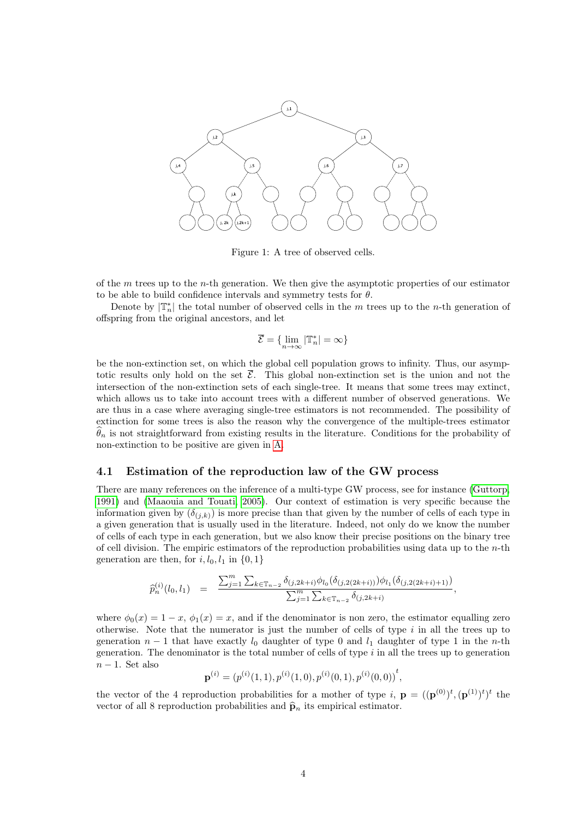

<span id="page-3-0"></span>Figure 1: A tree of observed cells.

of the  $m$  trees up to the *n*-th generation. We then give the asymptotic properties of our estimator to be able to build confidence intervals and symmetry tests for  $\theta$ .

Denote by  $|\mathbb{T}_n^*|$  the total number of observed cells in the m trees up to the n-th generation of offspring from the original ancestors, and let

$$
\overline{\mathcal{E}} = \{\lim_{n \to \infty} |\mathbb{T}_n^*| = \infty\}
$$

be the non-extinction set, on which the global cell population grows to infinity. Thus, our asymptotic results only hold on the set  $\overline{\mathcal{E}}$ . This global non-extinction set is the union and not the intersection of the non-extinction sets of each single-tree. It means that some trees may extinct, which allows us to take into account trees with a different number of observed generations. We are thus in a case where averaging single-tree estimators is not recommended. The possibility of extinction for some trees is also the reason why the convergence of the multiple-trees estimator  $\theta_n$  is not straightforward from existing results in the literature. Conditions for the probability of non-extinction to be positive are given in [A.](#page-11-0)

#### 4.1 Estimation of the reproduction law of the GW process

There are many references on the inference of a multi-type GW process, see for instance [\(Guttorp,](#page-29-6) [1991\)](#page-29-6) and [\(Maaouia and Touati, 2005\)](#page-30-6). Our context of estimation is very specific because the information given by  $(\delta_{(j,k)})$  is more precise than that given by the number of cells of each type in a given generation that is usually used in the literature. Indeed, not only do we know the number of cells of each type in each generation, but we also know their precise positions on the binary tree of cell division. The empiric estimators of the reproduction probabilities using data up to the  $n$ -th generation are then, for  $i, l_0, l_1$  in  $\{0, 1\}$ 

$$
\widehat{p}_n^{(i)}(l_0, l_1) = \frac{\sum_{j=1}^m \sum_{k \in \mathbb{T}_{n-2}} \delta_{(j, 2k+i)} \phi_{l_0}(\delta_{(j, 2(2k+i))}) \phi_{l_1}(\delta_{(j, 2(2k+i)+1)})}{\sum_{j=1}^m \sum_{k \in \mathbb{T}_{n-2}} \delta_{(j, 2k+i)}},
$$

where  $\phi_0(x) = 1 - x$ ,  $\phi_1(x) = x$ , and if the denominator is non zero, the estimator equalling zero otherwise. Note that the numerator is just the number of cells of type  $i$  in all the trees up to generation  $n-1$  that have exactly  $l_0$  daughter of type 0 and  $l_1$  daughter of type 1 in the n-th generation. The denominator is the total number of cells of type  $i$  in all the trees up to generation  $n-1$ . Set also

$$
\mathbf{p}^{(i)} = (p^{(i)}(1,1), p^{(i)}(1,0), p^{(i)}(0,1), p^{(i)}(0,0))^{t},
$$

the vector of the 4 reproduction probabilities for a mother of type i,  $\mathbf{p} = ((\mathbf{p}^{(0)})^t, (\mathbf{p}^{(1)})^t)^t$  the vector of all 8 reproduction probabilities and  $\hat{\mathbf{p}}_n$  its empirical estimator.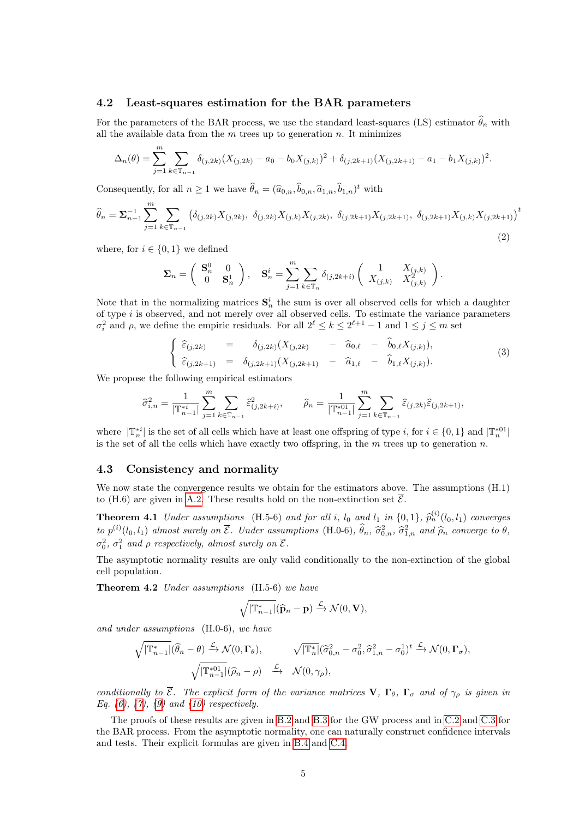#### 4.2 Least-squares estimation for the BAR parameters

For the parameters of the BAR process, we use the standard least-squares (LS) estimator  $\hat{\theta}_n$  with all the available data from the  $m$  trees up to generation  $n$ . It minimizes

$$
\Delta_n(\theta) = \sum_{j=1}^m \sum_{k \in \mathbb{T}_{n-1}} \delta_{(j,2k)} (X_{(j,2k)} - a_0 - b_0 X_{(j,k)})^2 + \delta_{(j,2k+1)} (X_{(j,2k+1)} - a_1 - b_1 X_{(j,k)})^2.
$$

Consequently, for all  $n \ge 1$  we have  $\hat{\theta}_n = (\hat{a}_{0,n}, \hat{b}_{0,n}, \hat{a}_{1,n}, \hat{b}_{1,n})^t$  with

<span id="page-4-2"></span>
$$
\widehat{\theta}_n = \sum_{n=1}^{\infty} \sum_{j=1}^m \sum_{k \in \mathbb{T}_{n-1}} \left( \delta_{(j,2k)} X_{(j,2k)}, \ \delta_{(j,2k)} X_{(j,k)} X_{(j,2k)}, \ \delta_{(j,2k+1)} X_{(j,2k+1)}, \ \delta_{(j,2k+1)} X_{(j,k)} X_{(j,2k+1)} \right)^t
$$
\n(2)

where, for  $i \in \{0,1\}$  we defined

$$
\pmb{\Sigma}_n = \left( \begin{array}{cc} \mathbf{S}^0_n & 0 \\ 0 & \mathbf{S}^1_n \end{array} \right), \quad \mathbf{S}^i_n = \sum_{j=1}^m \sum_{k \in \mathbb{T}_n} \delta_{(j, 2k+i)} \left( \begin{array}{cc} 1 & X_{(j,k)} \\ X_{(j,k)} & X^2_{(j,k)} \end{array} \right).
$$

Note that in the normalizing matrices  $S_n^i$  the sum is over all observed cells for which a daughter of type  $i$  is observed, and not merely over all observed cells. To estimate the variance parameters  $\sigma_i^2$  and  $\rho$ , we define the empiric residuals. For all  $2^{\ell} \leq k \leq 2^{\ell+1} - 1$  and  $1 \leq j \leq m$  set

<span id="page-4-3"></span>
$$
\begin{cases}\n\widehat{\varepsilon}_{(j,2k)} = \delta_{(j,2k)} (X_{(j,2k)} - \widehat{a}_{0,\ell} - \widehat{b}_{0,\ell} X_{(j,k)}), \\
\widehat{\varepsilon}_{(j,2k+1)} = \delta_{(j,2k+1)} (X_{(j,2k+1)} - \widehat{a}_{1,\ell} - \widehat{b}_{1,\ell} X_{(j,k)}).\n\end{cases}
$$
\n(3)

We propose the following empirical estimators

$$
\widehat{\sigma}_{i,n}^2 = \frac{1}{|\mathbb{T}_{n-1}^{*i}|} \sum_{j=1}^m \sum_{k \in \mathbb{T}_{n-1}} \widehat{\varepsilon}_{(j,2k+i)}^2, \qquad \widehat{\rho}_n = \frac{1}{|\mathbb{T}_{n-1}^{*01}|} \sum_{j=1}^m \sum_{k \in \mathbb{T}_{n-1}} \widehat{\varepsilon}_{(j,2k)} \widehat{\varepsilon}_{(j,2k+1)},
$$

where  $|\mathbb{T}_n^{*i}|$  is the set of all cells which have at least one offspring of type i, for  $i \in \{0,1\}$  and  $|\mathbb{T}_n^{*01}|$ is the set of all the cells which have exactly two offspring, in the  $m$  trees up to generation  $n$ .

### 4.3 Consistency and normality

We now state the convergence results we obtain for the estimators above. The assumptions (H.1) to (H.6) are given in [A.2.](#page-12-0) These results hold on the non-extinction set  $\overline{\mathcal{E}}$ .

**Theorem 4.1** Under assumptions (H.5-6) and for all i,  $l_0$  and  $l_1$  in  $\{0,1\}$ ,  $\hat{p}_n^{(i)}(l_0, l_1)$  converges to  $p^{(i)}(l_0, l_1)$  almost surely on  $\overline{\mathcal{E}}$ . Under assumptions (H.0-6),  $\hat{\theta}_n$ ,  $\hat{\sigma}_{0,n}^2$ ,  $\hat{\sigma}_{1,n}^2$  and  $\hat{\rho}_n$  converge to  $\theta$ ,  $\sigma_0^2$ ,  $\sigma_1^2$  and  $\rho$  respectively, almost surely on  $\overline{\mathcal{E}}$ .

<span id="page-4-0"></span>The asymptotic normality results are only valid conditionally to the non-extinction of the global cell population.

Theorem 4.2 Under assumptions (H.5-6) we have

<span id="page-4-1"></span>
$$
\sqrt{|\mathbb{T}_{n-1}^*|}(\widehat{\mathbf{p}}_n - \mathbf{p}) \xrightarrow{\mathcal{L}} \mathcal{N}(0, \mathbf{V}),
$$

and under assumptions (H.0-6), we have

$$
\sqrt{|\mathbb{T}_{n-1}^*|}(\widehat{\theta}_n - \theta) \xrightarrow{\mathcal{L}} \mathcal{N}(0, \Gamma_{\theta}), \qquad \sqrt{|\mathbb{T}_{n}^*|}(\widehat{\sigma}_{0,n}^2 - \sigma_0^2, \widehat{\sigma}_{1,n}^2 - \sigma_0^1)^t \xrightarrow{\mathcal{L}} \mathcal{N}(0, \Gamma_{\sigma}),
$$
  

$$
\sqrt{|\mathbb{T}_{n-1}^{*01}|}(\widehat{\rho}_n - \rho) \xrightarrow{\mathcal{L}} \mathcal{N}(0, \gamma_{\rho}),
$$

conditionally to  $\overline{\mathcal{E}}$ . The explicit form of the variance matrices  $\mathbf{V}$ ,  $\mathbf{\Gamma}_{\theta}$ ,  $\mathbf{\Gamma}_{\sigma}$  and of  $\gamma_{\rho}$  is given in Eq.  $(6)$ ,  $(7)$ ,  $(9)$  and  $(10)$  respectively.

The proofs of these results are given in [B.2](#page-15-0) and [B.3](#page-16-1) for the GW process and in [C.2](#page-23-0) and [C.3](#page-24-1) for the BAR process. From the asymptotic normality, one can naturally construct confidence intervals and tests. Their explicit formulas are given in [B.4](#page-17-0) and [C.4.](#page-27-1)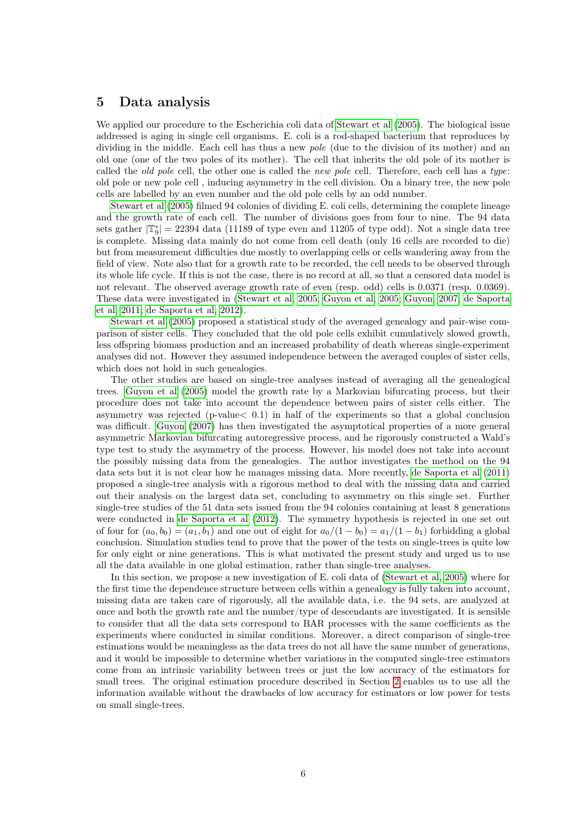### <span id="page-5-0"></span>5 Data analysis

We applied our procedure to the Escherichia coli data of [Stewart et al](#page-30-3) [\(2005\)](#page-30-3). The biological issue addressed is aging in single cell organisms. E. coli is a rod-shaped bacterium that reproduces by dividing in the middle. Each cell has thus a new *pole* (due to the division of its mother) and an old one (one of the two poles of its mother). The cell that inherits the old pole of its mother is called the *old pole* cell, the other one is called the *new pole* cell. Therefore, each cell has a type: old pole or new pole cell , inducing asymmetry in the cell division. On a binary tree, the new pole cells are labelled by an even number and the old pole cells by an odd number.

[Stewart et al](#page-30-3) [\(2005\)](#page-30-3) filmed 94 colonies of dividing E. coli cells, determining the complete lineage and the growth rate of each cell. The number of divisions goes from four to nine. The 94 data sets gather  $|\mathbb{T}_{9}^{*}| = 22394$  data (11189 of type even and 11205 of type odd). Not a single data tree is complete. Missing data mainly do not come from cell death (only 16 cells are recorded to die) but from measurement difficulties due mostly to overlapping cells or cells wandering away from the field of view. Note also that for a growth rate to be recorded, the cell needs to be observed through its whole life cycle. If this is not the case, there is no record at all, so that a censored data model is not relevant. The observed average growth rate of even (resp. odd) cells is 0.0371 (resp. 0.0369). These data were investigated in [\(Stewart et al, 2005;](#page-30-3) [Guyon et al, 2005;](#page-29-7) [Guyon, 2007;](#page-29-3) [de Saporta](#page-30-4) [et al, 2011;](#page-30-4) [de Saporta et al, 2012\)](#page-30-5).

[Stewart et al](#page-30-3) [\(2005\)](#page-30-3) proposed a statistical study of the averaged genealogy and pair-wise comparison of sister cells. They concluded that the old pole cells exhibit cumulatively slowed growth, less offspring biomass production and an increased probability of death whereas single-experiment analyses did not. However they assumed independence between the averaged couples of sister cells, which does not hold in such genealogies.

The other studies are based on single-tree analyses instead of averaging all the genealogical trees. [Guyon et al](#page-29-7) [\(2005\)](#page-29-7) model the growth rate by a Markovian bifurcating process, but their procedure does not take into account the dependence between pairs of sister cells either. The asymmetry was rejected (p-value< 0.1) in half of the experiments so that a global conclusion was difficult. [Guyon](#page-29-3) [\(2007\)](#page-29-3) has then investigated the asymptotical properties of a more general asymmetric Markovian bifurcating autoregressive process, and he rigorously constructed a Wald's type test to study the asymmetry of the process. However, his model does not take into account the possibly missing data from the genealogies. The author investigates the method on the 94 data sets but it is not clear how he manages missing data. More recently, [de Saporta et al](#page-30-4) [\(2011\)](#page-30-4) proposed a single-tree analysis with a rigorous method to deal with the missing data and carried out their analysis on the largest data set, concluding to asymmetry on this single set. Further single-tree studies of the 51 data sets issued from the 94 colonies containing at least 8 generations were conducted in [de Saporta et al](#page-30-5) [\(2012\)](#page-30-5). The symmetry hypothesis is rejected in one set out of four for  $(a_0, b_0) = (a_1, b_1)$  and one out of eight for  $a_0/(1 - b_0) = a_1/(1 - b_1)$  forbidding a global conclusion. Simulation studies tend to prove that the power of the tests on single-trees is quite low for only eight or nine generations. This is what motivated the present study and urged us to use all the data available in one global estimation, rather than single-tree analyses.

In this section, we propose a new investigation of E. coli data of [\(Stewart et al, 2005\)](#page-30-3) where for the first time the dependence structure between cells within a genealogy is fully taken into account, missing data are taken care of rigorously, all the available data, i.e. the 94 sets, are analyzed at once and both the growth rate and the number/type of descendants are investigated. It is sensible to consider that all the data sets correspond to BAR processes with the same coefficients as the experiments where conducted in similar conditions. Moreover, a direct comparison of single-tree estimations would be meaningless as the data trees do not all have the same number of generations, and it would be impossible to determine whether variations in the computed single-tree estimators come from an intrinsic variability between trees or just the low accuracy of the estimators for small trees. The original estimation procedure described in Section [2](#page-1-0) enables us to use all the information available without the drawbacks of low accuracy for estimators or low power for tests on small single-trees.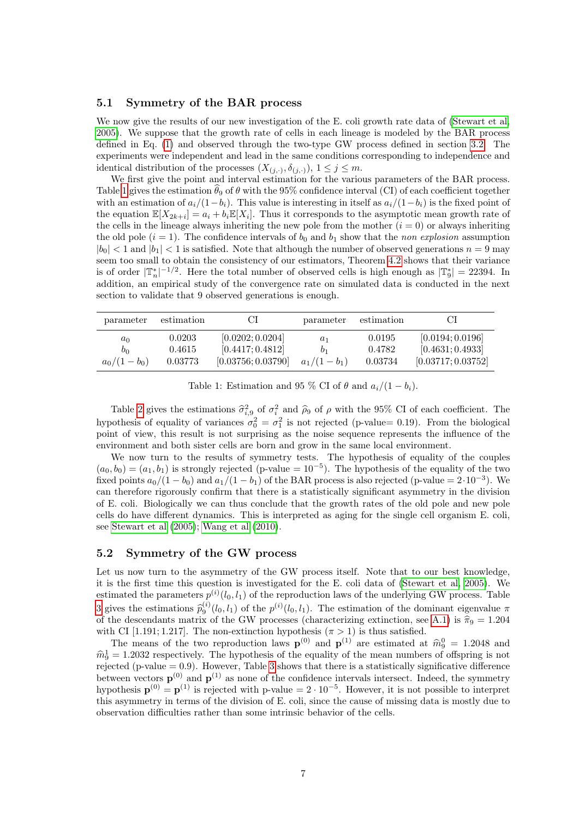#### 5.1 Symmetry of the BAR process

We now give the results of our new investigation of the E. coli growth rate data of [\(Stewart et al,](#page-30-3) [2005\)](#page-30-3). We suppose that the growth rate of cells in each lineage is modeled by the BAR process defined in Eq. [\(1\)](#page-2-2) and observed through the two-type GW process defined in section [3.2.](#page-2-3) The experiments were independent and lead in the same conditions corresponding to independence and identical distribution of the processes  $(X_{(j,\cdot)}, \delta_{(j,\cdot)}), 1 \leq j \leq m$ .

We first give the point and interval estimation for the various parameters of the BAR process. Table [1](#page-6-0) gives the estimation  $\theta_9$  of  $\theta$  with the 95% confidence interval (CI) of each coefficient together with an estimation of  $a_i/(1-b_i)$ . This value is interesting in itself as  $a_i/(1-b_i)$  is the fixed point of the equation  $\mathbb{E}[X_{2k+i}] = a_i + b_i \mathbb{E}[X_i]$ . Thus it corresponds to the asymptotic mean growth rate of the cells in the lineage always inheriting the new pole from the mother  $(i = 0)$  or always inheriting the old pole  $(i = 1)$ . The confidence intervals of  $b_0$  and  $b_1$  show that the non explosion assumption  $|b_0| < 1$  and  $|b_1| < 1$  is satisfied. Note that although the number of observed generations  $n = 9$  may seem too small to obtain the consistency of our estimators, Theorem [4.2](#page-4-0) shows that their variance is of order  $|\mathbb{T}_n^*|^{-1/2}$ . Here the total number of observed cells is high enough as  $|\mathbb{T}_9^*| = 22394$ . In addition, an empirical study of the convergence rate on simulated data is conducted in the next section to validate that 9 observed generations is enough.

| parameter                       | estimation                  |                                                            | parameter              | estimation                  |                                                            |
|---------------------------------|-----------------------------|------------------------------------------------------------|------------------------|-----------------------------|------------------------------------------------------------|
| $a_0$<br>$b_0$<br>$a_0/(1-b_0)$ | 0.0203<br>0.4615<br>0.03773 | [0.0202; 0.0204]<br>[0.4417; 0.4812]<br>[0.03756; 0.03790] | $a_1$<br>$a_1/(1-b_1)$ | 0.0195<br>0.4782<br>0.03734 | [0.0194; 0.0196]<br>[0.4631; 0.4933]<br>[0.03717; 0.03752] |

<span id="page-6-0"></span>Table 1: Estimation and 95 % CI of  $\theta$  and  $a_i/(1-b_i)$ .

Table [2](#page-7-1) gives the estimations  $\hat{\sigma}_{i,9}^2$  of  $\sigma_i^2$  and  $\hat{\rho}_9$  of  $\rho$  with the 95% CI of each coefficient. The hypothesis of equality of variances  $\sigma_0^2 = \sigma_1^2$  is not rejected (p-value= 0.19). From the biological point of view, this result is not surprising as the noise sequence represents the influence of the environment and both sister cells are born and grow in the same local environment.

We now turn to the results of symmetry tests. The hypothesis of equality of the couples  $(a_0, b_0) = (a_1, b_1)$  is strongly rejected (p-value =  $10^{-5}$ ). The hypothesis of the equality of the two fixed points  $a_0/(1-b_0)$  and  $a_1/(1-b_1)$  of the BAR process is also rejected (p-value = 2·10<sup>-3</sup>). We can therefore rigorously confirm that there is a statistically significant asymmetry in the division of E. coli. Biologically we can thus conclude that the growth rates of the old pole and new pole cells do have different dynamics. This is interpreted as aging for the single cell organism E. coli, see [Stewart et al](#page-30-3) [\(2005\)](#page-30-3); [Wang et al](#page-30-7) [\(2010\)](#page-30-7).

#### 5.2 Symmetry of the GW process

Let us now turn to the asymmetry of the GW process itself. Note that to our best knowledge, it is the first time this question is investigated for the E. coli data of [\(Stewart et al, 2005\)](#page-30-3). We estimated the parameters  $p^{(i)}(l_0, l_1)$  of the reproduction laws of the underlying GW process. Table [3](#page-7-2) gives the estimations  $\hat{p}_0^{(i)}(l_0, l_1)$  of the  $p^{(i)}(l_0, l_1)$ . The estimation of the dominant eigenvalue  $\pi$ <br>of the descondants matrix of the GW processes (characterizing extinction see A.1) is  $\hat{\pi}_s = 1.204$ of the descendants matrix of the GW processes (characterizing extinction, see [A.1\)](#page-12-1) is  $\hat{\pi}_9 = 1.204$ <br>with CU [1.101.1.217]. The non-extinction hypothesis ( $\pi > 1$ ) is thus satisfied with CI [1.191; 1.217]. The non-extinction hypothesis  $(\pi > 1)$  is thus satisfied.

The means of the two reproduction laws  $\mathbf{p}^{(0)}$  and  $\mathbf{p}^{(1)}$  are estimated at  $\hat{m}_9^0 = 1.2048$  and  $-1.2032$  reproductively. The hypothesis of the equality of the mean numbers of offerring is not  $\hat{m}_9^1 = 1.2032$  respectively. The hypothesis of the equality of the mean numbers of offspring is not rejected (p value = 0.0). However, Table 3 shows that there is a statistically significative difference rejected (p-value  $= 0.9$ ). However, Table [3](#page-7-2) shows that there is a statistically significative difference between vectors  $\mathbf{p}^{(0)}$  and  $\mathbf{p}^{(1)}$  as none of the confidence intervals intersect. Indeed, the symmetry hypothesis  $\mathbf{p}^{(0)} = \mathbf{p}^{(1)}$  is rejected with p-value =  $2 \cdot 10^{-5}$ . However, it is not possible to interpret this asymmetry in terms of the division of E. coli, since the cause of missing data is mostly due to observation difficulties rather than some intrinsic behavior of the cells.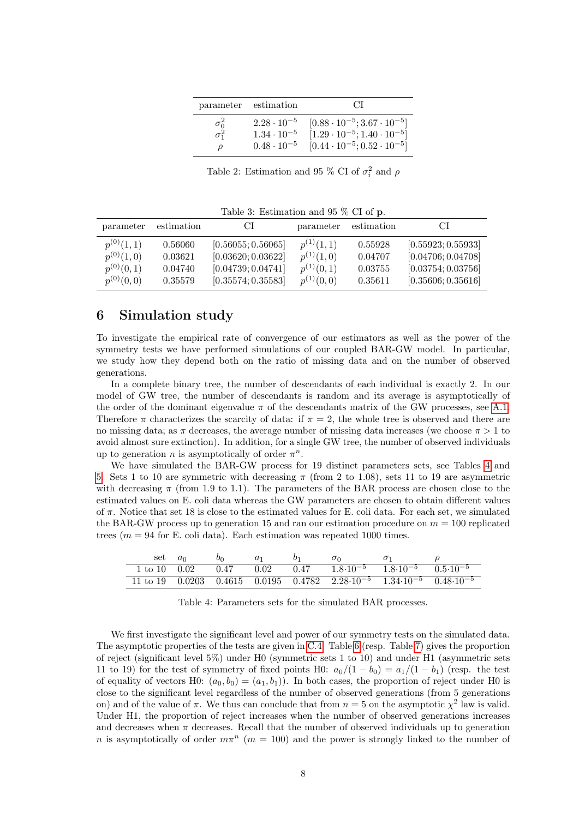|                              | parameter estimation                                                 | C.L                                                                                                                                     |
|------------------------------|----------------------------------------------------------------------|-----------------------------------------------------------------------------------------------------------------------------------------|
| $\sigma_0^2$<br>$\sigma_1^2$ | $2.28 \cdot 10^{-5}$<br>$1.34 \cdot 10^{-5}$<br>$0.48 \cdot 10^{-5}$ | $[0.88 \cdot 10^{-5} ; 3.67 \cdot 10^{-5}]$<br>$[1.29 \cdot 10^{-5}; 1.40 \cdot 10^{-5}]$<br>$[0.44 \cdot 10^{-5}; 0.52 \cdot 10^{-5}]$ |

<span id="page-7-1"></span>Table 2: Estimation and 95 % CI of  $\sigma_i^2$  and  $\rho$ 

<span id="page-7-2"></span>Table 3: Estimation and 95 % CI of p.

| parameter      | estimation | СI                 | parameter      | estimation | C.                 |
|----------------|------------|--------------------|----------------|------------|--------------------|
| $p^{(0)}(1,1)$ | 0.56060    | [0.56055; 0.56065] | $p^{(1)}(1,1)$ | 0.55928    | [0.55923; 0.55933] |
| $p^{(0)}(1,0)$ | 0.03621    | [0.03620; 0.03622] | $p^{(1)}(1,0)$ | 0.04707    | [0.04706; 0.04708] |
| $p^{(0)}(0,1)$ | 0.04740    | [0.04739; 0.04741] | $p^{(1)}(0,1)$ | 0.03755    | [0.03754; 0.03756] |
| $p^{(0)}(0,0)$ | 0.35579    | [0.35574; 0.35583] | $p^{(1)}(0,0)$ | 0.35611    | [0.35606; 0.35616] |

# <span id="page-7-0"></span>6 Simulation study

To investigate the empirical rate of convergence of our estimators as well as the power of the symmetry tests we have performed simulations of our coupled BAR-GW model. In particular, we study how they depend both on the ratio of missing data and on the number of observed generations.

In a complete binary tree, the number of descendants of each individual is exactly 2. In our model of GW tree, the number of descendants is random and its average is asymptotically of the order of the dominant eigenvalue  $\pi$  of the descendants matrix of the GW processes, see [A.1.](#page-12-1) Therefore  $\pi$  characterizes the scarcity of data: if  $\pi = 2$ , the whole tree is observed and there are no missing data; as  $\pi$  decreases, the average number of missing data increases (we choose  $\pi > 1$  to avoid almost sure extinction). In addition, for a single GW tree, the number of observed individuals up to generation *n* is asymptotically of order  $\pi^n$ .

We have simulated the BAR-GW process for 19 distinct parameters sets, see Tables [4](#page-7-3) and [5.](#page-8-0) Sets 1 to 10 are symmetric with decreasing  $\pi$  (from 2 to 1.08), sets 11 to 19 are asymmetric with decreasing  $\pi$  (from 1.9 to 1.1). The parameters of the BAR process are chosen close to the estimated values on E. coli data whereas the GW parameters are chosen to obtain different values of  $\pi$ . Notice that set 18 is close to the estimated values for E. coli data. For each set, we simulated the BAR-GW process up to generation 15 and ran our estimation procedure on  $m = 100$  replicated trees ( $m = 94$  for E. coli data). Each estimation was repeated 1000 times.

| set             | $a_0$ | $b_0$ |      |      | $\sigma$                                                                                  |  |
|-----------------|-------|-------|------|------|-------------------------------------------------------------------------------------------|--|
| 1 to 10         | 0.02  | 0.47  | 0.02 | 0.47 | $1.8 \cdot 10^{-5}$ $1.8 \cdot 10^{-5}$ $0.5 \cdot 10^{-5}$                               |  |
| 11 to 19 0.0203 |       |       |      |      | $0.4615$ $0.0195$ $0.4782$ $2.28 \cdot 10^{-5}$ $1.34 \cdot 10^{-5}$ $0.48 \cdot 10^{-5}$ |  |

<span id="page-7-3"></span>Table 4: Parameters sets for the simulated BAR processes.

We first investigate the significant level and power of our symmetry tests on the simulated data. The asymptotic properties of the tests are given in [C.4.](#page-27-1) Table [6](#page-9-0) (resp. Table [7\)](#page-9-1) gives the proportion of reject (significant level 5%) under H0 (symmetric sets 1 to 10) and under H1 (asymmetric sets 11 to 19) for the test of symmetry of fixed points H0:  $a_0/(1-b_0) = a_1/(1-b_1)$  (resp. the test of equality of vectors H0:  $(a_0, b_0) = (a_1, b_1)$ . In both cases, the proportion of reject under H0 is close to the significant level regardless of the number of observed generations (from 5 generations on) and of the value of  $\pi$ . We thus can conclude that from  $n = 5$  on the asymptotic  $\chi^2$  law is valid. Under H1, the proportion of reject increases when the number of observed generations increases and decreases when  $\pi$  decreases. Recall that the number of observed individuals up to generation n is asymptotically of order  $m\pi^{n}$  ( $m = 100$ ) and the power is strongly linked to the number of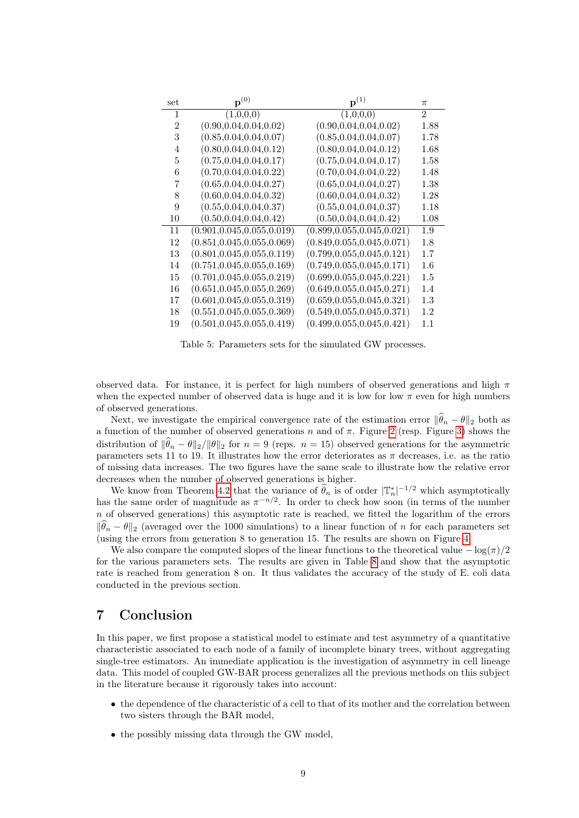| set           | $\mathbf{p}^{(0)}$           | ${\bf p}^{(1)}$              | $\pi$   |
|---------------|------------------------------|------------------------------|---------|
| 1             | (1,0,0,0)                    | (1,0,0,0)                    | 2       |
| $\mathcal{D}$ | (0.90, 0.04, 0.04, 0.02)     | (0.90, 0.04, 0.04, 0.02)     | 1.88    |
| 3             | (0.85, 0.04, 0.04, 0.07)     | (0.85, 0.04, 0.04, 0.07)     | 1.78    |
| 4             | (0.80, 0.04, 0.04, 0.12)     | (0.80, 0.04, 0.04, 0.12)     | 1.68    |
| 5             | (0.75, 0.04, 0.04, 0.17)     | (0.75, 0.04, 0.04, 0.17)     | 1.58    |
| 6             | (0.70, 0.04, 0.04, 0.22)     | (0.70, 0.04, 0.04, 0.22)     | 1.48    |
| 7             | (0.65, 0.04, 0.04, 0.27)     | (0.65, 0.04, 0.04, 0.27)     | 1.38    |
| 8             | (0.60, 0.04, 0.04, 0.32)     | (0.60, 0.04, 0.04, 0.32)     | 1.28    |
| 9             | (0.55, 0.04, 0.04, 0.37)     | (0.55, 0.04, 0.04, 0.37)     | 1.18    |
| 10            | (0.50, 0.04, 0.04, 0.42)     | (0.50, 0.04, 0.04, 0.42)     | 1.08    |
| 11            | (0.901, 0.045, 0.055, 0.019) | (0.899, 0.055, 0.045, 0.021) | 1.9     |
| 12            | (0.851, 0.045, 0.055, 0.069) | (0.849, 0.055, 0.045, 0.071) | 1.8     |
| 13            | (0.801, 0.045, 0.055, 0.119) | (0.799, 0.055, 0.045, 0.121) | 1.7     |
| 14            | (0.751, 0.045, 0.055, 0.169) | (0.749, 0.055, 0.045, 0.171) | 1.6     |
| 15            | (0.701, 0.045, 0.055, 0.219) | (0.699, 0.055, 0.045, 0.221) | 1.5     |
| 16            | (0.651, 0.045, 0.055, 0.269) | (0.649, 0.055, 0.045, 0.271) | 1.4     |
| 17            | (0.601, 0.045, 0.055, 0.319) | (0.659, 0.055, 0.045, 0.321) | $1.3\,$ |
| 18            | (0.551, 0.045, 0.055, 0.369) | (0.549, 0.055, 0.045, 0.371) | 1.2     |
| 19            | (0.501, 0.045, 0.055, 0.419) | (0.499, 0.055, 0.045, 0.421) | 1.1     |

<span id="page-8-0"></span>Table 5: Parameters sets for the simulated GW processes.

observed data. For instance, it is perfect for high numbers of observed generations and high  $\pi$ when the expected number of observed data is huge and it is low for low  $\pi$  even for high numbers of observed generations.

Next, we investigate the empirical convergence rate of the estimation error  $\|\widehat{\theta}_n - \theta\|_2$  both as a function of the number of observed generations n and of  $\pi$ . Figure [2](#page-10-0) (resp. Figure [3\)](#page-10-1) shows the distribution of  $\|\widehat{\theta}_n - \theta\|_2/\|\theta\|_2$  for  $n = 9$  (reps.  $n = 15$ ) observed generations for the asymmetric parameters sets 11 to 19. It illustrates how the error deteriorates as  $\pi$  decreases, i.e. as the ratio of missing data increases. The two figures have the same scale to illustrate how the relative error decreases when the number of observed generations is higher.

We know from Theorem [4.2](#page-4-0) that the variance of  $\widehat{\theta}_n$  is of order  $|\mathbb{T}_n^*|^{-1/2}$  which asymptotically has the same order of magnitude as  $\pi^{-n/2}$ . In order to check how soon (in terms of the number  $n$  of observed generations) this asymptotic rate is reached, we fitted the logarithm of the errors  $\|\hat{\theta}_n - \theta\|_2$  (averaged over the 1000 simulations) to a linear function of n for each parameters set (using the errors from generation 8 to generation 15. The results are shown on Figure [4.](#page-11-1)

We also compare the computed slopes of the linear functions to the theoretical value  $-\log(\pi)/2$ for the various parameters sets. The results are given in Table [8](#page-11-2) and show that the asymptotic rate is reached from generation 8 on. It thus validates the accuracy of the study of E. coli data conducted in the previous section.

# 7 Conclusion

In this paper, we first propose a statistical model to estimate and test asymmetry of a quantitative characteristic associated to each node of a family of incomplete binary trees, without aggregating single-tree estimators. An immediate application is the investigation of asymmetry in cell lineage data. This model of coupled GW-BAR process generalizes all the previous methods on this subject in the literature because it rigorously takes into account:

- the dependence of the characteristic of a cell to that of its mother and the correlation between two sisters through the BAR model,
- the possibly missing data through the GW model,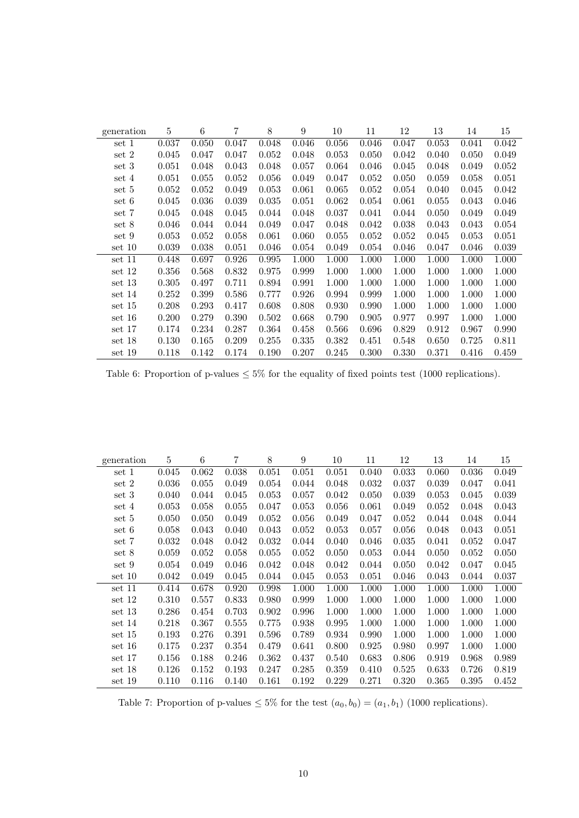| generation | 5     | 6     | 7         | 8     | 9     | 10    | 11    | 12    | 13    | 14    | 15    |
|------------|-------|-------|-----------|-------|-------|-------|-------|-------|-------|-------|-------|
| set 1      | 0.037 | 0.050 | 0.047     | 0.048 | 0.046 | 0.056 | 0.046 | 0.047 | 0.053 | 0.041 | 0.042 |
| set 2      | 0.045 | 0.047 | 0.047     | 0.052 | 0.048 | 0.053 | 0.050 | 0.042 | 0.040 | 0.050 | 0.049 |
| set 3      | 0.051 | 0.048 | 0.043     | 0.048 | 0.057 | 0.064 | 0.046 | 0.045 | 0.048 | 0.049 | 0.052 |
| set 4      | 0.051 | 0.055 | 0.052     | 0.056 | 0.049 | 0.047 | 0.052 | 0.050 | 0.059 | 0.058 | 0.051 |
| set 5      | 0.052 | 0.052 | 0.049     | 0.053 | 0.061 | 0.065 | 0.052 | 0.054 | 0.040 | 0.045 | 0.042 |
| set 6      | 0.045 | 0.036 | 0.039     | 0.035 | 0.051 | 0.062 | 0.054 | 0.061 | 0.055 | 0.043 | 0.046 |
| set 7      | 0.045 | 0.048 | 0.045     | 0.044 | 0.048 | 0.037 | 0.041 | 0.044 | 0.050 | 0.049 | 0.049 |
| set 8      | 0.046 | 0.044 | 0.044     | 0.049 | 0.047 | 0.048 | 0.042 | 0.038 | 0.043 | 0.043 | 0.054 |
| set 9      | 0.053 | 0.052 | 0.058     | 0.061 | 0.060 | 0.055 | 0.052 | 0.052 | 0.045 | 0.053 | 0.051 |
| set 10     | 0.039 | 0.038 | 0.051     | 0.046 | 0.054 | 0.049 | 0.054 | 0.046 | 0.047 | 0.046 | 0.039 |
| set 11     | 0.448 | 0.697 | 0.926     | 0.995 | 1.000 | 1.000 | 1.000 | 1.000 | 1.000 | 1.000 | 1.000 |
| set 12     | 0.356 | 0.568 | 0.832     | 0.975 | 0.999 | 1.000 | 1.000 | 1.000 | 1.000 | 1.000 | 1.000 |
| set 13     | 0.305 | 0.497 | 0.711     | 0.894 | 0.991 | 1.000 | 1.000 | 1.000 | 1.000 | 1.000 | 1.000 |
| set 14     | 0.252 | 0.399 | 0.586     | 0.777 | 0.926 | 0.994 | 0.999 | 1.000 | 1.000 | 1.000 | 1.000 |
| set 15     | 0.208 | 0.293 | 0.417     | 0.608 | 0.808 | 0.930 | 0.990 | 1.000 | 1.000 | 1.000 | 1.000 |
| set 16     | 0.200 | 0.279 | $0.390\,$ | 0.502 | 0.668 | 0.790 | 0.905 | 0.977 | 0.997 | 1.000 | 1.000 |
| set 17     | 0.174 | 0.234 | 0.287     | 0.364 | 0.458 | 0.566 | 0.696 | 0.829 | 0.912 | 0.967 | 0.990 |
| set 18     | 0.130 | 0.165 | 0.209     | 0.255 | 0.335 | 0.382 | 0.451 | 0.548 | 0.650 | 0.725 | 0.811 |
| set 19     | 0.118 | 0.142 | 0.174     | 0.190 | 0.207 | 0.245 | 0.300 | 0.330 | 0.371 | 0.416 | 0.459 |

<span id="page-9-0"></span>Table 6: Proportion of p-values  $\leq 5\%$  for the equality of fixed points test (1000 replications).

| generation | $\overline{5}$ | 6     | 7     | 8     | 9     | 10    | 11    | 12    | 13    | 14    | 15    |
|------------|----------------|-------|-------|-------|-------|-------|-------|-------|-------|-------|-------|
| set 1      | 0.045          | 0.062 | 0.038 | 0.051 | 0.051 | 0.051 | 0.040 | 0.033 | 0.060 | 0.036 | 0.049 |
| set 2      | 0.036          | 0.055 | 0.049 | 0.054 | 0.044 | 0.048 | 0.032 | 0.037 | 0.039 | 0.047 | 0.041 |
| set 3      | 0.040          | 0.044 | 0.045 | 0.053 | 0.057 | 0.042 | 0.050 | 0.039 | 0.053 | 0.045 | 0.039 |
| set 4      | 0.053          | 0.058 | 0.055 | 0.047 | 0.053 | 0.056 | 0.061 | 0.049 | 0.052 | 0.048 | 0.043 |
| set 5      | 0.050          | 0.050 | 0.049 | 0.052 | 0.056 | 0.049 | 0.047 | 0.052 | 0.044 | 0.048 | 0.044 |
| set 6      | 0.058          | 0.043 | 0.040 | 0.043 | 0.052 | 0.053 | 0.057 | 0.056 | 0.048 | 0.043 | 0.051 |
| set 7      | 0.032          | 0.048 | 0.042 | 0.032 | 0.044 | 0.040 | 0.046 | 0.035 | 0.041 | 0.052 | 0.047 |
| set 8      | 0.059          | 0.052 | 0.058 | 0.055 | 0.052 | 0.050 | 0.053 | 0.044 | 0.050 | 0.052 | 0.050 |
| set 9      | 0.054          | 0.049 | 0.046 | 0.042 | 0.048 | 0.042 | 0.044 | 0.050 | 0.042 | 0.047 | 0.045 |
| set 10     | 0.042          | 0.049 | 0.045 | 0.044 | 0.045 | 0.053 | 0.051 | 0.046 | 0.043 | 0.044 | 0.037 |
| set 11     | 0.414          | 0.678 | 0.920 | 0.998 | 1.000 | 1.000 | 1.000 | 1.000 | 1.000 | 1.000 | 1.000 |
| set 12     | 0.310          | 0.557 | 0.833 | 0.980 | 0.999 | 1.000 | 1.000 | 1.000 | 1.000 | 1.000 | 1.000 |
| set 13     | 0.286          | 0.454 | 0.703 | 0.902 | 0.996 | 1.000 | 1.000 | 1.000 | 1.000 | 1.000 | 1.000 |
| set 14     | 0.218          | 0.367 | 0.555 | 0.775 | 0.938 | 0.995 | 1.000 | 1.000 | 1.000 | 1.000 | 1.000 |
| set 15     | 0.193          | 0.276 | 0.391 | 0.596 | 0.789 | 0.934 | 0.990 | 1.000 | 1.000 | 1.000 | 1.000 |
| set 16     | 0.175          | 0.237 | 0.354 | 0.479 | 0.641 | 0.800 | 0.925 | 0.980 | 0.997 | 1.000 | 1.000 |
| set 17     | 0.156          | 0.188 | 0.246 | 0.362 | 0.437 | 0.540 | 0.683 | 0.806 | 0.919 | 0.968 | 0.989 |
| set 18     | 0.126          | 0.152 | 0.193 | 0.247 | 0.285 | 0.359 | 0.410 | 0.525 | 0.633 | 0.726 | 0.819 |
| set 19     | 0.110          | 0.116 | 0.140 | 0.161 | 0.192 | 0.229 | 0.271 | 0.320 | 0.365 | 0.395 | 0.452 |

<span id="page-9-1"></span>Table 7: Proportion of p-values  $\leq 5\%$  for the test  $(a_0, b_0) = (a_1, b_1)$  (1000 replications).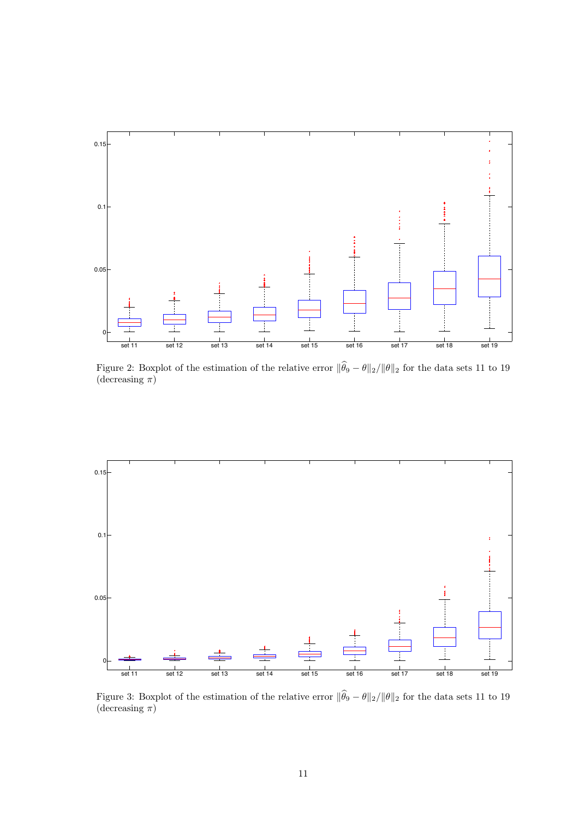

<span id="page-10-0"></span>Figure 2: Boxplot of the estimation of the relative error  $\|\widehat{\theta}_9 - \theta\|_2 / \|\theta\|_2$  for the data sets 11 to 19 (decreasing  $\pi$ )



<span id="page-10-1"></span>Figure 3: Boxplot of the estimation of the relative error  $\|\widehat{\theta}_9 - \theta\|_2 / \|\theta\|_2$  for the data sets 11 to 19 (decreasing  $\pi$ )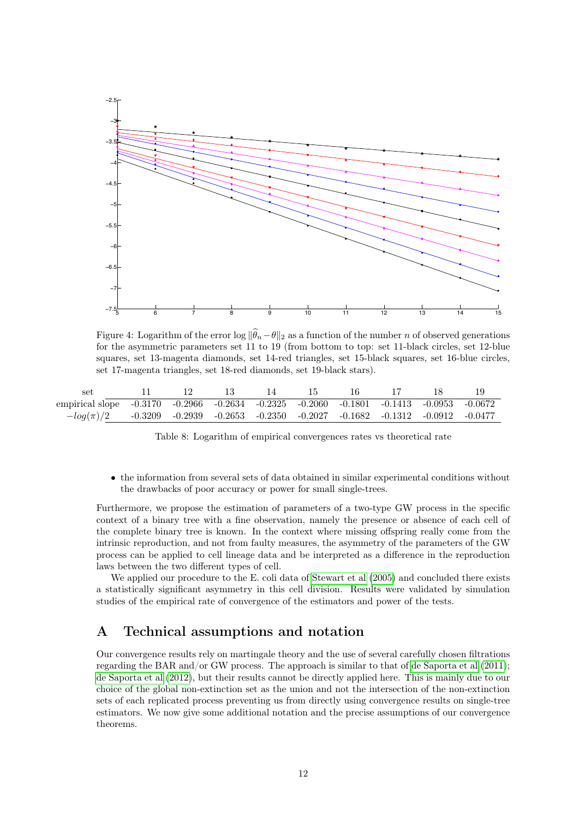

<span id="page-11-1"></span>Figure 4: Logarithm of the error log  $\|\widehat{\theta}_n-\theta\|_2$  as a function of the number n of observed generations for the asymmetric parameters set 11 to 19 (from bottom to top: set 11-black circles, set 12-blue squares, set 13-magenta diamonds, set 14-red triangles, set 15-black squares, set 16-blue circles, set 17-magenta triangles, set 18-red diamonds, set 19-black stars).

| set                                                                                     |  |  |  |  |  |
|-----------------------------------------------------------------------------------------|--|--|--|--|--|
| empirical slope -0.3170 -0.2966 -0.2634 -0.2325 -0.2060 -0.1801 -0.1413 -0.0953 -0.0672 |  |  |  |  |  |
| $-log(\pi)/2$ -0.3209 -0.2939 -0.2653 -0.2350 -0.2027 -0.1682 -0.1312 -0.0912 -0.0477   |  |  |  |  |  |

<span id="page-11-2"></span>Table 8: Logarithm of empirical convergences rates vs theoretical rate

• the information from several sets of data obtained in similar experimental conditions without the drawbacks of poor accuracy or power for small single-trees.

Furthermore, we propose the estimation of parameters of a two-type GW process in the specific context of a binary tree with a fine observation, namely the presence or absence of each cell of the complete binary tree is known. In the context where missing offspring really come from the intrinsic reproduction, and not from faulty measures, the asymmetry of the parameters of the GW process can be applied to cell lineage data and be interpreted as a difference in the reproduction laws between the two different types of cell.

We applied our procedure to the E. coli data of [Stewart et al](#page-30-3)  $(2005)$  and concluded there exists a statistically significant asymmetry in this cell division. Results were validated by simulation studies of the empirical rate of convergence of the estimators and power of the tests.

# <span id="page-11-0"></span>A Technical assumptions and notation

Our convergence results rely on martingale theory and the use of several carefully chosen filtrations regarding the BAR and/or GW process. The approach is similar to that of [de Saporta et al](#page-30-4) [\(2011\)](#page-30-4); [de Saporta et al](#page-30-5) [\(2012\)](#page-30-5), but their results cannot be directly applied here. This is mainly due to our choice of the global non-extinction set as the union and not the intersection of the non-extinction sets of each replicated process preventing us from directly using convergence results on single-tree estimators. We now give some additional notation and the precise assumptions of our convergence theorems.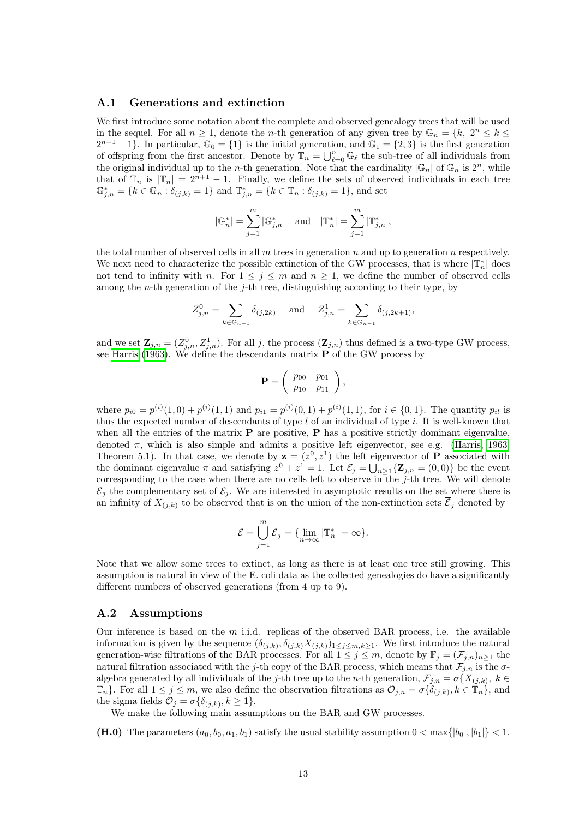#### <span id="page-12-1"></span>A.1 Generations and extinction

We first introduce some notation about the complete and observed genealogy trees that will be used in the sequel. For all  $n \geq 1$ , denote the *n*-th generation of any given tree by  $\mathbb{G}_n = \{k, 2^n \leq k \leq n\}$  $2^{n+1}-1$ . In particular,  $\mathbb{G}_0 = \{1\}$  is the initial generation, and  $\mathbb{G}_1 = \{2,3\}$  is the first generation of offspring from the first ancestor. Denote by  $\mathbb{T}_n = \bigcup_{\ell=0}^n \mathbb{G}_{\ell}$  the sub-tree of all individuals from the original individual up to the *n*-th generation. Note that the cardinality  $|\mathbb{G}_n|$  of  $\mathbb{G}_n$  is  $2^n$ , while that of  $\mathbb{T}_n$  is  $|\mathbb{T}_n| = 2^{n+1} - 1$ . Finally, we define the sets of observed individuals in each tree  $\mathbb{G}_{j,n}^* = \{k \in \mathbb{G}_n : \delta_{(j,k)} = 1\}$  and  $\mathbb{T}_{j,n}^* = \{k \in \mathbb{T}_n : \delta_{(j,k)} = 1\}$ , and set

$$
|\mathbb{G}_n^*| = \sum_{j=1}^m |\mathbb{G}_{j,n}^*| \quad \text{and} \quad |\mathbb{T}_n^*| = \sum_{j=1}^m |\mathbb{T}_{j,n}^*|,
$$

the total number of observed cells in all  $m$  trees in generation  $n$  and up to generation  $n$  respectively. We next need to characterize the possible extinction of the GW processes, that is where  $|\mathbb{T}_{n}^{*}|$  does not tend to infinity with n. For  $1 \leq j \leq m$  and  $n \geq 1$ , we define the number of observed cells among the *n*-th generation of the  $j$ -th tree, distinguishing according to their type, by

$$
Z_{j,n}^0 = \sum_{k \in \mathbb{G}_{n-1}} \delta_{(j,2k)} \quad \text{and} \quad Z_{j,n}^1 = \sum_{k \in \mathbb{G}_{n-1}} \delta_{(j,2k+1)},
$$

and we set  $\mathbf{Z}_{j,n} = (Z_{j,n}^0, Z_{j,n}^1)$ . For all j, the process  $(\mathbf{Z}_{j,n})$  thus defined is a two-type GW process, see [Harris](#page-29-8) [\(1963\)](#page-29-8). We define the descendants matrix  $P$  of the GW process by

$$
\mathbf{P} = \left( \begin{array}{cc} p_{00} & p_{01} \\ p_{10} & p_{11} \end{array} \right),
$$

where  $p_{i0} = p^{(i)}(1,0) + p^{(i)}(1,1)$  and  $p_{i1} = p^{(i)}(0,1) + p^{(i)}(1,1)$ , for  $i \in \{0,1\}$ . The quantity  $p_{i1}$  is thus the expected number of descendants of type  $l$  of an individual of type  $i$ . It is well-known that when all the entries of the matrix  $P$  are positive,  $P$  has a positive strictly dominant eigenvalue, denoted  $\pi$ , which is also simple and admits a positive left eigenvector, see e.g. [\(Harris, 1963,](#page-29-8) Theorem 5.1). In that case, we denote by  $z = (z^0, z^1)$  the left eigenvector of **P** associated with the dominant eigenvalue  $\pi$  and satisfying  $z^0 + z^1 = 1$ . Let  $\mathcal{E}_j = \bigcup_{n \geq 1} {\mathbf{Z}_{j,n}} = (0,0)$  be the event corresponding to the case when there are no cells left to observe in the j-th tree. We will denote  $\overline{\mathcal{E}}_j$  the complementary set of  $\mathcal{E}_j$ . We are interested in asymptotic results on the set where there is an infinity of  $X_{(i,k)}$  to be observed that is on the union of the non-extinction sets  $\overline{\mathcal{E}}_j$  denoted by

$$
\overline{\mathcal{E}} = \bigcup_{j=1}^{m} \overline{\mathcal{E}}_j = \{\lim_{n \to \infty} |\mathbb{T}_n^*| = \infty\}.
$$

Note that we allow some trees to extinct, as long as there is at least one tree still growing. This assumption is natural in view of the E. coli data as the collected genealogies do have a significantly different numbers of observed generations (from 4 up to 9).

### <span id="page-12-0"></span>A.2 Assumptions

Our inference is based on the  $m$  i.i.d. replicas of the observed BAR process, i.e. the available information is given by the sequence  $(\delta_{(j,k)}, \delta_{(j,k)} X_{(j,k)})_{1 \leq j \leq m, k \geq 1}$ . We first introduce the natural generation-wise filtrations of the BAR processes. For all  $1 \leq j \leq m$ , denote by  $\mathbb{F}_j = (\mathcal{F}_{j,n})_{n \geq 1}$  the natural filtration associated with the j-th copy of the BAR process, which means that  $\mathcal{F}_{i,n}$  is the  $\sigma$ algebra generated by all individuals of the j-th tree up to the n-th generation,  $\mathcal{F}_{j,n} = \sigma\{X_{(j,k)}, k \in$  $\mathbb{T}_n$ . For all  $1 \leq j \leq m$ , we also define the observation filtrations as  $\mathcal{O}_{j,n} = \sigma\{\delta_{(j,k)}, k \in \mathbb{T}_n\}$ , and the sigma fields  $\mathcal{O}_j = \sigma \{ \delta_{(j,k)}, k \geq 1 \}.$ 

We make the following main assumptions on the BAR and GW processes.

(H.0) The parameters  $(a_0, b_0, a_1, b_1)$  satisfy the usual stability assumption  $0 < \max\{|b_0|, |b_1|\} < 1$ .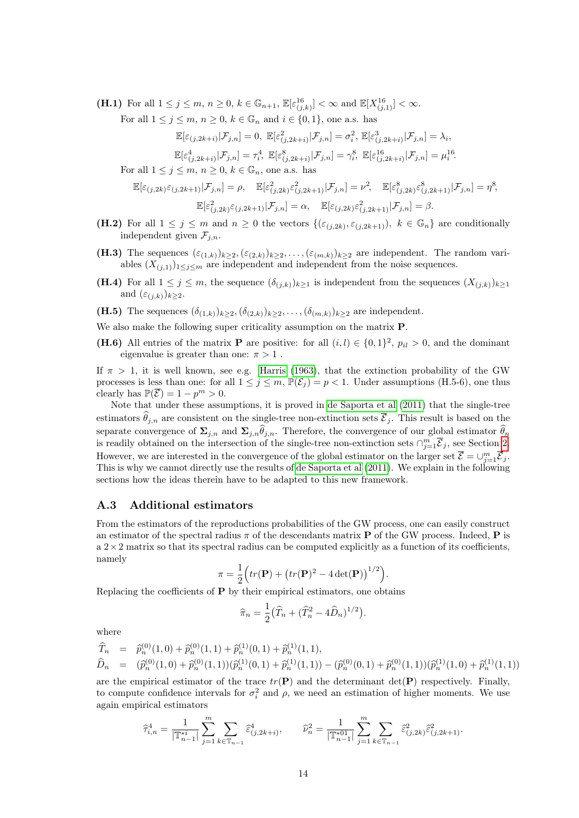(**H.1**) For all  $1 \leq j \leq m, n \geq 0, k \in \mathbb{G}_{n+1}, \mathbb{E}[\varepsilon_{(j,k)}^{16}] < \infty$  and  $\mathbb{E}[X_{(j,1)}^{16}] < \infty$ .

For all  $1 \leq j \leq m, n \geq 0, k \in \mathbb{G}_n$  and  $i \in \{0, 1\}$ , one a.s. has

$$
\mathbb{E}[\varepsilon_{(j,2k+i)}|\mathcal{F}_{j,n}] = 0, \ \mathbb{E}[\varepsilon_{(j,2k+i)}^2|\mathcal{F}_{j,n}] = \sigma_i^2, \ \mathbb{E}[\varepsilon_{(j,2k+i)}^3|\mathcal{F}_{j,n}] = \lambda_i,
$$

$$
\mathbb{E}[\varepsilon_{(j,2k+i)}^4|\mathcal{F}_{j,n}] = \tau_i^4, \ \mathbb{E}[\varepsilon_{(j,2k+i)}^8|\mathcal{F}_{j,n}] = \gamma_i^8, \ \mathbb{E}[\varepsilon_{(j,2k+i)}^{16}|\mathcal{F}_{j,n}] = \mu_i^{16}.
$$

For all  $1 \leq j \leq m, n \geq 0, k \in \mathbb{G}_n$ , one a.s. has

$$
\mathbb{E}[\varepsilon_{(j,2k)}\varepsilon_{(j,2k+1)}|\mathcal{F}_{j,n}] = \rho, \quad \mathbb{E}[\varepsilon_{(j,2k)}^2 \varepsilon_{(j,2k+1)}^2|\mathcal{F}_{j,n}] = \nu^2, \quad \mathbb{E}[\varepsilon_{(j,2k)}^8 \varepsilon_{(j,2k+1)}^8|\mathcal{F}_{j,n}] = \eta^8,
$$

$$
\mathbb{E}[\varepsilon_{(j,2k)}^2 \varepsilon_{(j,2k+1)}|\mathcal{F}_{j,n}] = \alpha, \quad \mathbb{E}[\varepsilon_{(j,2k)} \varepsilon_{(j,2k+1)}^2|\mathcal{F}_{j,n}] = \beta.
$$

- (H.2) For all  $1 \leq j \leq m$  and  $n \geq 0$  the vectors  $\{(\varepsilon_{(j,2k)}, \varepsilon_{(j,2k+1)}), k \in \mathbb{G}_n\}$  are conditionally independent given  $\mathcal{F}_{j,n}$ .
- (H.3) The sequences  $(\varepsilon_{(1,k)})_{k\geq 2},(\varepsilon_{(2,k)})_{k\geq 2},\ldots,(\varepsilon_{(m,k)})_{k\geq 2}$  are independent. The random variables  $(X_{(j,1)})_{1\leq j\leq m}$  are independent and independent from the noise sequences.
- (H.4) For all  $1 \leq j \leq m$ , the sequence  $(\delta_{(j,k)})_{k\geq 1}$  is independent from the sequences  $(X_{(j,k)})_{k\geq 1}$ and  $(\varepsilon_{(i,k)})_{k\geq 2}$ .
- (H.5) The sequences  $(\delta_{(1,k)})_{k\geq 2},(\delta_{(2,k)})_{k\geq 2},\ldots,(\delta_{(m,k)})_{k\geq 2}$  are independent.

We also make the following super criticality assumption on the matrix P.

(H.6) All entries of the matrix **P** are positive: for all  $(i, l) \in \{0, 1\}^2$ ,  $p_{il} > 0$ , and the dominant eigenvalue is greater than one:  $\pi > 1$ .

If  $\pi > 1$ , it is well known, see e.g. [Harris](#page-29-8) [\(1963\)](#page-29-8), that the extinction probability of the GW processes is less than one: for all  $1 \leq j \leq m$ ,  $\mathbb{P}(\mathcal{E}_j) = p < 1$ . Under assumptions (H.5-6), one thus clearly has  $\mathbb{P}(\overline{\mathcal{E}}) = 1 - p^m > 0$ .

Note that under these assumptions, it is proved in [de Saporta et al](#page-30-4) [\(2011\)](#page-30-4) that the single-tree estimators  $\hat{\theta}_{j,n}$  are consistent on the single-tree non-extinction sets  $\overline{\mathcal{E}}_j$ . This result is based on the separate convergence of  $\Sigma_{j,n}$  and  $\Sigma_{j,n} \hat{\theta}_{j,n}$ . Therefore, the convergence of our global estimator  $\hat{\theta}_n$ is readily obtained on the intersection of the single-tree non-extinction sets  $\cap_{j=1}^m \overline{\mathcal{E}}_j$ , see Section [2.](#page-1-0) However, we are interested in the convergence of the global estimator on the larger set  $\overline{\mathcal{E}} = \cup_{j=1}^m \overline{\mathcal{E}}_j$ . This is why we cannot directly use the results of [de Saporta et al](#page-30-4) [\(2011\)](#page-30-4). We explain in the following sections how the ideas therein have to be adapted to this new framework.

### A.3 Additional estimators

From the estimators of the reproductions probabilities of the GW process, one can easily construct an estimator of the spectral radius  $\pi$  of the descendants matrix **P** of the GW process. Indeed, **P** is  $a$  2 $\times$ 2 matrix so that its spectral radius can be computed explicitly as a function of its coefficients, namely

$$
\pi = \frac{1}{2} \Big( tr(\mathbf{P}) + \big( tr(\mathbf{P})^2 - 4 \det(\mathbf{P}) \big)^{1/2} \Big).
$$

Replacing the coefficients of  $P$  by their empirical estimators, one obtains

$$
\widehat{\pi}_n = \frac{1}{2} \left( \widehat{T}_n + (\widehat{T}_n^2 - 4\widehat{D}_n)^{1/2} \right).
$$

where

$$
\begin{array}{rcl}\n\widehat{T}_n & = & \widehat{p}_n^{(0)}(1,0) + \widehat{p}_n^{(0)}(1,1) + \widehat{p}_n^{(1)}(0,1) + \widehat{p}_n^{(1)}(1,1), \\
\widehat{D}_n & = & \widehat{p}_n^{(0)}(1,0) + \widehat{p}_n^{(0)}(1,1))(\widehat{p}_n^{(1)}(0,1) + \widehat{p}_n^{(1)}(1,1)) - (\widehat{p}_n^{(0)}(0,1) + \widehat{p}_n^{(0)}(1,1))(\widehat{p}_n^{(1)}(1,0) + \widehat{p}_n^{(1)}(1,1))\n\end{array}
$$

are the empirical estimator of the trace  $tr(\mathbf{P})$  and the determinant  $det(\mathbf{P})$  respectively. Finally, to compute confidence intervals for  $\sigma_i^2$  and  $\rho$ , we need an estimation of higher moments. We use again empirical estimators

$$
\widehat{\tau}^4_{i,n} = \frac{1}{|\mathbb{T}^{*i}_{n-1}|} \sum_{j=1}^m \sum_{k \in \mathbb{T}_{n-1}} \widehat{\varepsilon}^4_{(j,2k+i)}, \qquad \widehat{\nu}^2_n = \frac{1}{|\mathbb{T}^{*01}_{n-1}|} \sum_{j=1}^m \sum_{k \in \mathbb{T}_{n-1}} \widehat{\varepsilon}^2_{(j,2k)} \widehat{\varepsilon}^2_{(j,2k+1)}.
$$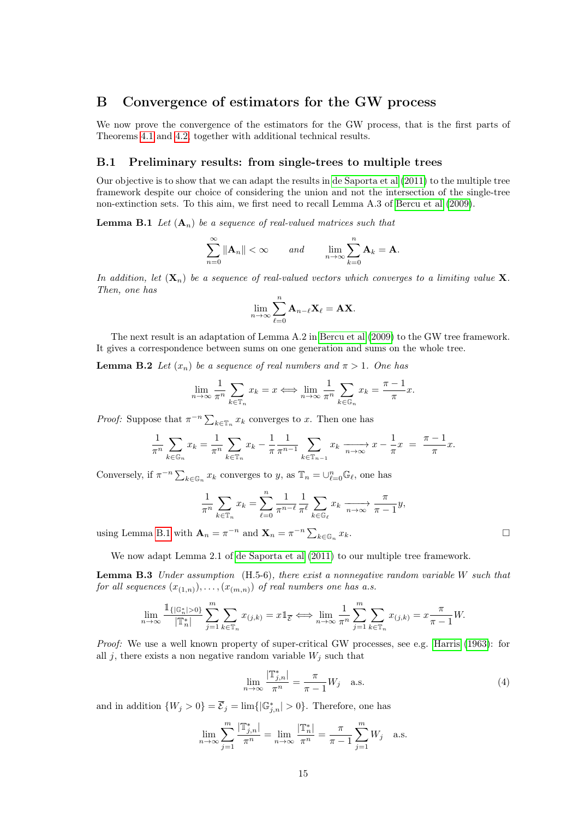### B Convergence of estimators for the GW process

We now prove the convergence of the estimators for the GW process, that is the first parts of Theorems [4.1](#page-4-1) and [4.2,](#page-4-0) together with additional technical results.

#### B.1 Preliminary results: from single-trees to multiple trees

Our objective is to show that we can adapt the results in [de Saporta et al](#page-30-4) [\(2011\)](#page-30-4) to the multiple tree framework despite our choice of considering the union and not the intersection of the single-tree non-extinction sets. To this aim, we first need to recall Lemma A.3 of [Bercu et al](#page-29-4) [\(2009\)](#page-29-4).

<span id="page-14-0"></span>**Lemma B.1** Let  $(A_n)$  be a sequence of real-valued matrices such that

$$
\sum_{n=0}^{\infty} \|\mathbf{A}_n\| < \infty \quad \text{and} \quad \lim_{n \to \infty} \sum_{k=0}^{n} \mathbf{A}_k = \mathbf{A}.
$$

In addition, let  $(\mathbf{X}_n)$  be a sequence of real-valued vectors which converges to a limiting value  $\mathbf{X}$ . Then, one has

<span id="page-14-3"></span>
$$
\lim_{n\to\infty}\sum_{\ell=0}^n\mathbf{A}_{n-\ell}\mathbf{X}_\ell=\mathbf{A}\mathbf{X}.
$$

The next result is an adaptation of Lemma A.2 in [Bercu et al](#page-29-4) [\(2009\)](#page-29-4) to the GW tree framework. It gives a correspondence between sums on one generation and sums on the whole tree.

**Lemma B.2** Let  $(x_n)$  be a sequence of real numbers and  $\pi > 1$ . One has

$$
\lim_{n \to \infty} \frac{1}{\pi^n} \sum_{k \in \mathbb{T}_n} x_k = x \iff \lim_{n \to \infty} \frac{1}{\pi^n} \sum_{k \in \mathbb{G}_n} x_k = \frac{\pi - 1}{\pi} x.
$$

*Proof:* Suppose that  $\pi^{-n} \sum_{k \in \mathbb{T}_n} x_k$  converges to x. Then one has

$$
\frac{1}{\pi^n} \sum_{k \in \mathbb{G}_n} x_k = \frac{1}{\pi^n} \sum_{k \in \mathbb{T}_n} x_k - \frac{1}{\pi} \frac{1}{\pi^{n-1}} \sum_{k \in \mathbb{T}_{n-1}} x_k \xrightarrow[n \to \infty]{} x - \frac{1}{\pi} x = \frac{\pi - 1}{\pi} x.
$$

Conversely, if  $\pi^{-n} \sum_{k \in \mathbb{G}_n} x_k$  converges to y, as  $\mathbb{T}_n = \cup_{\ell=0}^n \mathbb{G}_\ell$ , one has

$$
\frac{1}{\pi^n} \sum_{k \in \mathbb{T}_n} x_k = \sum_{\ell=0}^n \frac{1}{\pi^{n-\ell}} \frac{1}{\pi^\ell} \sum_{k \in \mathbb{G}_\ell} x_k \xrightarrow[n \to \infty]{} \frac{\pi}{\pi - 1} y,
$$
  
using Lemma B.1 with  $\mathbf{A}_n = \pi^{-n}$  and  $\mathbf{X}_n = \pi^{-n} \sum_{k \in \mathbb{G}_n} x_k$ .

We now adapt Lemma 2.1 of [de Saporta et al](#page-30-4) [\(2011\)](#page-30-4) to our multiple tree framework.

<span id="page-14-2"></span>Lemma B.3 Under assumption (H.5-6), there exist a nonnegative random variable W such that for all sequences  $(x_{(1,n)}), \ldots, (x_{(m,n)})$  of real numbers one has a.s.

$$
\lim_{n \to \infty} \frac{\mathbb{1}_{\{|\mathbb{G}_n^*| > 0\}}}{|\mathbb{T}_n^*|} \sum_{j=1}^m \sum_{k \in \mathbb{T}_n} x_{(j,k)} = x \mathbb{1}_{\overline{\mathcal{E}}} \Longleftrightarrow \lim_{n \to \infty} \frac{1}{\pi^n} \sum_{j=1}^m \sum_{k \in \mathbb{T}_n} x_{(j,k)} = x \frac{\pi}{\pi - 1} W.
$$

Proof: We use a well known property of super-critical GW processes, see e.g. [Harris](#page-29-8) [\(1963\)](#page-29-8): for all j, there exists a non negative random variable  $W_i$  such that

<span id="page-14-1"></span>
$$
\lim_{n \to \infty} \frac{|\mathbb{T}_{j,n}^*|}{\pi^n} = \frac{\pi}{\pi - 1} W_j \quad \text{a.s.}
$$
\n(4)

and in addition  $\{W_j > 0\} = \overline{\mathcal{E}}_j = \lim{\{|\mathbb{G}_{j,n}^*| > 0\}}$ . Therefore, one has

$$
\lim_{n \to \infty} \sum_{j=1}^{m} \frac{|\mathbb{T}_{j,n}^*|}{\pi^n} = \lim_{n \to \infty} \frac{|\mathbb{T}_n^*|}{\pi^n} = \frac{\pi}{\pi - 1} \sum_{j=1}^{m} W_j \quad \text{a.s.}
$$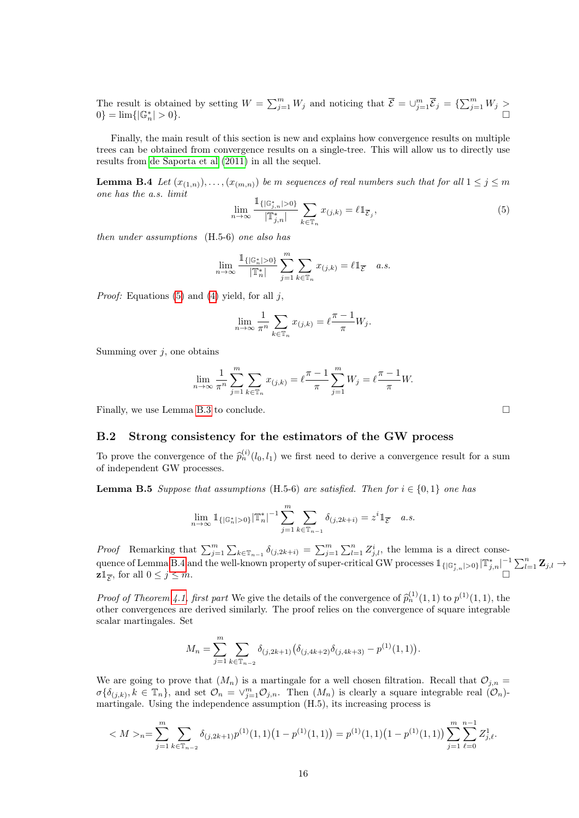The result is obtained by setting  $W = \sum_{j=1}^m W_j$  and noticing that  $\overline{\mathcal{E}} = \bigcup_{j=1}^m \overline{\mathcal{E}}_j = \{\sum_{j=1}^m W_j > \overline{\mathcal{E}}_j\}$  $0\} = \lim\{|\mathbb{G}_n^*|$  $| > 0$ .

Finally, the main result of this section is new and explains how convergence results on multiple trees can be obtained from convergence results on a single-tree. This will allow us to directly use results from [de Saporta et al](#page-30-4) [\(2011\)](#page-30-4) in all the sequel.

<span id="page-15-2"></span>**Lemma B.4** Let  $(x_{(1,n)},\ldots,(x_{(m,n)})$  be m sequences of real numbers such that for all  $1 \leq j \leq m$ one has the a.s. limit

<span id="page-15-1"></span>
$$
\lim_{n \to \infty} \frac{\mathbb{1}_{\{|\mathbb{G}_{j,n}^*\| > 0\}}}{|\mathbb{T}_{j,n}^*|} \sum_{k \in \mathbb{T}_n} x_{(j,k)} = \ell \mathbb{1}_{\overline{\mathcal{E}}_j},\tag{5}
$$

then under assumptions (H.5-6) one also has

$$
\lim_{n\to\infty}\frac{\mathbb{1}_{\{\vert \mathbb{G}_n^*\vert>0\}}}{\vert \mathbb{T}_n^*\vert}\sum_{j=1}^m\sum_{k\in\mathbb{T}_n}x_{(j,k)}=\ell\mathbb{1}_{\overline{\mathcal{E}}}\quad a.s.
$$

*Proof:* Equations [\(5\)](#page-15-1) and [\(4\)](#page-14-1) yield, for all  $j$ ,

$$
\lim_{n \to \infty} \frac{1}{\pi^n} \sum_{k \in \mathbb{T}_n} x_{(j,k)} = \ell \frac{\pi - 1}{\pi} W_j.
$$

Summing over  $j$ , one obtains

$$
\lim_{n \to \infty} \frac{1}{\pi^n} \sum_{j=1}^m \sum_{k \in \mathbb{T}_n} x_{(j,k)} = \ell \frac{\pi - 1}{\pi} \sum_{j=1}^m W_j = \ell \frac{\pi - 1}{\pi} W.
$$

Finally, we use Lemma [B.3](#page-14-2) to conclude.

### <span id="page-15-0"></span>B.2 Strong consistency for the estimators of the GW process

To prove the convergence of the  $\hat{p}_n^{(i)}(l_0, l_1)$  we first need to derive a convergence result for a sum of independent CW processes of independent GW processes.

<span id="page-15-3"></span>**Lemma B.5** Suppose that assumptions (H.5-6) are satisfied. Then for  $i \in \{0,1\}$  one has

$$
\lim_{n \to \infty} \mathbb{1}_{\{|\mathbb{G}_n^*| > 0\}} |\mathbb{T}_n^*|^{-1} \sum_{j=1}^m \sum_{k \in \mathbb{T}_{n-1}} \delta_{(j, 2k+i)} = z^i \mathbb{1}_{\overline{\mathcal{E}}} \quad a.s.
$$

*Proof* Remarking that  $\sum_{j=1}^{m} \sum_{k \in \mathbb{T}_{n-1}} \delta_{(j,2k+i)} = \sum_{j=1}^{m} \sum_{l=1}^{n} Z_{j,l}^{i}$ , the lemma is a direct conse-quence of Lemma [B.4](#page-15-2) and the well-known property of super-critical GW processes  $\mathbb{1}_{\{|\mathbb{G}_{j,n}^*|>0\}}|\mathbb{T}_{j,n}^*|^{-1}\sum_{l=1}^n \mathbf{Z}_{j,l} \rightarrow$  $\mathbf{z} \mathbb{1}_{\overline{\mathcal{E}}},$  for all  $0 \leq j \leq m$ . , for all  $0 \leq j \leq m$ .

*Proof of Theorem [4.1,](#page-4-1) first part* We give the details of the convergence of  $\hat{p}_n^{(1)}(1,1)$  to  $p^{(1)}(1,1)$ , the other convergences are derived similarly. The proof relige on the convergence of square interrelate other convergences are derived similarly. The proof relies on the convergence of square integrable scalar martingales. Set

$$
M_n = \sum_{j=1}^m \sum_{k \in \mathbb{T}_{n-2}} \delta_{(j,2k+1)} (\delta_{(j,4k+2)} \delta_{(j,4k+3)} - p^{(1)}(1,1)).
$$

We are going to prove that  $(M_n)$  is a martingale for a well chosen filtration. Recall that  $\mathcal{O}_{j,n} =$  $\sigma\{\delta_{(j,k)}, k \in \mathbb{T}_n\}$ , and set  $\mathcal{O}_n = \vee_{j=1}^m \mathcal{O}_{j,n}$ . Then  $(M_n)$  is clearly a square integrable real  $(\mathcal{O}_n)$ martingale. Using the independence assumption (H.5), its increasing process is

$$
\langle M \rangle_n = \sum_{j=1}^m \sum_{k \in \mathbb{T}_{n-2}} \delta_{(j,2k+1)} p^{(1)}(1,1) \left(1 - p^{(1)}(1,1)\right) = p^{(1)}(1,1) \left(1 - p^{(1)}(1,1)\right) \sum_{j=1}^m \sum_{\ell=0}^{n-1} Z_{j,\ell}^1.
$$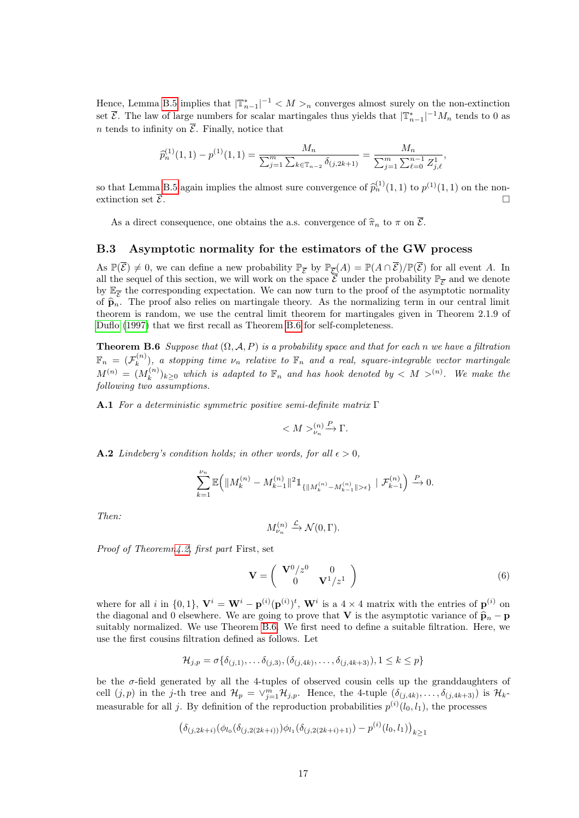Hence, Lemma [B.5](#page-15-3) implies that  $|\mathbb{T}_{n-1}^*|^{-1} < M >_n$  converges almost surely on the non-extinction set  $\overline{\mathcal{E}}$ . The law of large numbers for scalar martingales thus yields that  $|\mathbb{T}_{n-1}^*|^{-1}M_n$  tends to 0 as n tends to infinity on  $\overline{\mathcal{E}}$ . Finally, notice that

$$
\widehat{p}_n^{(1)}(1,1) - p^{(1)}(1,1) = \frac{M_n}{\sum_{j=1}^m \sum_{k \in \mathbb{T}_{n-2}} \delta_{(j,2k+1)}} = \frac{M_n}{\sum_{j=1}^m \sum_{\ell=0}^{n-1} Z_{j,\ell}^1},
$$

so that Lemma [B.5](#page-15-3) again implies the almost sure convergence of  $\hat{p}_n^{(1)}(1,1)$  to  $p^{(1)}(1,1)$  on the non-<br>extinction set  $\overline{S}$ extinction set  $\overline{\mathcal{E}}$ .

As a direct consequence, one obtains the a.s. convergence of  $\hat{\pi}_n$  to  $\pi$  on  $\overline{\mathcal{E}}$ .

#### <span id="page-16-1"></span>B.3 Asymptotic normality for the estimators of the GW process

As  $\mathbb{P}(\overline{\mathcal{E}}) \neq 0$ , we can define a new probability  $\mathbb{P}_{\overline{\mathcal{E}}}\$  by  $\mathbb{P}_{\overline{\mathcal{E}}}(A) = \mathbb{P}(A \cap \overline{\mathcal{E}})/\mathbb{P}(\overline{\mathcal{E}})$  for all event A. In all the sequel of this section, we will work on the space  $\overline{\mathcal{E}}$  under the probability  $\mathbb{P}_{\overline{\mathcal{E}}}$  and we denote by  $\mathbb{E}_{\overline{\mathcal{E}}}$  the corresponding expectation. We can now turn to the proof of the asymptotic normality of  $\hat{\mathbf{p}}_n$ . The proof also relies on martingale theory. As the normalizing term in our central limit theorem is random, we use the central limit theorem for martingales given in Theorem 2.1.9 of [Duflo](#page-29-9) [\(1997\)](#page-29-9) that we first recall as Theorem [B.6](#page-16-2) for self-completeness.

<span id="page-16-2"></span>**Theorem B.6** Suppose that  $(\Omega, \mathcal{A}, P)$  is a probability space and that for each n we have a filtration  $\mathbb{F}_n \,=\, (\mathcal{F}_k^{(n)}$  $\mathbf{E}_{k}^{(n)}$ ), a stopping time  $\nu_n$  relative to  $\mathbb{F}_n$  and a real, square-integrable vector martingale  $M^{(n)} = (M_k^{(n)}$  $(k^{(n)}_k)_{k\geq 0}$  which is adapted to  $\mathbb{F}_n$  and has hook denoted by  $\lt M >^{(n)}$ . We make the following two assumptions.

A.1 For a deterministic symmetric positive semi-definite matrix Γ

$$
^{(n)}_{\nu_n}\xrightarrow{P} \Gamma.
$$

**A.2** Lindeberg's condition holds; in other words, for all  $\epsilon > 0$ ,

$$
\sum_{k=1}^{\nu_n}\mathbb{E}\Big(\|M^{(n)}_k-M^{(n)}_{k-1}\|^2\mathbb{1}_{\{\|M^{(n)}_k-M^{(n)}_{k-1}\|>\epsilon\}}\mid \mathcal{F}^{(n)}_{k-1}\Big)\overset{P}\to 0.
$$

Then:

$$
M_{\nu_n}^{(n)} \xrightarrow{\mathcal{L}} \mathcal{N}(0, \Gamma).
$$

Proof of Theorem[n4.2,](#page-4-0) first part First, set

<span id="page-16-0"></span>
$$
\mathbf{V} = \begin{pmatrix} \mathbf{V}^0 / z^0 & 0 \\ 0 & \mathbf{V}^1 / z^1 \end{pmatrix} \tag{6}
$$

where for all i in  $\{0,1\}$ ,  $\mathbf{V}^i = \mathbf{W}^i - \mathbf{p}^{(i)}(\mathbf{p}^{(i)})^t$ ,  $\mathbf{W}^i$  is a  $4 \times 4$  matrix with the entries of  $\mathbf{p}^{(i)}$  on the diagonal and 0 elsewhere. We are going to prove that V is the asymptotic variance of  $\hat{\mathbf{p}}_n - \mathbf{p}$ suitably normalized. We use Theorem [B.6.](#page-16-2) We first need to define a suitable filtration. Here, we use the first cousins filtration defined as follows. Let

$$
\mathcal{H}_{j,p} = \sigma\{\delta_{(j,1)}, \dots, \delta_{(j,3)}, (\delta_{(j,4k)}, \dots, \delta_{(j,4k+3)}), 1 \leq k \leq p\}
$$

be the  $\sigma$ -field generated by all the 4-tuples of observed cousin cells up the granddaughters of cell  $(j, p)$  in the j-th tree and  $\mathcal{H}_p = \vee_{j=1}^m \mathcal{H}_{j,p}$ . Hence, the 4-tuple  $(\delta_{(j,4k)}, \ldots, \delta_{(j,4k+3)})$  is  $\mathcal{H}_k$ measurable for all j. By definition of the reproduction probabilities  $p^{(i)}(l_0, l_1)$ , the processes

$$
\left(\delta_{(j,2k+i)}(\phi_{l_0}(\delta_{(j,2(2k+i))})\phi_{l_1}(\delta_{(j,2(2k+i)+1)}) - p^{(i)}(l_0,l_1)\right)_{k\geq 1}
$$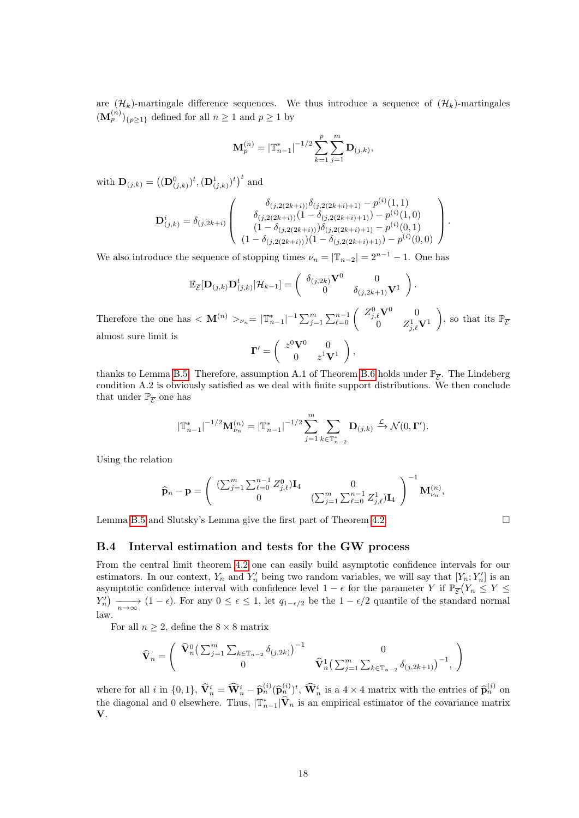are  $(\mathcal{H}_k)$ -martingale difference sequences. We thus introduce a sequence of  $(\mathcal{H}_k)$ -martingales  $(\mathbf{M}_{p}^{(n)})_{\{p\geq 1\}}$  defined for all  $n\geq 1$  and  $p\geq 1$  by

$$
\mathbf{M}_{p}^{(n)} = \left|\mathbb{T}_{n-1}^*\right|^{-1/2} \sum_{k=1}^p \sum_{j=1}^m \mathbf{D}_{(j,k)},
$$

with  $\mathbf{D}_{(j,k)} = ((\mathbf{D}_{(j,k)}^0)^t, (\mathbf{D}_{(j,k)}^1)^t)^t$  and

$$
\mathbf{D}_{(j,k)}^{i} = \delta_{(j,2k+i)} \begin{pmatrix} \delta_{(j,2(2k+i))}\delta_{(j,2(2k+i)+1)} - p^{(i)}(1,1) \\ \delta_{(j,2(2k+i))}(1 - \delta_{(j,2(2k+i)+1)}) - p^{(i)}(1,0) \\ (1 - \delta_{(j,2(2k+i))})\delta_{(j,2(2k+i)+1)} - p^{(i)}(0,1) \\ (1 - \delta_{(j,2(2k+i))})(1 - \delta_{(j,2(2k+i)+1)}) - p^{(i)}(0,0) \end{pmatrix}.
$$

We also introduce the sequence of stopping times  $\nu_n = |\mathbb{T}_{n-2}| = 2^{n-1} - 1$ . One has

$$
\mathbb{E}_{\overline{\mathcal{E}}}[\mathbf{D}_{(j,k)}\mathbf{D}_{(j,k)}^t|\mathcal{H}_{k-1}] = \begin{pmatrix} \delta_{(j,2k)}\mathbf{V}^0 & 0 \\ 0 & \delta_{(j,2k+1)}\mathbf{V}^1 \end{pmatrix}
$$

.

Therefore the one has  $\langle \mathbf{M}^{(n)} \rangle_{\nu_n} = |\mathbb{T}_{n-1}^*|^{-1} \sum_{j=1}^m \sum_{\ell=0}^{n-1} \begin{pmatrix} Z_{j,\ell}^0 \mathbf{V}^0 & 0 \\ 0 & Z_{j,\ell}^1 \end{pmatrix}$  $0 \qquad Z_{j,\ell}^1 {\bf V}^1$ ), so that its  $\mathbb{P}_{\overline{\mathcal{E}}}$ almost sure limit is  $\mathbf{\Gamma}' = \begin{pmatrix} z^0 \mathbf{V}^0 & 0 \ 0 & z^1 \mathbf{V} \end{pmatrix}$  $0 \qquad z^1 \mathbf{V}^1$  $\Big)$ ,

thanks to Lemma B.5. Therefore, assumption A.1 of Theorem B.6 holds under 
$$
\mathbb{P}_{\overline{\mathcal{E}}}
$$
. The Lindeberg condition A.2 is obviously satisfied as we deal with finite support distributions. We then conclude that under  $\mathbb{P}_{\overline{\mathcal{E}}}$  one has

$$
\left|{\mathbb T}_{n-1}^*\right|^{-1/2}{\bf M}_{\nu_n}^{(n)} = \left|{\mathbb T}_{n-1}^*\right|^{-1/2}\sum_{j=1}^m\sum_{k\in {\mathbb T}_{n-2}^*}{\bf D}_{(j,k)} \xrightarrow{\mathcal{L}} \mathcal{N}(0,{\bf \Gamma}').
$$

Using the relation

$$
\widehat{\mathbf{p}}_n - \mathbf{p} = \begin{pmatrix} (\sum_{j=1}^m \sum_{\ell=0}^{n-1} Z_{j,\ell}^0) \mathbf{I}_4 & 0 \\ 0 & (\sum_{j=1}^m \sum_{\ell=0}^{n-1} Z_{j,\ell}^1) \mathbf{I}_4 \end{pmatrix}^{-1} \mathbf{M}_{\nu_n}^{(n)},
$$

Lemma [B.5](#page-15-3) and Slutsky's Lemma give the first part of Theorem [4.2.](#page-4-0)

### <span id="page-17-0"></span>B.4 Interval estimation and tests for the GW process

From the central limit theorem [4.2](#page-4-0) one can easily build asymptotic confidence intervals for our estimators. In our context,  $Y_n$  and  $Y'_n$  being two random variables, we will say that  $[Y_n; Y'_n]$  is an asymptotic confidence interval with confidence level  $1 - \epsilon$  for the parameter Y if  $\mathbb{P}_{\overline{\mathcal{E}}}(Y_n \leq Y \leq$  $Y'_n$   $\longrightarrow_{n \to \infty} (1 - \epsilon)$ . For any  $0 \le \epsilon \le 1$ , let  $q_{1-\epsilon/2}$  be the  $1 - \epsilon/2$  quantile of the standard normal law.

For all  $n \geq 2$ , define the  $8 \times 8$  matrix

$$
\widehat{\mathbf{V}}_n = \begin{pmatrix} \widehat{\mathbf{V}}_n^0 \big( \sum_{j=1}^m \sum_{k \in \mathbb{T}_{n-2}} \delta_{(j,2k)} \big)^{-1} & 0 \\ 0 & \widehat{\mathbf{V}}_n^1 \big( \sum_{j=1}^m \sum_{k \in \mathbb{T}_{n-2}} \delta_{(j,2k+1)} \big)^{-1}, \end{pmatrix}
$$

where for all i in  $\{0,1\}$ ,  $\widehat{\mathbf{V}}_n^i = \widehat{\mathbf{W}}_n^i - \widehat{\mathbf{p}}_n^{(i)}(\widehat{\mathbf{p}}_n^{(i)})^t$ ,  $\widehat{\mathbf{W}}_n^i$  is a  $4 \times 4$  matrix with the entries of  $\widehat{\mathbf{p}}_n^{(i)}$  on the diagonal and 0 elsewhere. Thus,  $|\mathbb{T}_{n-1}^*|\hat{\mathbf{V}}_n|$  is an empirical estimator of the covariance matrix V.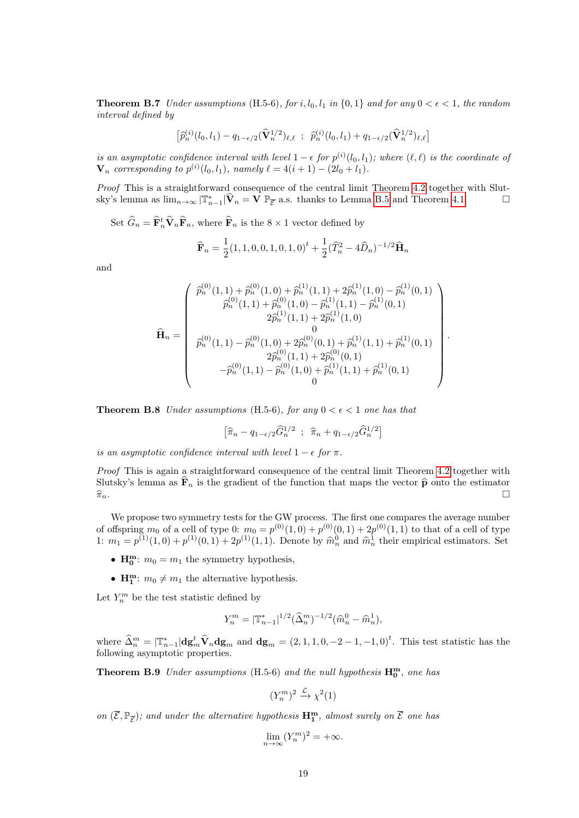**Theorem B.7** Under assumptions (H.5-6), for i,  $l_0, l_1$  in  $\{0, 1\}$  and for any  $0 \lt \epsilon \lt 1$ , the random interval defined by

$$
\left[\widehat{p}_n^{(i)}(l_0,l_1) - q_{1-\epsilon/2}(\widehat{\mathbf{V}}_n^{1/2})_{\ell,\ell} \; ; \; \widehat{p}_n^{(i)}(l_0,l_1) + q_{1-\epsilon/2}(\widehat{\mathbf{V}}_n^{1/2})_{\ell,\ell}\right]
$$

is an asymptotic confidence interval with level  $1 - \epsilon$  for  $p^{(i)}(l_0, l_1)$ ; where  $(\ell, \ell)$  is the coordinate of  $\mathbf{V}_n$  corresponding to  $p^{(i)}(l_0, l_1)$ , namely  $\ell = 4(i + 1) - (2l_0 + l_1)$ .

Proof This is a straightforward consequence of the central limit Theorem [4.2](#page-4-0) together with Slutsky's lemma as  $\lim_{n\to\infty} |\mathbb{T}_{n-1}^*| \hat{\mathbf{V}}_n = \mathbf{V} \mathbb{P}_{\overline{\mathcal{E}}}$  a.s. thanks to Lemma [B.5](#page-15-3) and Theorem [4.1.](#page-4-1)

Set  $\hat{G}_n = \hat{\mathbf{F}}_n^t \hat{\mathbf{V}}_n \hat{\mathbf{F}}_n$ , where  $\hat{\mathbf{F}}_n$  is the  $8 \times 1$  vector defined by

$$
\widehat{\mathbf{F}}_n = \frac{1}{2} (1, 1, 0, 0, 1, 0, 1, 0)^t + \frac{1}{2} (\widehat{T}_n^2 - 4\widehat{D}_n)^{-1/2} \widehat{\mathbf{H}}_n
$$

and

$$
\widehat{\mathbf{H}}_{n} = \begin{pmatrix}\n\widehat{p}_{n}^{(0)}(1,1) + \widehat{p}_{n}^{(0)}(1,0) + \widehat{p}_{n}^{(1)}(1,1) + 2\widehat{p}_{n}^{(1)}(1,0) - \widehat{p}_{n}^{(1)}(0,1) \\
\widehat{p}_{n}^{(0)}(1,1) + \widehat{p}_{n}^{(0)}(1,0) - \widehat{p}_{n}^{(1)}(1,1) - \widehat{p}_{n}^{(1)}(0,1) \\
2\widehat{p}_{n}^{(1)}(1,1) + 2\widehat{p}_{n}^{(1)}(1,0) \\
0 \\
\widehat{p}_{n}^{(0)}(1,1) - \widehat{p}_{n}^{(0)}(1,0) + 2\widehat{p}_{n}^{(0)}(0,1) + \widehat{p}_{n}^{(1)}(1,1) + \widehat{p}_{n}^{(1)}(0,1) \\
2\widehat{p}_{n}^{(0)}(1,1) + 2\widehat{p}_{n}^{(0)}(0,1) \\
-\widehat{p}_{n}^{(0)}(1,1) - \widehat{p}_{n}^{(0)}(1,0) + \widehat{p}_{n}^{(1)}(1,1) + \widehat{p}_{n}^{(1)}(0,1) \\
0\n\end{pmatrix}.
$$

**Theorem B.8** Under assumptions (H.5-6), for any  $0 < \epsilon < 1$  one has that

$$
\left[\widehat{\pi}_n - q_{1-\epsilon/2}\widehat{G}_n^{1/2} \ ; \ \widehat{\pi}_n + q_{1-\epsilon/2}\widehat{G}_n^{1/2}\right]
$$

is an asymptotic confidence interval with level  $1 - \epsilon$  for  $\pi$ .

Proof This is again a straightforward consequence of the central limit Theorem [4.2](#page-4-0) together with Slutsky's lemma as  $\mathbf{\hat{F}}_n$  is the gradient of the function that maps the vector  $\hat{\mathbf{p}}$  onto the estimator  $\hat{\pi}_n$ .  $\widehat{\pi}_n$ .

We propose two symmetry tests for the GW process. The first one compares the average number of offspring  $m_0$  of a cell of type 0:  $m_0 = p^{(0)}(1,0) + p^{(0)}(0,1) + 2p^{(0)}(1,1)$  to that of a cell of type 1:  $m_1 = p^{(1)}(1,0) + p^{(1)}(0,1) + 2p^{(1)}(1,1)$ . Denote by  $\hat{m}_n^0$  and  $\hat{m}_n^1$  their empirical estimators. Set

- $H_0^m$ :  $m_0 = m_1$  the symmetry hypothesis,
- $H_1^m$ :  $m_0 \neq m_1$  the alternative hypothesis.

Let  $Y_n^m$  be the test statistic defined by

<span id="page-18-0"></span>
$$
Y_n^m = |\mathbb{T}_{n-1}^*|^{1/2} (\widehat{\Delta}_n^m)^{-1/2} (\widehat{m}_n^0 - \widehat{m}_n^1),
$$

where  $\widehat{\Delta}_n^m = |\mathbb{T}_{n-1}^*| \mathbf{dg}_m^t \widehat{\mathbf{V}}_n \mathbf{dg}_m$  and  $\mathbf{dg}_m = (2, 1, 1, 0, -2 - 1, -1, 0)^t$ . This test statistic has the following asymptotic properties.

**Theorem B.9** Under assumptions (H.5-6) and the null hypothesis  $H_0^m$ , one has

 $(Y_n^m)^2 \xrightarrow{\mathcal{L}} \chi^2(1)$ 

on  $(\overline{\mathcal{E}}, \mathbb{P}_{\overline{\mathcal{E}}})$ ; and under the alternative hypothesis  $\mathbf{H}_{1}^{m}$ , almost surely on  $\overline{\mathcal{E}}$  one has

$$
\lim_{n \to \infty} (Y_n^m)^2 = +\infty.
$$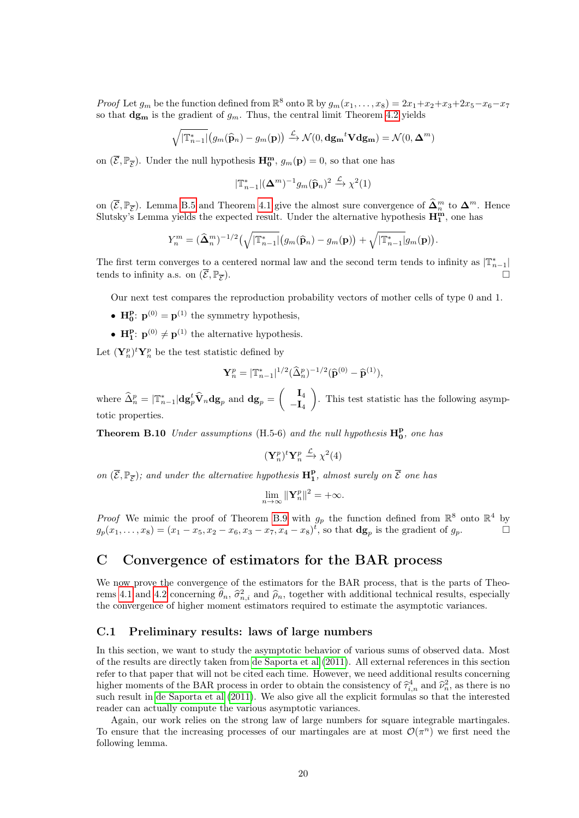*Proof* Let  $g_m$  be the function defined from  $\mathbb{R}^8$  onto  $\mathbb{R}$  by  $g_m(x_1, \ldots, x_8) = 2x_1 + x_2 + x_3 + 2x_5 - x_6 - x_7$ so that  $\mathbf{dg}_{\mathbf{m}}$  is the gradient of  $g_m$ . Thus, the central limit Theorem [4.2](#page-4-0) yields

$$
\sqrt{|\mathbb{T}_{n-1}^*|} \big(g_m(\widehat{\mathbf{p}}_n) - g_m(\mathbf{p})\big) \xrightarrow{\mathcal{L}} \mathcal{N}(0, \mathbf{d}\mathbf{g_m}^t \mathbf{V} \mathbf{d}\mathbf{g_m}) = \mathcal{N}(0, \mathbf{\Delta}^m)
$$

on  $(\overline{\mathcal{E}}, \mathbb{P}_{\overline{\mathcal{E}}})$ . Under the null hypothesis  $\mathbf{H}_{0}^{\mathbf{m}}, g_{m}(\mathbf{p}) = 0$ , so that one has

$$
|\mathbb{T}_{n-1}^*|(\mathbf{\Delta}^m)^{-1}g_m(\widehat{\mathbf{p}}_n)^2 \xrightarrow{\mathcal{L}} \chi^2(1)
$$

on  $(\overline{\mathcal{E}}, \mathbb{P}_{\overline{\mathcal{E}}})$ . Lemma [B.5](#page-15-3) and Theorem [4.1](#page-4-1) give the almost sure convergence of  $\widehat{\Delta}_m^m$  to  $\Delta_m^m$ . Hence Slutsky's Lemma yields the expected result. Under the alternative hypothesis  $\mathbf{H}_{1}^{\mathbf{m}}$ , one has

$$
Y_n^m = (\widehat{\Delta}_n^m)^{-1/2} \left(\sqrt{|\mathbb{T}_{n-1}^*|} \left(g_m(\widehat{\mathbf{p}}_n) - g_m(\mathbf{p})\right) + \sqrt{|\mathbb{T}_{n-1}^*|} g_m(\mathbf{p})\right).
$$

The first term converges to a centered normal law and the second term tends to infinity as  $|\mathbb{T}_{n-1}^*|$ tends to infinity a.s. on  $(\overline{\mathcal{E}}, \mathbb{P}_{\overline{\mathcal{F}}})$ . ).  $\Box$ 

Our next test compares the reproduction probability vectors of mother cells of type 0 and 1.

- $\mathbf{H}_{0}^{\mathbf{p}}$ :  $\mathbf{p}^{(0)} = \mathbf{p}^{(1)}$  the symmetry hypothesis,
- $\mathbf{H}_{1}^{\mathbf{p}}$ :  $\mathbf{p}^{(0)} \neq \mathbf{p}^{(1)}$  the alternative hypothesis.

Let  $(\mathbf{Y}_n^p)^t \mathbf{Y}_n^p$  be the test statistic defined by

$$
\mathbf{Y}_n^p = |\mathbb{T}_{n-1}^*|^{1/2} (\widehat{\Delta}_n^p)^{-1/2} (\widehat{\mathbf{p}}^{(0)} - \widehat{\mathbf{p}}^{(1)}),
$$

where  $\widehat{\Delta}_n^p = |\mathbb{T}_{n-1}^*| \mathbf{dg}_p^t \widehat{\mathbf{V}}_n \mathbf{dg}_p$  and  $\mathbf{dg}_p = \begin{pmatrix} \mathbf{I}_4 \ -\mathbf{I}_4 \end{pmatrix}$  $-\mathbf{I}_4$  . This test statistic has the following asymptotic properties.

**Theorem B.10** Under assumptions (H.5-6) and the null hypothesis  $H_0^p$ , one has

$$
(\mathbf{Y}_n^p)^t \mathbf{Y}_n^p \xrightarrow{\mathcal{L}} \chi^2(4)
$$

on  $(\overline{\mathcal{E}}, \mathbb{P}_{\overline{\mathcal{E}}})$ ; and under the alternative hypothesis  $\mathbf{H}_{1}^{\mathbf{p}}$ , almost surely on  $\overline{\mathcal{E}}$  one has

$$
\lim_{n\to\infty} \|\mathbf{Y}_n^p\|^2 = +\infty.
$$

*Proof* We mimic the proof of Theorem [B.9](#page-18-0) with  $g_p$  the function defined from  $\mathbb{R}^8$  onto  $\mathbb{R}^4$  by  $g_p(x_1,...,x_8) = (x_1 - x_5, x_2 - x_6, x_3 - x_7, x_4 - x_8)^t$ , so that  $\mathbf{dg}_p$  is the gradient of  $g_p$ .

# C Convergence of estimators for the BAR process

We now prove the convergence of the estimators for the BAR process, that is the parts of Theo-rems [4.1](#page-4-1) and [4.2](#page-4-0) concerning  $\hat{\theta}_n$ ,  $\hat{\sigma}_{n,i}^2$  and  $\hat{\rho}_n$ , together with additional technical results, especially<br>the convergence of higher moment estimators required to estimate the estimate variances the convergence of higher moment estimators required to estimate the asymptotic variances.

#### <span id="page-19-1"></span>C.1 Preliminary results: laws of large numbers

In this section, we want to study the asymptotic behavior of various sums of observed data. Most of the results are directly taken from [de Saporta et al](#page-30-4) [\(2011\)](#page-30-4). All external references in this section refer to that paper that will not be cited each time. However, we need additional results concerning higher moments of the BAR process in order to obtain the consistency of  $\hat{\tau}_{i,n}^4$  and  $\hat{\nu}_n^2$ , as there is no<br>sugh result in do Saparta at al. (2011). We also give all the evolution formulas so that the interested such result in [de Saporta et al](#page-30-4) [\(2011\)](#page-30-4). We also give all the explicit formulas so that the interested reader can actually compute the various asymptotic variances.

<span id="page-19-0"></span>Again, our work relies on the strong law of large numbers for square integrable martingales. To ensure that the increasing processes of our martingales are at most  $\mathcal{O}(\pi^n)$  we first need the following lemma.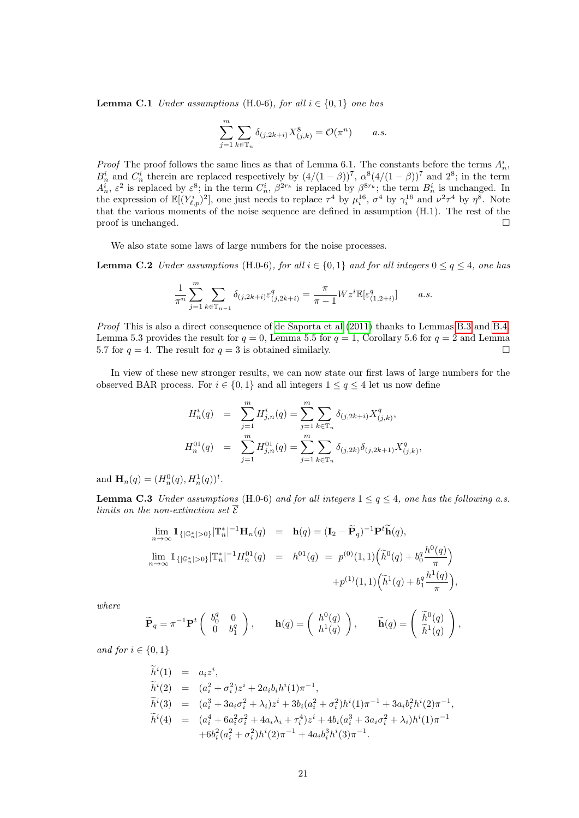**Lemma C.1** Under assumptions (H.0-6), for all  $i \in \{0, 1\}$  one has

<span id="page-20-0"></span>
$$
\sum_{j=1}^m \sum_{k \in \mathbb{T}_n} \delta_{(j, 2k+i)} X^8_{(j,k)} = \mathcal{O}(\pi^n) \qquad a.s.
$$

*Proof* The proof follows the same lines as that of Lemma 6.1. The constants before the terms  $A_n^i$ , *n* boy The proof follows the same lines as that of Lemma 6.1. The constants before the terms  $A_n$ ,  $B_n^i$  and  $C_n^i$  therein are replaced respectively by  $(4/(1 - \beta))^7$ ,  $\alpha^8 (4/(1 - \beta))^7$  and  $2^8$ ; in the term  $A_n^i$ ,  $\varepsilon^2$  is replaced by  $\varepsilon^8$ ; in the term  $C_n^i$ ,  $\beta^{2r_k}$  is replaced by  $\beta^{8r_k}$ ; the term  $B_n^i$  is unchanged. In the expression of  $\mathbb{E}[(Y_{\ell,p}^i)^2]$ , one just needs to replace  $\tau^4$  by  $\mu_i^{16}$ ,  $\sigma^4$  by  $\gamma_i^{16}$  and  $\nu^2\tau^4$  by  $\eta^8$ . Note that the various moments of the noise sequence are defined in assumption (H.1). The rest of the proof is unchanged.  $\square$ 

We also state some laws of large numbers for the noise processes.

**Lemma C.2** Under assumptions (H.0-6), for all  $i \in \{0,1\}$  and for all integers  $0 \le q \le 4$ , one has

$$
\frac{1}{\pi^n} \sum_{j=1}^m \sum_{k \in \mathbb{T}_{n-1}} \delta_{(j,2k+i)} \varepsilon_{(j,2k+i)}^q = \frac{\pi}{\pi - 1} W z^i \mathbb{E}[\varepsilon_{(1,2+i)}^q] \qquad a.s.
$$

Proof This is also a direct consequence of [de Saporta et al](#page-30-4) [\(2011\)](#page-30-4) thanks to Lemmas [B.3](#page-14-2) and [B.4.](#page-15-2) Lemma 5.3 provides the result for  $q = 0$ , Lemma 5.5 for  $q = 1$ , Corollary 5.6 for  $q = 2$  and Lemma 5.7 for  $q = 4$ . The result for  $q = 3$  is obtained similarly.

In view of these new stronger results, we can now state our first laws of large numbers for the observed BAR process. For  $i \in \{0,1\}$  and all integers  $1 \le q \le 4$  let us now define

<span id="page-20-1"></span>
$$
H_n^i(q) = \sum_{j=1}^m H_{j,n}^i(q) = \sum_{j=1}^m \sum_{k \in \mathbb{T}_n} \delta_{(j,2k+i)} X_{(j,k)}^q,
$$
  

$$
H_n^{01}(q) = \sum_{j=1}^m H_{j,n}^{01}(q) = \sum_{j=1}^m \sum_{k \in \mathbb{T}_n} \delta_{(j,2k)} \delta_{(j,2k+1)} X_{(j,k)}^q,
$$

and  $\mathbf{H}_n(q) = (H_n^0(q), H_n^1(q))^t$ .

**Lemma C.3** Under assumptions (H.0-6) and for all integers  $1 \leq q \leq 4$ , one has the following a.s. limits on the non-extinction set  $\overline{\mathcal{E}}$ 

$$
\lim_{n \to \infty} \mathbb{1}_{\{|\mathbb{G}_n^*| > 0\}} |\mathbb{T}_n^*|^{-1} \mathbf{H}_n(q) = \mathbf{h}(q) = (\mathbf{I}_2 - \widetilde{\mathbf{P}}_q)^{-1} \mathbf{P}^t \widetilde{\mathbf{h}}(q),
$$
\n
$$
\lim_{n \to \infty} \mathbb{1}_{\{|\mathbb{G}_n^*| > 0\}} |\mathbb{T}_n^*|^{-1} H_n^{01}(q) = h^{01}(q) = p^{(0)}(1,1) \left(\widetilde{h}^0(q) + b_0^q \frac{h^0(q)}{\pi}\right)
$$
\n
$$
+ p^{(1)}(1,1) \left(\widetilde{h}^1(q) + b_1^q \frac{h^1(q)}{\pi}\right),
$$

where

$$
\widetilde{\mathbf{P}}_q = \pi^{-1} \mathbf{P}^t \begin{pmatrix} b_0^q & 0 \\ 0 & b_1^q \end{pmatrix}, \qquad \mathbf{h}(q) = \begin{pmatrix} h^0(q) \\ h^1(q) \end{pmatrix}, \qquad \widetilde{\mathbf{h}}(q) = \begin{pmatrix} \widetilde{h}^0(q) \\ \widetilde{h}^1(q) \end{pmatrix},
$$

and for  $i \in \{0, 1\}$ 

$$
\tilde{h}^{i}(1) = a_{i}z^{i}, \n\tilde{h}^{i}(2) = (a_{i}^{2} + \sigma_{i}^{2})z^{i} + 2a_{i}b_{i}h^{i}(1)\pi^{-1}, \n\tilde{h}^{i}(3) = (a_{i}^{3} + 3a_{i}\sigma_{i}^{2} + \lambda_{i})z^{i} + 3b_{i}(a_{i}^{2} + \sigma_{i}^{2})h^{i}(1)\pi^{-1} + 3a_{i}b_{i}^{2}h^{i}(2)\pi^{-1}, \n\tilde{h}^{i}(4) = (a_{i}^{4} + 6a_{i}^{2}\sigma_{i}^{2} + 4a_{i}\lambda_{i} + \tau_{i}^{4})z^{i} + 4b_{i}(a_{i}^{3} + 3a_{i}\sigma_{i}^{2} + \lambda_{i})h^{i}(1)\pi^{-1} \n+ 6b_{i}^{2}(a_{i}^{2} + \sigma_{i}^{2})h^{i}(2)\pi^{-1} + 4a_{i}b_{i}^{3}h^{i}(3)\pi^{-1}.
$$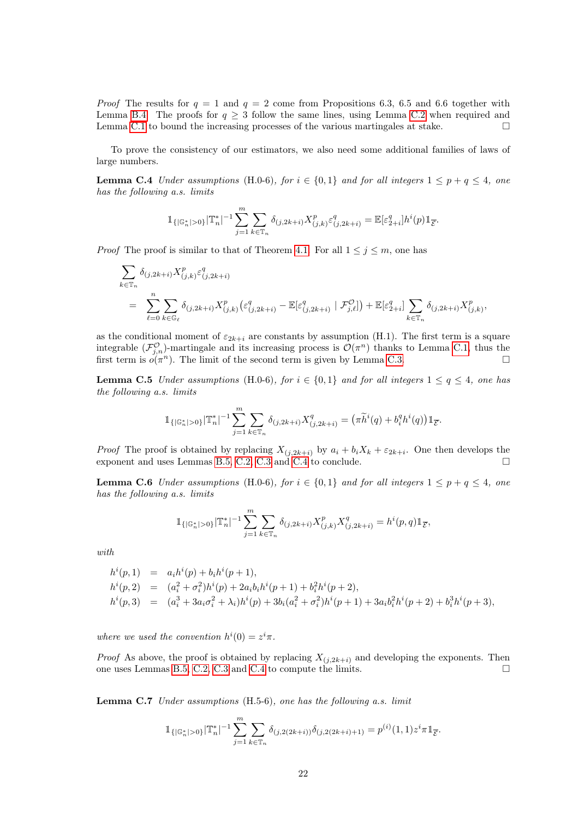*Proof* The results for  $q = 1$  and  $q = 2$  come from Propositions 6.3, 6.5 and 6.6 together with Lemma [B.4.](#page-15-2) The proofs for  $q \geq 3$  follow the same lines, using Lemma [C.2](#page-20-0) when required and Lemma [C.1](#page-19-0) to bound the increasing processes of the various martingales at stake.  $\square$ 

To prove the consistency of our estimators, we also need some additional families of laws of large numbers.

**Lemma C.4** Under assumptions (H.0-6), for  $i \in \{0,1\}$  and for all integers  $1 \leq p + q \leq 4$ , one has the following a.s. limits

<span id="page-21-0"></span>
$$
\mathbb{1}_{\{|\mathbb{G}_n^*|>0\}}|\mathbb{T}_n^*|^{-1}\sum_{j=1}^m\sum_{k\in\mathbb{T}_n}\delta_{(j,2k+i)}X^p_{(j,k)}\varepsilon^q_{(j,2k+i)}=\mathbb{E}[\varepsilon^q_{2+i}]h^i(p)\mathbb{1}_{\overline{\mathcal{E}}}.
$$

*Proof* The proof is similar to that of Theorem [4.1.](#page-4-1) For all  $1 \leq j \leq m$ , one has

$$
\sum_{k \in \mathbb{T}_n} \delta_{(j,2k+i)} X^p_{(j,k)} \varepsilon^q_{(j,2k+i)}
$$
\n
$$
= \sum_{\ell=0}^n \sum_{k \in \mathbb{G}_{\ell}} \delta_{(j,2k+i)} X^p_{(j,k)} (\varepsilon^q_{(j,2k+i)} - \mathbb{E}[\varepsilon^q_{(j,2k+i)} | \mathcal{F}^Q_{j,\ell}]) + \mathbb{E}[\varepsilon^q_{2+i}] \sum_{k \in \mathbb{T}_n} \delta_{(j,2k+i)} X^p_{(j,k)},
$$

as the conditional moment of  $\varepsilon_{2k+i}$  are constants by assumption (H.1). The first term is a square integrable  $(\mathcal{F}_{j,n}^{\mathcal{O}})$ -martingale and its increasing process is  $\mathcal{O}(\pi^n)$  thanks to Lemma [C.1,](#page-19-0) thus the first term is  $o(\pi^n)$ . The limit of the second term is given by Lemma [C.3.](#page-20-1)

<span id="page-21-2"></span>**Lemma C.5** Under assumptions (H.0-6), for  $i \in \{0,1\}$  and for all integers  $1 \leq q \leq 4$ , one has the following a.s. limits

$$
\mathbb{1}_{\{|\mathbb{G}_n^*|>0\}}|\mathbb{T}_n^*|^{-1}\sum_{j=1}^m\sum_{k\in\mathbb{T}_n}\delta_{(j,2k+i)}X^q_{(j,2k+i)} = (\pi\widetilde{h}^i(q) + b_i^q h^i(q))\mathbb{1}_{\overline{\mathcal{E}}}.
$$

*Proof* The proof is obtained by replacing  $X_{(j,2k+i)}$  by  $a_i + b_i X_k + \varepsilon_{2k+i}$ . One then develops the exponent and uses Lemmas [B.5,](#page-15-3) [C.2,](#page-20-0) [C.3](#page-20-1) and [C.4](#page-21-0) to conclude.

<span id="page-21-1"></span>**Lemma C.6** Under assumptions (H.0-6), for  $i \in \{0,1\}$  and for all integers  $1 \leq p + q \leq 4$ , one has the following a.s. limits

$$
\mathbb{1}_{\{|\mathbb{G}_n^*|>0\}} |\mathbb{T}_n^*|^{-1} \sum_{j=1}^m \sum_{k \in \mathbb{T}_n} \delta_{(j,2k+i)} X^p_{(j,k)} X^q_{(j,2k+i)} = h^i(p,q) \mathbb{1}_{\overline{\mathcal{E}}},
$$

with

$$
h^{i}(p,1) = a_{i}h^{i}(p) + b_{i}h^{i}(p+1),
$$
  
\n
$$
h^{i}(p,2) = (a_{i}^{2} + \sigma_{i}^{2})h^{i}(p) + 2a_{i}b_{i}h^{i}(p+1) + b_{i}^{2}h^{i}(p+2),
$$
  
\n
$$
h^{i}(p,3) = (a_{i}^{3} + 3a_{i}\sigma_{i}^{2} + \lambda_{i})h^{i}(p) + 3b_{i}(a_{i}^{2} + \sigma_{i}^{2})h^{i}(p+1) + 3a_{i}b_{i}^{2}h^{i}(p+2) + b_{i}^{3}h^{i}(p+3),
$$

where we used the convention  $h^{i}(0) = z^{i} \pi$ .

*Proof* As above, the proof is obtained by replacing  $X_{(j,2k+i)}$  and developing the exponents. Then one uses Lemmas [B.5,](#page-15-3) [C.2,](#page-20-0) [C.3](#page-20-1) and [C.4](#page-21-0) to compute the limits.

<span id="page-21-3"></span>Lemma C.7 Under assumptions (H.5-6), one has the following a.s. limit

$$
\mathbb{1}_{\{|\mathbb{G}_n^*|>0\}} |\mathbb{T}_n^*|^{-1} \sum_{j=1}^m \sum_{k \in \mathbb{T}_n} \delta_{(j,2(2k+i))} \delta_{(j,2(2k+i)+1)} = p^{(i)}(1,1) z^i \pi \mathbb{1}_{\overline{\mathcal{E}}}
$$

.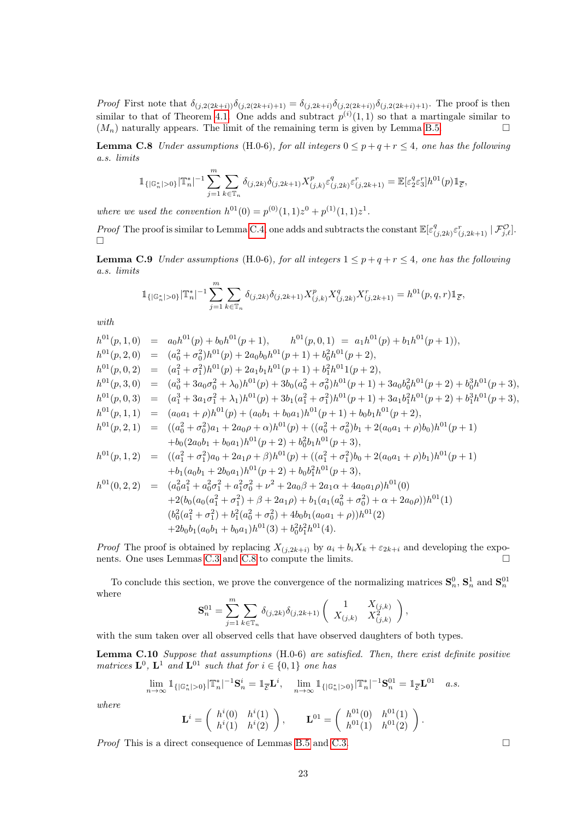*Proof* First note that  $\delta_{(j,2(2k+i))}\delta_{(j,2(2k+i)+1)} = \delta_{(j,2k+i)}\delta_{(j,2(2k+i))}\delta_{(j,2(2k+i)+1)}$ . The proof is then similar to that of Theorem [4.1.](#page-4-1) One adds and subtract  $p^{(i)}(1,1)$  so that a martingale similar to  $(M_n)$  naturally appears. The limit of the remaining term is given by Lemma [B.5.](#page-15-3)

<span id="page-22-0"></span>**Lemma C.8** Under assumptions (H.0-6), for all integers  $0 \le p + q + r \le 4$ , one has the following a.s. limits

$$
\mathbb{1}_{\{|\mathbb{G}_n^*|>0\}}|\mathbb{T}_n^*|^{-1}\sum_{j=1}^m\sum_{k\in\mathbb{T}_n}\delta_{(j,2k)}\delta_{(j,2k+1)}X_{(j,k)}^p\varepsilon_{(j,2k)}^q\varepsilon_{(j,2k+1)}^r=\mathbb{E}[\varepsilon_2^q\varepsilon_3^r]h^{01}(p)\mathbb{1}_{\overline{\mathcal{E}}},
$$

where we used the convention  $h^{01}(0) = p^{(0)}(1,1)z^0 + p^{(1)}(1,1)z^1$ .

*Proof* The proof is similar to Lemma [C.4,](#page-21-0) one adds and subtracts the constant  $\mathbb{E}[\varepsilon]$  ${}_{(j,2k)}^{q} \varepsilon^r_{(j,2k+1)} \, | \, \mathcal{F}^{\mathcal{O}}_{j,\ell}].$  $\Box$ 

<span id="page-22-2"></span>**Lemma C.9** Under assumptions (H.0-6), for all integers  $1 \leq p + q + r \leq 4$ , one has the following a.s. limits

$$
\mathbb{1}_{\{|\mathbb{G}_n^*|>0\}}|\mathbb{T}_n^*|^{-1}\sum_{j=1}^m\sum_{k\in\mathbb{T}_n}\delta_{(j,2k)}\delta_{(j,2k+1)}X^p_{(j,k)}X^q_{(j,2k)}X^r_{(j,2k+1)}=h^{01}(p,q,r)\mathbb{1}_{\overline{\mathcal{E}}},
$$

with

$$
h^{01}(p,1,0) = a_0h^{01}(p) + b_0h^{01}(p+1), \qquad h^{01}(p,0,1) = a_1h^{01}(p) + b_1h^{01}(p+1)),
$$
  
\n
$$
h^{01}(p,2,0) = (a_0^2 + \sigma_0^2)h^{01}(p) + 2a_0b_0h^{01}(p+1) + b_0^2h^{01}(p+2),
$$
  
\n
$$
h^{01}(p,0,2) = (a_1^2 + \sigma_1^2)h^{01}(p) + 2a_1b_1h^{01}(p+1) + b_1^2h^{01}1(p+2),
$$
  
\n
$$
h^{01}(p,3,0) = (a_0^3 + 3a_0\sigma_0^2 + \lambda_0)h^{01}(p) + 3b_0(a_0^2 + \sigma_0^2)h^{01}(p+1) + 3a_0b_0^2h^{01}(p+2) + b_0^3h^{01}(p+3),
$$
  
\n
$$
h^{01}(p,0,3) = (a_1^3 + 3a_1\sigma_1^2 + \lambda_1)h^{01}(p) + 3b_1(a_1^2 + \sigma_1^2)h^{01}(p+1) + 3a_1b_1^2h^{01}(p+2) + b_1^3h^{01}(p+3),
$$
  
\n
$$
h^{01}(p,1,1) = (a_0a_1 + \rho)h^{01}(p) + (a_0b_1 + b_0a_1)h^{01}(p+1) + b_0b_1h^{01}(p+2),
$$
  
\n
$$
h^{01}(p,2,1) = ((a_0^2 + \sigma_0^2)a_1 + 2a_0\rho + \alpha)h^{01}(p) + ((a_0^2 + \sigma_0^2)b_1 + 2(a_0a_1 + \rho)b_0)h^{01}(p+1) + b_0(2a_0b_1 + b_0a_1)h^{01}(p+2) + b_0^2b_1h^{01}(p+3),
$$
  
\n
$$
h^{01}(p,1,2) = ((a_1^2 + \sigma_1^2)a_0 + 2a_1\rho + \beta)h^{01}(p) + ((a
$$

*Proof* The proof is obtained by replacing  $X_{(j,2k+i)}$  by  $a_i + b_i X_k + \varepsilon_{2k+i}$  and developing the exponents. One uses Lemmas [C.3](#page-20-1) and [C.8](#page-22-0) to compute the limits.

To conclude this section, we prove the convergence of the normalizing matrices  $S_n^0$ ,  $S_n^1$  and  $S_n^{01}$ where

$$
\mathbf{S}_n^{01} = \sum_{j=1}^m \sum_{k \in \mathbb{T}_n} \delta_{(j,2k)} \delta_{(j,2k+1)} \begin{pmatrix} 1 & X_{(j,k)} \\ X_{(j,k)} & X_{(j,k)}^2 \end{pmatrix},
$$

with the sum taken over all observed cells that have observed daughters of both types.

<span id="page-22-1"></span>Lemma C.10 Suppose that assumptions (H.0-6) are satisfied. Then, there exist definite positive matrices  $\mathbf{L}^0$ ,  $\mathbf{L}^1$  and  $\mathbf{L}^{01}$  such that for  $i \in \{0,1\}$  one has

$$
\lim_{n \to \infty} \mathbb{1}_{\{|\mathbb{G}_n^*| > 0\}} |\mathbb{T}_n^*|^{-1} \mathbf{S}_n^i = \mathbb{1}_{\overline{\mathcal{E}}} \mathbf{L}^i, \quad \lim_{n \to \infty} \mathbb{1}_{\{|\mathbb{G}_n^*| > 0\}} |\mathbb{T}_n^*|^{-1} \mathbf{S}_n^{01} = \mathbb{1}_{\overline{\mathcal{E}}} \mathbf{L}^{01} \quad a.s.
$$

where

$$
\mathbf{L}^{i} = \begin{pmatrix} h^{i}(0) & h^{i}(1) \\ h^{i}(1) & h^{i}(2) \end{pmatrix}, \qquad \mathbf{L}^{01} = \begin{pmatrix} h^{01}(0) & h^{01}(1) \\ h^{01}(1) & h^{01}(2) \end{pmatrix}.
$$

*Proof* This is a direct consequence of Lemmas [B.5](#page-15-3) and [C.3.](#page-20-1)  $\Box$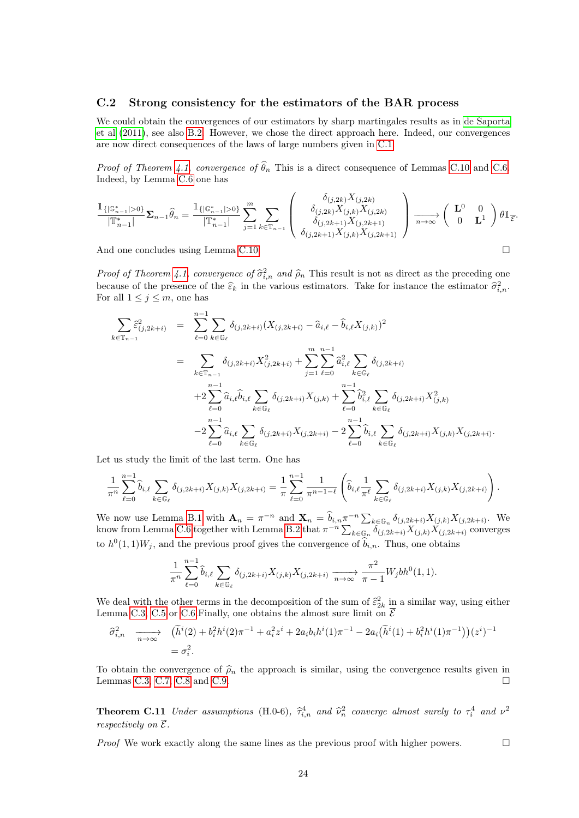#### <span id="page-23-0"></span>C.2 Strong consistency for the estimators of the BAR process

We could obtain the convergences of our estimators by sharp martingales results as in [de Saporta](#page-30-4) [et al](#page-30-4) [\(2011\)](#page-30-4), see also [B.2.](#page-15-0) However, we chose the direct approach here. Indeed, our convergences are now direct consequences of the laws of large numbers given in [C.1.](#page-19-1)

*Proof of Theorem [4.1,](#page-4-1) convergence of*  $\widehat{\theta}_n$  This is a direct consequence of Lemmas [C.10](#page-22-1) and [C.6.](#page-21-1) Indeed, by Lemma [C.6](#page-21-1) one has

$$
\frac{\mathbb{1}_{\{\vert \mathbb{G}_{n-1}^*\vert > 0\}}}{\vert \mathbb{T}_{n-1}^* \vert} \Sigma_{n-1} \hat{\theta}_n = \frac{\mathbb{1}_{\{\vert \mathbb{G}_{n-1}^*\vert > 0\}}}{\vert \mathbb{T}_{n-1}^* \vert} \sum_{j=1}^m \sum_{k \in \mathbb{T}_{n-1}} \left( \begin{array}{c} \delta_{(j,2k)} X_{(j,2k)} \\ \delta_{(j,2k)} X_{(j,k)} X_{(j,2k)} \\ \delta_{(j,2k+1)} X_{(j,k)} X_{(j,2k+1)} \\ \delta_{(j,2k+1)} X_{(j,k)} X_{(j,2k+1)} \end{array} \right) \xrightarrow[n \to \infty]{} \left( \begin{array}{cc} \mathbf{L}^0 & 0 \\ 0 & \mathbf{L}^1 \end{array} \right) \theta \mathbbm{1}_{\overline{\mathcal{E}}}.
$$

And one concludes using Lemma [C.10.](#page-22-1)

Proof of Theorem [4.1,](#page-4-1) convergence of  $\hat{\sigma}_{i,n}^2$  and  $\hat{\rho}_n$ . This result is not as direct as the preceding one<br>because of the presence of the  $\hat{\epsilon}$  in the unique setimeters. Take for instance the estimator  $\hat{\epsilon}^2$ because of the presence of the  $\hat{\varepsilon}_k$  in the various estimators. Take for instance the estimator  $\hat{\sigma}_{i,n}^2$ .<br>For all  $1 \leq i \leq m$  one has For all  $1 \leq j \leq m$ , one has

$$
\sum_{k \in \mathbb{T}_{n-1}} \hat{\varepsilon}_{(j,2k+i)}^2 = \sum_{\ell=0}^{n-1} \sum_{k \in \mathbb{G}_{\ell}} \delta_{(j,2k+i)} (X_{(j,2k+i)} - \hat{a}_{i,\ell} - \hat{b}_{i,\ell} X_{(j,k)})^2
$$
\n
$$
= \sum_{k \in \mathbb{T}_{n-1}} \delta_{(j,2k+i)} X_{(j,2k+i)}^2 + \sum_{j=1}^m \sum_{\ell=0}^{n-1} \hat{a}_{i,\ell}^2 \sum_{k \in \mathbb{G}_{\ell}} \delta_{(j,2k+i)}
$$
\n
$$
+ 2 \sum_{\ell=0}^{n-1} \hat{a}_{i,\ell} \hat{b}_{i,\ell} \sum_{k \in \mathbb{G}_{\ell}} \delta_{(j,2k+i)} X_{(j,k)} + \sum_{\ell=0}^{n-1} \hat{b}_{i,\ell}^2 \sum_{k \in \mathbb{G}_{\ell}} \delta_{(j,2k+i)} X_{(j,k)}^2
$$
\n
$$
- 2 \sum_{\ell=0}^{n-1} \hat{a}_{i,\ell} \sum_{k \in \mathbb{G}_{\ell}} \delta_{(j,2k+i)} X_{(j,2k+i)} - 2 \sum_{\ell=0}^{n-1} \hat{b}_{i,\ell} \sum_{k \in \mathbb{G}_{\ell}} \delta_{(j,2k+i)} X_{(j,k)} X_{(j,2k+i)}.
$$

Let us study the limit of the last term. One has

$$
\frac{1}{\pi^n} \sum_{\ell=0}^{n-1} \hat{b}_{i,\ell} \sum_{k \in \mathbb{G}_{\ell}} \delta_{(j,2k+i)} X_{(j,k)} X_{(j,2k+i)} = \frac{1}{\pi} \sum_{\ell=0}^{n-1} \frac{1}{\pi^{n-1-\ell}} \left( \hat{b}_{i,\ell} \frac{1}{\pi^{\ell}} \sum_{k \in \mathbb{G}_{\ell}} \delta_{(j,2k+i)} X_{(j,k)} X_{(j,2k+i)} \right).
$$

We now use Lemma [B.1](#page-14-0) with  $\mathbf{A}_n = \pi^{-n}$  and  $\mathbf{X}_n = \hat{b}_{i,n} \pi^{-n} \sum_{k \in \mathbb{G}_n} \delta_{(j,2k+i)} X_{(j,k)} X_{(j,2k+i)}$ . We know from Lemma [C.6](#page-21-1) together with Lemma [B.2](#page-14-3) that  $\pi^{-n} \sum_{k \in \mathbb{G}_n} \delta_{(j,2k+i)}^{\pi} X_{(j,k)} X_{(j,2k+i)}$  converges to  $h^0(1,1)W_j$ , and the previous proof gives the convergence of  $\hat{b}_{i,n}$ . Thus, one obtains

$$
\frac{1}{\pi^n} \sum_{\ell=0}^{n-1} \widehat{b}_{i,\ell} \sum_{k \in \mathbb{G}_{\ell}} \delta_{(j,2k+i)} X_{(j,k)} X_{(j,2k+i)} \xrightarrow[n \to \infty]{} \frac{\pi^2}{\pi-1} W_j b h^0(1,1).
$$

We deal with the other terms in the decomposition of the sum of  $\hat{\epsilon}_{2k}^2$  in a similar way, using either<br>Lomma C.3, C.5 or C.6 Finally, one obtains the almost sure limit on  $\overline{S}$ Lemma [C.3,](#page-20-1) [C.5](#page-21-2) or [C.6.](#page-21-1) Finally, one obtains the almost sure limit on  $\overline{\mathcal{E}}$ 

$$
\begin{aligned}\n\widehat{\sigma}_{i,n}^2 & \xrightarrow[n \to \infty]{} \left( \widetilde{h}^i(2) + b_i^2 h^i(2) \pi^{-1} + a_i^2 z^i + 2a_i b_i h^i(1) \pi^{-1} - 2a_i (\widetilde{h}^i(1) + b_i^2 h^i(1) \pi^{-1}) \right) (z^i)^{-1} \\
& = \sigma_i^2.\n\end{aligned}
$$

To obtain the convergence of  $\hat{\rho}_n$  the approach is similar, using the convergence results given in Lemmas C.3, C.7, C.8 and C.9. Lemmas [C.3,](#page-20-1) [C.7,](#page-21-3) [C.8](#page-22-0) and [C.9.](#page-22-2)

<span id="page-23-1"></span>**Theorem C.11** Under assumptions (H.0-6),  $\hat{\tau}_{i,n}^4$  and  $\hat{\nu}_n^2$  converge almost surely to  $\tau_i^4$  and  $\nu^2$ respectively on  $\overline{\mathcal{E}}$ .

*Proof* We work exactly along the same lines as the previous proof with higher powers.  $\Box$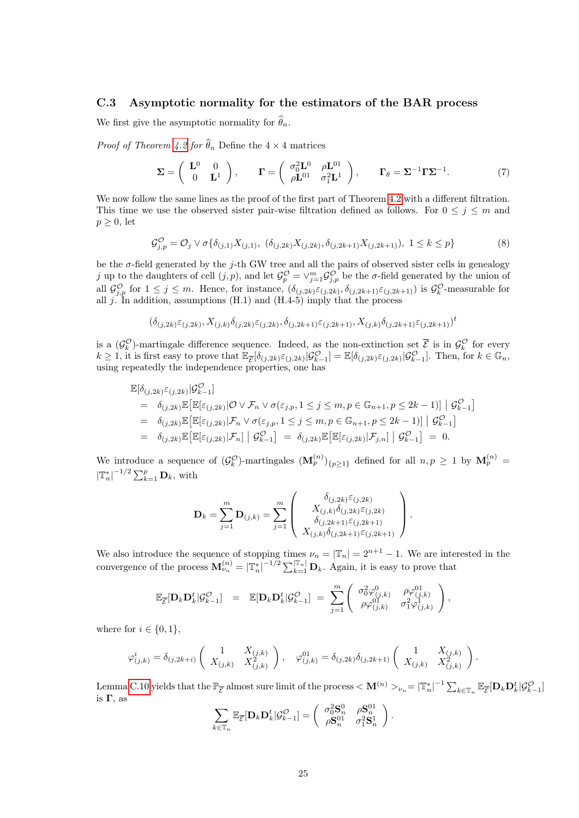### <span id="page-24-1"></span>C.3 Asymptotic normality for the estimators of the BAR process

We first give the asymptotic normality for  $\hat{\theta}_n$ .

*Proof of Theorem [4.2](#page-4-0) for*  $\widehat{\theta}_n$  Define the  $4 \times 4$  matrices

<span id="page-24-0"></span>
$$
\Sigma = \begin{pmatrix} \mathbf{L}^0 & 0 \\ 0 & \mathbf{L}^1 \end{pmatrix}, \qquad \mathbf{\Gamma} = \begin{pmatrix} \sigma_0^2 \mathbf{L}^0 & \rho \mathbf{L}^{01} \\ \rho \mathbf{L}^{01} & \sigma_1^2 \mathbf{L}^1 \end{pmatrix}, \qquad \mathbf{\Gamma}_{\theta} = \Sigma^{-1} \Gamma \Sigma^{-1}.
$$
 (7)

We now follow the same lines as the proof of the first part of Theorem [4.2](#page-4-0) with a different filtration. This time we use the observed sister pair-wise filtration defined as follows. For  $0 \leq j \leq m$  and  $p \geq 0$ , let

<span id="page-24-2"></span>
$$
\mathcal{G}_{j,p}^{\mathcal{O}} = \mathcal{O}_j \vee \sigma \{ \delta_{(j,1)} X_{(j,1)}, \ (\delta_{(j,2k)} X_{(j,2k)}, \delta_{(j,2k+1)} X_{(j,2k+1)}), \ 1 \le k \le p \}
$$
(8)

be the  $\sigma$ -field generated by the j-th GW tree and all the pairs of observed sister cells in genealogy j up to the daughters of cell  $(j, p)$ , and let  $\mathcal{G}_p^{\mathcal{O}} = \vee_{j=1}^m \mathcal{G}_{j,p}^{\mathcal{O}}$  be the  $\sigma$ -field generated by the union of all  $\mathcal{G}^{\mathcal{O}}_{j,p}$  for  $1 \leq j \leq m$ . Hence, for instance,  $(\delta_{(j,2k)}\varepsilon_{(j,2k)}, \delta_{(j,2k+1)}\varepsilon_{(j,2k+1)})$  is  $\mathcal{G}^{\mathcal{O}}_k$ -measurable for all j. In addition, assumptions  $(H.1)$  and  $(H.4-5)$  imply that the process

$$
(\delta_{(j,2k)}\varepsilon_{(j,2k)},X_{(j,k)}\delta_{(j,2k)}\varepsilon_{(j,2k)},\delta_{(j,2k+1)}\varepsilon_{(j,2k+1)},X_{(j,k)}\delta_{(j,2k+1)}\varepsilon_{(j,2k+1)})^t
$$

is a  $(\mathcal{G}_k^{\mathcal{O}})$ -martingale difference sequence. Indeed, as the non-extinction set  $\overline{\mathcal{E}}$  is in  $\mathcal{G}_k^{\mathcal{O}}$  for every  $k \geq 1$ , it is first easy to prove that  $\mathbb{E}_{\overline{\mathcal{E}}}[\delta_{(j,2k)}\varepsilon_{(j,2k)}|\mathcal{G}^{\mathcal{O}}_{k-1}] = \mathbb{E}[\delta_{(j,2k)}\varepsilon_{(j,2k)}|\mathcal{G}^{\mathcal{O}}_{k-1}]$ . Then, for  $k \in \mathbb{G}_n$ , using repeatedly the independence properties, one has

$$
\mathbb{E}[\delta_{(j,2k)}\varepsilon_{(j,2k)}|\mathcal{G}_{k-1}^{\mathcal{O}}]
$$
\n
$$
= \delta_{(j,2k)}\mathbb{E}\left[\mathbb{E}[\varepsilon_{(j,2k)}|\mathcal{O}\vee\mathcal{F}_n\vee\sigma(\varepsilon_{j,p}, 1\leq j\leq m, p\in\mathbb{G}_{n+1}, p\leq 2k-1)] \middle|\mathcal{G}_{k-1}^{\mathcal{O}}\right]
$$
\n
$$
= \delta_{(j,2k)}\mathbb{E}\left[\mathbb{E}[\varepsilon_{(j,2k)}|\mathcal{F}_n\vee\sigma(\varepsilon_{j,p}, 1\leq j\leq m, p\in\mathbb{G}_{n+1}, p\leq 2k-1)] \middle|\mathcal{G}_{k-1}^{\mathcal{O}}\right]
$$
\n
$$
= \delta_{(j,2k)}\mathbb{E}\left[\mathbb{E}[\varepsilon_{(j,2k)}|\mathcal{F}_n] \middle|\mathcal{G}_{k-1}^{\mathcal{O}}\right] = \delta_{(j,2k)}\mathbb{E}\left[\mathbb{E}[\varepsilon_{(j,2k)}|\mathcal{F}_{j,n}] \middle|\mathcal{G}_{k-1}^{\mathcal{O}}\right] = 0.
$$

We introduce a sequence of  $(\mathcal{G}_k^{\mathcal{O}})$ -martingales  $(\mathbf{M}_p^{(n)})_{\{p\geq 1\}}$  defined for all  $n, p \geq 1$  by  $\mathbf{M}_p^{(n)} =$  $\left|\mathbb{T}_{n}^{*}\right|^{-1/2} \sum_{k=1}^{p} \mathbf{D}_{k}$ , with

$$
\mathbf{D}_k = \sum_{j=1}^m \mathbf{D}_{(j,k)} = \sum_{j=1}^m \begin{pmatrix} \delta_{(j,2k)} \varepsilon_{(j,2k)} \\ X_{(j,k)} \delta_{(j,2k)} \varepsilon_{(j,2k)} \\ \delta_{(j,2k+1)} \varepsilon_{(j,2k+1)} \\ X_{(j,k)} \delta_{(j,2k+1)} \varepsilon_{(j,2k+1)} \end{pmatrix}.
$$

We also introduce the sequence of stopping times  $\nu_n = |\mathbb{T}_n| = 2^{n+1} - 1$ . We are interested in the convergence of the process  $\mathbf{M}_{\nu_n}^{(n)} = |\mathbb{T}_n^*|^{-1/2} \sum_{k=1}^{|\mathbb{T}_n|} \mathbf{D}_k$ . Again, it is easy to prove that

$$
\mathbb{E}_{\overline{\mathcal{E}}}[\mathbf{D}_k \mathbf{D}_k^t | \mathcal{G}_{k-1}^{\mathcal{O}}] = \mathbb{E}[\mathbf{D}_k \mathbf{D}_k^t | \mathcal{G}_{k-1}^{\mathcal{O}}] = \sum_{j=1}^m \begin{pmatrix} \sigma_0^2 \varphi_{(j,k)}^0 & \rho \varphi_{(j,k)}^{01} \\ \rho \varphi_{(j,k)}^{01} & \sigma_1^2 \varphi_{(j,k)}^1 \end{pmatrix},
$$

where for  $i \in \{0, 1\},\$ 

$$
\varphi^i_{(j,k)} = \delta_{(j,2k+i)} \left( \begin{array}{cc} 1 & X_{(j,k)} \\ X_{(j,k)} & X_{(j,k)}^2 \end{array} \right), \quad \varphi^{01}_{(j,k)} = \delta_{(j,2k)} \delta_{(j,2k+1)} \left( \begin{array}{cc} 1 & X_{(j,k)} \\ X_{(j,k)} & X_{(j,k)}^2 \end{array} \right).
$$

Lemma [C.10](#page-22-1) yields that the  $\mathbb{P}_{\overline{\mathcal{E}}}$  almost sure limit of the process  $<\mathbf{M}^{(n)}>_{\nu_n}=\left|\mathbb{T}_n^*\right|^{-1}\sum_{k\in\mathbb{T}_n}\mathbb{E}_{\overline{\mathcal{E}}}[\mathbf{D}_k\mathbf{D}_k^t|\mathcal{G}_{k-1}^{\mathcal{O}}]$ is  $\Gamma$ , as

$$
\sum_{k\in\mathbb{T}_n}\mathbb{E}_{\overline{\mathcal{E}}}[\mathbf{D}_k\mathbf{D}_k^t|\mathcal{G}^{\mathcal{O}}_{k-1}]=\left(\begin{array}{cc}\sigma_0^2\mathbf{S}_n^0 & \rho\mathbf{S}_n^{01}\\ \rho\mathbf{S}_n^{01} & \sigma_1^2\mathbf{S}_n^1\end{array}\right).
$$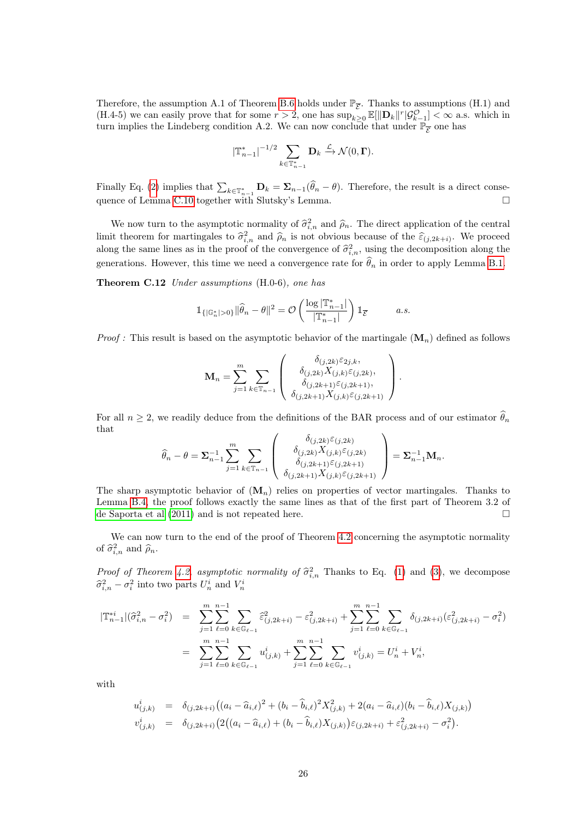Therefore, the assumption A.1 of Theorem [B.6](#page-16-2) holds under  $\mathbb{P}_{\overline{\mathcal{E}}}$ . Thanks to assumptions (H.1) and (H.4-5) we can easily prove that for some  $r > 2$ , one has  $\sup_{k \geq 0} \mathbb{E}[\|\mathbf{D}_k\|^r | \mathcal{G}_{k-1}^{\mathcal{O}}] < \infty$  a.s. which in turn implies the Lindeberg condition A.2. We can now conclude that under  $\mathbb{P}_{\overline{\mathcal{E}}}$  one has

<span id="page-25-0"></span>
$$
|\mathbb{T}_{n-1}^*|^{-1/2} \sum_{k \in \mathbb{T}_{n-1}^*} \mathbf{D}_k \xrightarrow{\mathcal{L}} \mathcal{N}(0, \Gamma).
$$

Finally Eq. [\(2\)](#page-4-2) implies that  $\sum_{k\in\mathbb{T}_{n-1}^*}\mathbf{D}_k=\sum_{n-1}(\theta_n-\theta)$ . Therefore, the result is a direct conse-quence of Lemma [C.10](#page-22-1) together with Slutsky's Lemma.

We now turn to the asymptotic normality of  $\hat{\sigma}_{i,n}^2$  and  $\hat{\rho}_n$ . The direct application of the central<br>it theorem for montingales to  $\hat{\sigma}_n^2$  and  $\hat{\sigma}_n$  is not abrience because of the  $\hat{\sigma}_n$ . limit theorem for martingales to  $\hat{\sigma}_{i,n}^2$  and  $\hat{\rho}_n$  is not obvious because of the  $\hat{\varepsilon}_{(j,2k+i)}$ . We proceed along the same lines as in the proof of the convergence of  $\hat{\sigma}_{i,n}^2$ , using the decomposition along the generations. However, this time we need a convergence rate for  $\widehat{\theta}_n$  in order to apply Lemma [B.1.](#page-14-0)

Theorem C.12 Under assumptions (H.0-6), one has

$$
\mathbbm{1}_{\{|\mathbb{G}_n^*|>0\}}\|\widehat{\theta}_n-\theta\|^2=\mathcal{O}\left(\frac{\log |\mathbb{T}_{n-1}^*|}{|\mathbb{T}_{n-1}^*|}\right)\mathbbm{1}_{\overline{\mathcal{E}}}\qquad a.s.
$$

*Proof :* This result is based on the asymptotic behavior of the martingale  $(M_n)$  defined as follows

$$
\mathbf{M}_{n} = \sum_{j=1}^{m} \sum_{k \in \mathbb{T}_{n-1}} \begin{pmatrix} \delta_{(j,2k)} \varepsilon_{2j,k}, \\ \delta_{(j,2k)} X_{(j,k)} \varepsilon_{(j,2k)}, \\ \delta_{(j,2k+1)} \varepsilon_{(j,2k+1)}, \\ \delta_{(j,2k+1)} X_{(j,k)} \varepsilon_{(j,2k+1)} \end{pmatrix}.
$$

For all  $n \geq 2$ , we readily deduce from the definitions of the BAR process and of our estimator  $\hat{\theta}_n$ that

$$
\widehat{\theta}_n - \theta = \mathbf{\Sigma}_{n-1}^{-1} \sum_{j=1}^m \sum_{k \in \mathbb{T}_{n-1}} \left( \begin{array}{c} \delta_{(j,2k)} \varepsilon_{(j,2k)} \\ \delta_{(j,2k)} X_{(j,k)} \varepsilon_{(j,2k)} \\ \delta_{(j,2k+1)} \varepsilon_{(j,2k+1)} \\ \delta_{(j,2k+1)} X_{(j,k)} \varepsilon_{(j,2k+1)} \end{array} \right) = \mathbf{\Sigma}_{n-1}^{-1} \mathbf{M}_n.
$$

The sharp asymptotic behavior of  $(M_n)$  relies on properties of vector martingales. Thanks to Lemma [B.4,](#page-15-2) the proof follows exactly the same lines as that of the first part of Theorem 3.2 of [de Saporta et al](#page-30-4) [\(2011\)](#page-30-4) and is not repeated here.

We can now turn to the end of the proof of Theorem [4.2](#page-4-0) concerning the asymptotic normality of  $\hat{\sigma}_{i,n}^2$  and  $\hat{\rho}_n$ .

Proof of Theorem [4.2,](#page-4-0) asymptotic normality of  $\hat{\sigma}_{i,n}^2$  Thanks to Eq. [\(1\)](#page-2-2) and [\(3\)](#page-4-3), we decompose  $\hat{\sigma}_{i,n}^2 - \sigma_i^2$  into two parts  $U_n^i$  and  $V_n^i$ 

$$
\begin{array}{rcl}\n|\mathbb{T}_{n-1}^{*i}|(\widehat{\sigma}_{i,n}^2-\sigma_i^2) &=& \sum_{j=1}^m\sum_{\ell=0}^{n-1}\sum_{k\in\mathbb{G}_{\ell-1}}\widehat{\varepsilon}_{(j,2k+i)}^2-\varepsilon_{(j,2k+i)}^2+\sum_{j=1}^m\sum_{\ell=0}^{n-1}\sum_{k\in\mathbb{G}_{\ell-1}}\delta_{(j,2k+i)}(\varepsilon_{(j,2k+i)}^2-\sigma_i^2) \\
\\
&=& \sum_{j=1}^m\sum_{\ell=0}^{n-1}\sum_{k\in\mathbb{G}_{\ell-1}}u_{(j,k)}^i+\sum_{j=1}^m\sum_{\ell=0}^{n-1}\sum_{k\in\mathbb{G}_{\ell-1}}v_{(j,k)}^i=U_n^i+V_n^i,\n\end{array}
$$

with

$$
u_{(j,k)}^i = \delta_{(j,2k+i)}((a_i - \widehat{a}_{i,\ell})^2 + (b_i - \widehat{b}_{i,\ell})^2 X_{(j,k)}^2 + 2(a_i - \widehat{a}_{i,\ell})(b_i - \widehat{b}_{i,\ell}) X_{(j,k)})
$$
  

$$
v_{(j,k)}^i = \delta_{(j,2k+i)}(2((a_i - \widehat{a}_{i,\ell}) + (b_i - \widehat{b}_{i,\ell}) X_{(j,k)}) \varepsilon_{(j,2k+i)} + \varepsilon_{(j,2k+i)}^2 - \sigma_i^2).
$$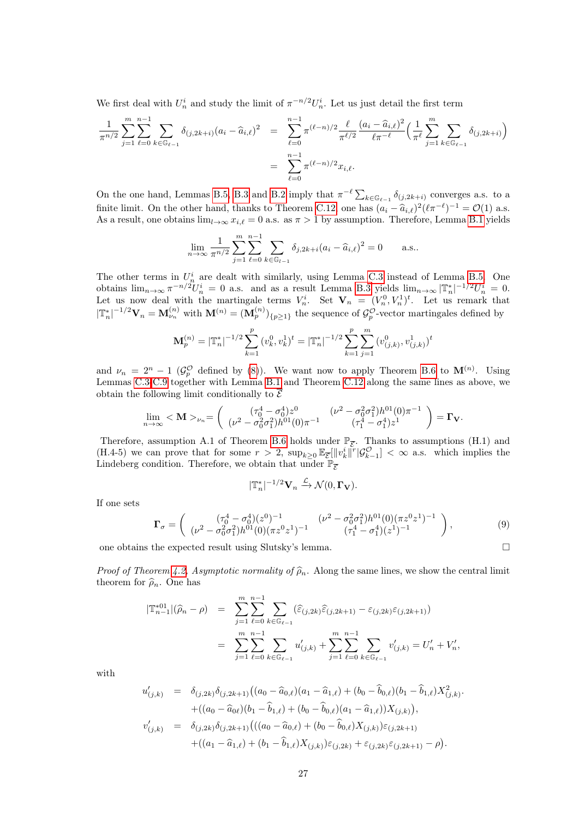We first deal with  $U_n^i$  and study the limit of  $\pi^{-n/2}U_n^i$ . Let us just detail the first term

$$
\frac{1}{\pi^{n/2}} \sum_{j=1}^{m} \sum_{\ell=0}^{n-1} \sum_{k \in \mathbb{G}_{\ell-1}} \delta_{(j,2k+i)} (a_i - \widehat{a}_{i,\ell})^2 = \sum_{\ell=0}^{n-1} \pi^{(\ell-n)/2} \frac{\ell}{\pi^{\ell/2}} \frac{(a_i - \widehat{a}_{i,\ell})^2}{\ell \pi^{-\ell}} \left( \frac{1}{\pi^{\ell}} \sum_{j=1}^{m} \sum_{k \in \mathbb{G}_{\ell-1}} \delta_{(j,2k+i)} \right)
$$
  

$$
= \sum_{\ell=0}^{n-1} \pi^{(\ell-n)/2} x_{i,\ell}.
$$

On the one hand, Lemmas [B.5,](#page-15-3) [B.3](#page-14-2) and [B.2](#page-14-3) imply that  $\pi^{-\ell} \sum_{k \in \mathbb{G}_{\ell-1}} \delta_{(j,2k+i)}$  converges a.s. to a finite limit. On the other hand, thanks to Theorem [C.12,](#page-25-0) one has  $(a_i - \hat{a}_{i,\ell})^2 (\ell \pi^{-\ell})^{-1} = \mathcal{O}(1)$  a.s. As a result, one obtains  $\lim_{l\to\infty} x_{i,\ell} = 0$  a.s. as  $\pi > 1$  by assumption. Therefore, Lemma [B.1](#page-14-0) yields

$$
\lim_{n \to \infty} \frac{1}{\pi^{n/2}} \sum_{j=1}^{m} \sum_{\ell=0}^{n-1} \sum_{k \in \mathbb{G}_{l-1}} \delta_{j,2k+i} (a_i - \widehat{a}_{i,\ell})^2 = 0 \quad \text{a.s..}
$$

The other terms in  $U_n^i$  are dealt with similarly, using Lemma [C.3](#page-20-1) instead of Lemma [B.5.](#page-15-3) One obtains  $\lim_{n\to\infty} \pi^{-n/2}U_n^i = 0$  a.s. and as a result Lemma [B.3](#page-14-2) yields  $\lim_{n\to\infty} |\mathbb{T}_n^*|^{-1/2}U_n^i = 0$ . Let us now deal with the martingale terms  $V_n^i$ . Set  $\mathbf{V}_n = (V_n^0, V_n^1)^t$ . Let us remark that  $|\mathbb{T}_{n}^{*}|^{-1/2} \mathbf{V}_{n} = \mathbf{M}_{\nu_{n}}^{(n)}$  with  $\mathbf{M}^{(n)} = (\mathbf{M}_{p}^{(n)})_{\{p\geq 1\}}$  the sequence of  $\mathcal{G}_{p}^{\mathcal{O}}$ -vector martingales defined by

$$
\mathbf{M}_p^{(n)} = |\mathbb{T}_n^*|^{-1/2} \sum_{k=1}^p (v_k^0, v_k^1)^t = |\mathbb{T}_n^*|^{-1/2} \sum_{k=1}^p \sum_{j=1}^m (v_{(j,k)}^0, v_{(j,k)}^1)
$$

and  $\nu_n = 2^n - 1$  ( $\mathcal{G}_{p}^{\mathcal{O}}$  defined by [\(8\)](#page-24-2)). We want now to apply Theorem [B.6](#page-16-2) to  $\mathbf{M}^{(n)}$ . Using Lemmas [C.3-](#page-20-1)[C.9](#page-22-2) together with Lemma [B.1](#page-14-0) and Theorem [C.12](#page-25-0) along the same lines as above, we obtain the following limit conditionally to  $\mathcal E$ 

$$
\lim_{n\to\infty} <\mathbf{M}>_{\nu_n}=\left(\begin{array}{cc} (\tau_0^4-\sigma_0^4)z^0 & (\nu^2-\sigma_0^2\sigma_1^2)h^{01}(0)\pi^{-1} \\ (\nu^2-\sigma_0^2\sigma_1^2)h^{01}(0)\pi^{-1} & (\tau_1^4-\sigma_1^4)z^1 \end{array}\right)=\mathbf{\Gamma_V}.
$$

Therefore, assumption A.1 of Theorem [B.6](#page-16-2) holds under  $\mathbb{P}_{\overline{\mathcal{E}}}$ . Thanks to assumptions (H.1) and (H.4-5) we can prove that for some  $r > 2$ ,  $\sup_{k \geq 0} \mathbb{E}_{\overline{\mathcal{E}}}[\|v_k^i\|^r | \mathcal{G}_{k-1}^{\mathcal{O}}] < \infty$  a.s. which implies the Lindeberg condition. Therefore, we obtain that under  $\mathbb{P}_{\overline{\mathcal{E}}}$ 

$$
|\mathbb{T}_n^*|^{-1/2} \mathbf{V}_n \xrightarrow{\mathcal{L}} \mathcal{N}(0, \mathbf{\Gamma_V}).
$$

If one sets

<span id="page-26-0"></span>
$$
\Gamma_{\sigma} = \begin{pmatrix} (\tau_0^4 - \sigma_0^4)(z^0)^{-1} & (\nu^2 - \sigma_0^2 \sigma_1^2)h^{01}(0)(\pi z^0 z^1)^{-1} \\ (\nu^2 - \sigma_0^2 \sigma_1^2)h^{01}(0)(\pi z^0 z^1)^{-1} & (\tau_1^4 - \sigma_1^4)(z^1)^{-1} \end{pmatrix},
$$
(9)

one obtains the expected result using Slutsky's lemma.  $\Box$ 

*Proof of Theorem [4.2,](#page-4-0) Asymptotic normality of*  $\hat{\rho}_n$ . Along the same lines, we show the central limit theorem for  $\widehat{\rho}_n$ . One has

$$
|\mathbb{T}_{n-1}^{*01}|(\hat{\rho}_n - \rho) = \sum_{j=1}^m \sum_{\ell=0}^{n-1} \sum_{k \in \mathbb{G}_{\ell-1}} (\hat{\varepsilon}_{(j,2k)} \hat{\varepsilon}_{(j,2k+1)} - \varepsilon_{(j,2k)} \varepsilon_{(j,2k+1)})
$$
  

$$
= \sum_{j=1}^m \sum_{\ell=0}^{n-1} \sum_{k \in \mathbb{G}_{\ell-1}} u'_{(j,k)} + \sum_{j=1}^m \sum_{\ell=0}^{n-1} \sum_{k \in \mathbb{G}_{\ell-1}} v'_{(j,k)} = U'_n + V'_n,
$$

with

$$
u'_{(j,k)} = \delta_{(j,2k)} \delta_{(j,2k+1)} ((a_0 - \widehat{a}_{0,\ell})(a_1 - \widehat{a}_{1,\ell}) + (b_0 - \widehat{b}_{0,\ell})(b_1 - \widehat{b}_{1,\ell}) X^2_{(j,k)}.
$$
  
+ 
$$
+ ((a_0 - \widehat{a}_{0\ell})(b_1 - \widehat{b}_{1,\ell}) + (b_0 - \widehat{b}_{0,\ell})(a_1 - \widehat{a}_{1,\ell})) X_{(j,k)}),
$$
  

$$
v'_{(j,k)} = \delta_{(j,2k)} \delta_{(j,2k+1)} ((a_0 - \widehat{a}_{0,\ell}) + (b_0 - \widehat{b}_{0,\ell}) X_{(j,k)}) \varepsilon_{(j,2k+1)} + ((a_1 - \widehat{a}_{1,\ell}) + (b_1 - \widehat{b}_{1,\ell}) X_{(j,k)}) \varepsilon_{(j,2k)} + \varepsilon_{(j,2k)} \varepsilon_{(j,2k+1)} - \rho).
$$

t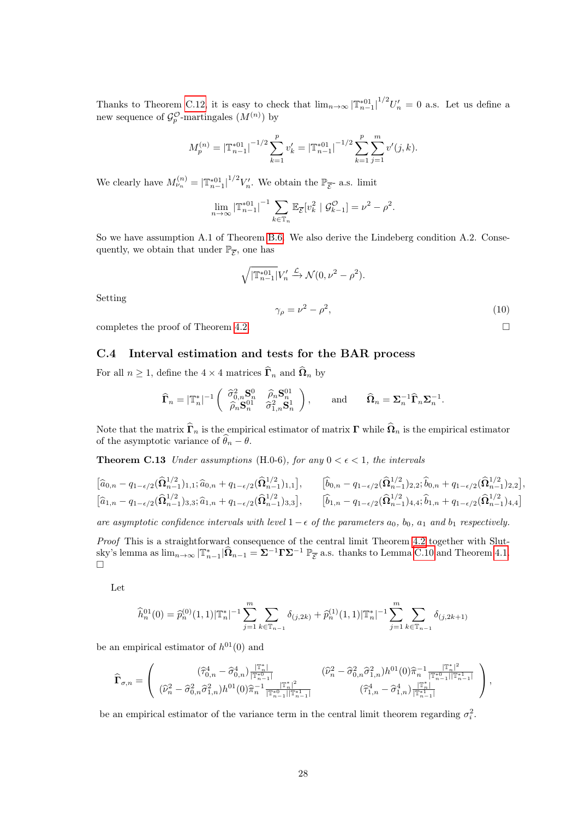Thanks to Theorem [C.12,](#page-25-0) it is easy to check that  $\lim_{n\to\infty} |\mathbb{T}_{n-1}^{*01}|^{1/2}U'_n = 0$  a.s. Let us define a new sequence of  $\mathcal{G}_{p}^{\mathcal{O}}$ -martingales  $(M^{(n)})$  by

$$
M_p^{(n)} = \left| \mathbb{T}_{n-1}^{*01} \right|^{-1/2} \sum_{k=1}^p v'_k = \left| \mathbb{T}_{n-1}^{*01} \right|^{-1/2} \sum_{k=1}^p \sum_{j=1}^m v'(j,k).
$$

We clearly have  $M_{\nu_n}^{(n)} = |\mathbb{T}_{n-1}^{*01}|^{1/2} V_n'$ . We obtain the  $\mathbb{P}_{\overline{\mathcal{E}}}$ - a.s. limit

$$
\lim_{n \to \infty} \left| \mathbb{T}_{n-1}^{*01} \right|^{-1} \sum_{k \in \mathbb{T}_n} \mathbb{E}_{\overline{\mathcal{E}}} [v_k^2 \mid \mathcal{G}_{k-1}^{\mathcal{O}}] = \nu^2 - \rho^2.
$$

So we have assumption A.1 of Theorem [B.6.](#page-16-2) We also derive the Lindeberg condition A.2. Consequently, we obtain that under  $\mathbb{P}_{\overline{\mathcal{E}}}$ , one has

$$
\sqrt{|\mathbb{T}_{n-1}^{*01}|}V_n' \xrightarrow{\mathcal{L}} \mathcal{N}(0, \nu^2 - \rho^2).
$$

Setting

<span id="page-27-0"></span> $\gamma_{\rho} = \nu^2 - \rho^2$  $(10)$ 

completes the proof of Theorem [4.2.](#page-4-0)  $\Box$ 

### <span id="page-27-1"></span>C.4 Interval estimation and tests for the BAR process

For all  $n \geq 1$ , define the  $4 \times 4$  matrices  $\widehat{\mathbf{\Gamma}}_n$  and  $\widehat{\mathbf{\Omega}}_n$  by

$$
\widehat{\boldsymbol{\Gamma}}_n = |\mathbb{T}_n^*|^{-1} \begin{pmatrix} \widehat{\sigma}_{0,n}^2 \mathbf{S}_n^0 & \widehat{\rho}_n \mathbf{S}_n^{01} \\ \widehat{\rho}_n \mathbf{S}_n^{01} & \widehat{\sigma}_{1,n}^2 \mathbf{S}_n^1 \end{pmatrix}, \quad \text{and} \quad \widehat{\boldsymbol{\Omega}}_n = \boldsymbol{\Sigma}_n^{-1} \widehat{\boldsymbol{\Gamma}}_n \boldsymbol{\Sigma}_n^{-1}.
$$

Note that the matrix  $\hat{\Gamma}_n$  is the empirical estimator of matrix  $\Gamma$  while  $\hat{\Omega}_n$  is the empirical estimator of the asymptotic variance of  $\widehat{\theta}_n - \theta$ .

**Theorem C.13** Under assumptions (H.0-6), for any  $0 < \epsilon < 1$ , the intervals

$$
\begin{bmatrix}\n\hat{a}_{0,n} - q_{1-\epsilon/2}(\hat{\Omega}_{n-1}^{1/2})_{1,1}; \hat{a}_{0,n} + q_{1-\epsilon/2}(\hat{\Omega}_{n-1}^{1/2})_{1,1}\n\end{bmatrix}, \qquad\n\begin{bmatrix}\n\hat{b}_{0,n} - q_{1-\epsilon/2}(\hat{\Omega}_{n-1}^{1/2})_{2,2}; \hat{b}_{0,n} + q_{1-\epsilon/2}(\hat{\Omega}_{n-1}^{1/2})_{2,2}\n\end{bmatrix},
$$
\n
$$
\begin{bmatrix}\n\hat{a}_{1,n} - q_{1-\epsilon/2}(\hat{\Omega}_{n-1}^{1/2})_{3,3}; \hat{a}_{1,n} + q_{1-\epsilon/2}(\hat{\Omega}_{n-1}^{1/2})_{3,3}\n\end{bmatrix}, \qquad\n\begin{bmatrix}\n\hat{b}_{1,n} - q_{1-\epsilon/2}(\hat{\Omega}_{n-1}^{1/2})_{4,4}; \hat{b}_{1,n} + q_{1-\epsilon/2}(\hat{\Omega}_{n-1}^{1/2})_{4,4}\n\end{bmatrix}
$$

are asymptotic confidence intervals with level  $1-\epsilon$  of the parameters  $a_0$ ,  $b_0$ ,  $a_1$  and  $b_1$  respectively.

Proof This is a straightforward consequence of the central limit Theorem [4.2](#page-4-0) together with Slutsky's lemma as  $\lim_{n\to\infty} |\mathbb{T}_{n-1}^*|\hat{\Omega}_{n-1} = \Sigma^{-1}\Gamma\Sigma^{-1} \ \mathbb{P}_{\overline{\mathcal{E}}}$  a.s. thanks to Lemma [C.10](#page-22-1) and Theorem [4.1.](#page-4-1)  $\Box$ 

Let

$$
\widehat{h}_n^{01}(0) = \widehat{p}_n^{(0)}(1,1)|\mathbb{T}_n^*|^{-1} \sum_{j=1}^m \sum_{k \in \mathbb{T}_{n-1}} \delta_{(j,2k)} + \widehat{p}_n^{(1)}(1,1)|\mathbb{T}_n^*|^{-1} \sum_{j=1}^m \sum_{k \in \mathbb{T}_{n-1}} \delta_{(j,2k+1)}
$$

be an empirical estimator of  $h^{01}(0)$  and

$$
\widehat{\Gamma}_{\sigma,n} = \left( \begin{array}{cc} (\widehat{\tau}_{0,n}^4 - \widehat{\sigma}_{0,n}^4) \frac{|\mathbb{T}_{n}^*|}{|\mathbb{T}_{n-1}^*|} & (\widehat{\nu}_{n}^2 - \widehat{\sigma}_{0,n}^2 \widehat{\sigma}_{1,n}^2) h^{01}(0) \widehat{\pi}_n^{-1} \frac{|\mathbb{T}_{n}^*|^2}{|\mathbb{T}_{n-1}^*| |\mathbb{T}_{n-1}^*|} \\ (\widehat{\nu}_{n}^2 - \widehat{\sigma}_{0,n}^2 \widehat{\sigma}_{1,n}^2) h^{01}(0) \widehat{\pi}_n^{-1} \frac{|\mathbb{T}_{n}^*|^2}{|\mathbb{T}_{n-1}^*| |\mathbb{T}_{n-1}^*|} & (\widehat{\tau}_{1,n}^4 - \widehat{\sigma}_{1,n}^4) \frac{|\mathbb{T}_{n}^*|}{|\mathbb{T}_{n-1}^*|} \end{array} \right),
$$

be an empirical estimator of the variance term in the central limit theorem regarding  $\sigma_i^2$ .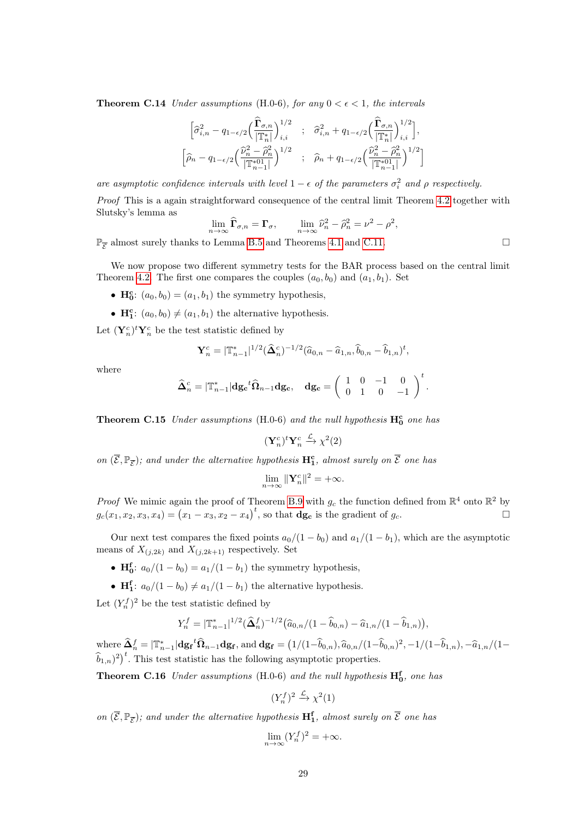**Theorem C.14** Under assumptions (H.0-6), for any  $0 < \epsilon < 1$ , the intervals

$$
\begin{bmatrix} \widehat{\sigma}_{i,n}^2 - q_{1-\epsilon/2} \Big( \frac{\widehat{\Gamma}_{\sigma,n}}{|\mathbb{T}_n^*|} \Big)_{i,i}^{1/2} & ; & \widehat{\sigma}_{i,n}^2 + q_{1-\epsilon/2} \Big( \frac{\widehat{\Gamma}_{\sigma,n}}{|\mathbb{T}_n^*|} \Big)_{i,i}^{1/2} \Big], \\ \widehat{\rho}_n - q_{1-\epsilon/2} \Big( \frac{\widehat{\nu}_n^2 - \widehat{\rho}_n^2}{|\mathbb{T}_n^{*01}|} \Big)^{1/2} & ; & \widehat{\rho}_n + q_{1-\epsilon/2} \Big( \frac{\widehat{\nu}_n^2 - \widehat{\rho}_n^2}{|\mathbb{T}_n^{*01}|} \Big)^{1/2} \Big] \end{bmatrix}
$$

are asymptotic confidence intervals with level  $1 - \epsilon$  of the parameters  $\sigma_i^2$  and  $\rho$  respectively.

Proof This is a again straightforward consequence of the central limit Theorem [4.2](#page-4-0) together with Slutsky's lemma as

$$
\lim_{n \to \infty} \widehat{\Gamma}_{\sigma,n} = \Gamma_{\sigma}, \qquad \lim_{n \to \infty} \widehat{\nu}_n^2 - \widehat{\rho}_n^2 = \nu^2 - \rho^2,
$$

 $\mathbb{P}_{\overline{\mathcal{E}}}$  almost surely thanks to Lemma [B.5](#page-15-3) and Theorems [4.1](#page-4-1) and [C.11.](#page-23-1)

We now propose two different symmetry tests for the BAR process based on the central limit Theorem [4.2.](#page-4-0) The first one compares the couples  $(a_0, b_0)$  and  $(a_1, b_1)$ . Set

- $\mathbf{H}_{0}^{\mathbf{c}}$ :  $(a_0, b_0) = (a_1, b_1)$  the symmetry hypothesis,
- $\mathbf{H}_{1}^{\mathbf{c}}: (a_0, b_0) \neq (a_1, b_1)$  the alternative hypothesis.

Let  $(\mathbf{Y}_n^c)^t \mathbf{Y}_n^c$  be the test statistic defined by

$$
\mathbf{Y}_n^c = |\mathbb{T}_{n-1}^*|^{1/2} (\widehat{\mathbf{\Delta}}_n^c)^{-1/2} (\widehat{a}_{0,n} - \widehat{a}_{1,n}, \widehat{b}_{0,n} - \widehat{b}_{1,n})^t,
$$

where

$$
\widehat{\boldsymbol{\Delta}}^c_n = |\mathbb{T}^*_{n-1}| \mathbf{dg_c}^t \widehat{\boldsymbol{\Omega}}_{n-1} \mathbf{dg_c}, \quad \mathbf{dg_c} = \left( \begin{array}{cccc} 1 & 0 & -1 & 0 \\ 0 & 1 & 0 & -1 \end{array} \right)^t.
$$

**Theorem C.15** Under assumptions (H.0-6) and the null hypothesis  $H_0^c$  one has

$$
(\mathbf{Y}_n^c)^t \mathbf{Y}_n^c \xrightarrow{\mathcal{L}} \chi^2(2)
$$

on  $(\overline{\mathcal{E}}, \mathbb{P}_{\overline{\mathcal{E}}})$ ; and under the alternative hypothesis  $\mathbf{H}_{1}^{\mathbf{c}}$ , almost surely on  $\overline{\mathcal{E}}$  one has

$$
\lim_{n\to\infty}\|\mathbf{Y}_n^c\|^2=+\infty.
$$

*Proof* We mimic again the proof of Theorem [B.9](#page-18-0) with  $g_c$  the function defined from  $\mathbb{R}^4$  onto  $\mathbb{R}^2$  by  $g_c(x_1, x_2, x_3, x_4) = (x_1 - x_3, x_2 - x_4)^t$ , so that **dg<sub>c</sub>** is the gradient of  $g_c$ .

Our next test compares the fixed points  $a_0/(1-b_0)$  and  $a_1/(1-b_1)$ , which are the asymptotic means of  $X_{(j,2k)}$  and  $X_{(j,2k+1)}$  respectively. Set

- **H**<sub>0</sub><sup>f</sup>:  $a_0/(1 b_0) = a_1/(1 b_1)$  the symmetry hypothesis,
- $\mathbf{H_1^f}: a_0/(1-b_0) \neq a_1/(1-b_1)$  the alternative hypothesis.

Let  $(Y_n^f)^2$  be the test statistic defined by

$$
Y_n^f = |\mathbb{T}_{n-1}^*|^{1/2} (\widehat{\Delta}_n^f)^{-1/2} (\widehat{a}_{0,n}/(1-\widehat{b}_{0,n}) - \widehat{a}_{1,n}/(1-\widehat{b}_{1,n})),
$$

where  $\hat{\mathbf{\Lambda}}_{n}^{f} = |\mathbb{T}_{n-1}^{*}| \mathbf{dg}_{\mathbf{f}}^{t} \hat{\mathbf{\Omega}}_{n-1} \mathbf{dg}_{\mathbf{f}},$  and  $\mathbf{dg}_{\mathbf{f}} = (1/(1-\hat{b}_{0,n}), \hat{a}_{0,n}/(1-\hat{b}_{0,n})^{2}, -1/(1-\hat{b}_{1,n}), -\hat{a}_{1,n}/(1-\hat{b}_{1,n})$  $\widehat{b}_{1,n}$ <sup>2</sup>)<sup>*t*</sup>. This test statistic has the following asymptotic properties.

**Theorem C.16** Under assumptions (H.0-6) and the null hypothesis  $H_0^f$ , one has

$$
(Y_n^f)^2 \xrightarrow{\mathcal{L}} \chi^2(1)
$$

on  $(\overline{\mathcal{E}}, \mathbb{P}_{\overline{\mathcal{E}}})$ ; and under the alternative hypothesis  $\mathbf{H}_{1}^{\mathbf{f}}$ , almost surely on  $\overline{\mathcal{E}}$  one has

$$
\lim_{n \to \infty} (Y_n^f)^2 = +\infty.
$$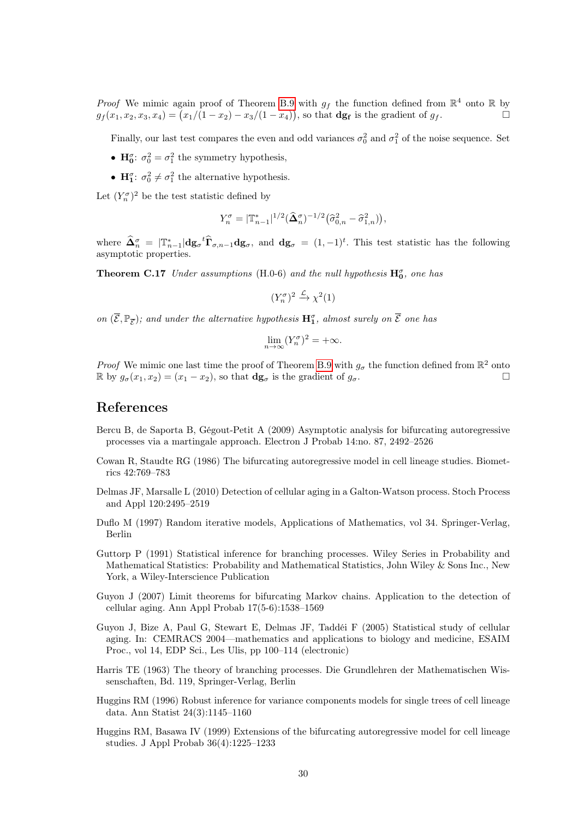*Proof* We mimic again proof of Theorem [B.9](#page-18-0) with  $g_f$  the function defined from  $\mathbb{R}^4$  onto  $\mathbb R$  by  $g_f(x_1, x_2, x_3, x_4) = (x_1/(1-x_2) - x_3/(1-x_4)),$  so that  $\mathbf{dg_f}$  is the gradient of  $g_f$ .

Finally, our last test compares the even and odd variances  $\sigma_0^2$  and  $\sigma_1^2$  of the noise sequence. Set

- $H_0^{\sigma}$ :  $\sigma_0^2 = \sigma_1^2$  the symmetry hypothesis,
- $H_1^{\sigma}$ :  $\sigma_0^2 \neq \sigma_1^2$  the alternative hypothesis.

Let  $(Y_n^{\sigma})^2$  be the test statistic defined by

$$
Y_n^{\sigma} = |\mathbb{T}_{n-1}^*|^{1/2} (\widehat{\Delta}_n^{\sigma})^{-1/2} (\widehat{\sigma}_{0,n}^2 - \widehat{\sigma}_{1,n}^2)),
$$

where  $\widehat{\mathbf{\Delta}}_n^{\sigma} = |\mathbb{T}_{n-1}^*| \mathbf{dg}_{\sigma}^{\dagger} \widehat{\mathbf{T}}_{\sigma,n-1} \mathbf{dg}_{\sigma}$ , and  $\mathbf{dg}_{\sigma} = (1,-1)^t$ . This test statistic has the following asymptotic properties.

**Theorem C.17** Under assumptions (H.0-6) and the null hypothesis  $H_0^{\sigma}$ , one has

$$
(Y_n^{\sigma})^2 \xrightarrow{\mathcal{L}} \chi^2(1)
$$

on  $(\overline{\mathcal{E}}, \mathbb{P}_{\overline{\mathcal{E}}})$ ; and under the alternative hypothesis  $\mathbf{H}_1^{\sigma}$ , almost surely on  $\overline{\mathcal{E}}$  one has

$$
\lim_{n \to \infty} (Y_n^{\sigma})^2 = +\infty.
$$

*Proof* We mimic one last time the proof of Theorem [B.9](#page-18-0) with  $g_{\sigma}$  the function defined from  $\mathbb{R}^2$  onto  $\mathbb{R}$  by  $g_{\sigma}(x_1, x_2) = (x_1 - x_2)$ , so that  $\mathbf{dg}_{\sigma}$  is the gradient of  $g_{\sigma}$ .

# References

- <span id="page-29-4"></span>Bercu B, de Saporta B, Gégout-Petit A (2009) Asymptotic analysis for bifurcating autoregressive processes via a martingale approach. Electron J Probab 14:no. 87, 2492–2526
- <span id="page-29-0"></span>Cowan R, Staudte RG (1986) The bifurcating autoregressive model in cell lineage studies. Biometrics 42:769–783
- <span id="page-29-5"></span>Delmas JF, Marsalle L (2010) Detection of cellular aging in a Galton-Watson process. Stoch Process and Appl 120:2495–2519
- <span id="page-29-9"></span>Duflo M (1997) Random iterative models, Applications of Mathematics, vol 34. Springer-Verlag, Berlin
- <span id="page-29-6"></span>Guttorp P (1991) Statistical inference for branching processes. Wiley Series in Probability and Mathematical Statistics: Probability and Mathematical Statistics, John Wiley & Sons Inc., New York, a Wiley-Interscience Publication
- <span id="page-29-3"></span>Guyon J (2007) Limit theorems for bifurcating Markov chains. Application to the detection of cellular aging. Ann Appl Probab 17(5-6):1538–1569
- <span id="page-29-7"></span>Guyon J, Bize A, Paul G, Stewart E, Delmas JF, Taddéi F (2005) Statistical study of cellular aging. In: CEMRACS 2004—mathematics and applications to biology and medicine, ESAIM Proc., vol 14, EDP Sci., Les Ulis, pp 100–114 (electronic)
- <span id="page-29-8"></span>Harris TE (1963) The theory of branching processes. Die Grundlehren der Mathematischen Wissenschaften, Bd. 119, Springer-Verlag, Berlin
- <span id="page-29-1"></span>Huggins RM (1996) Robust inference for variance components models for single trees of cell lineage data. Ann Statist 24(3):1145–1160
- <span id="page-29-2"></span>Huggins RM, Basawa IV (1999) Extensions of the bifurcating autoregressive model for cell lineage studies. J Appl Probab 36(4):1225–1233